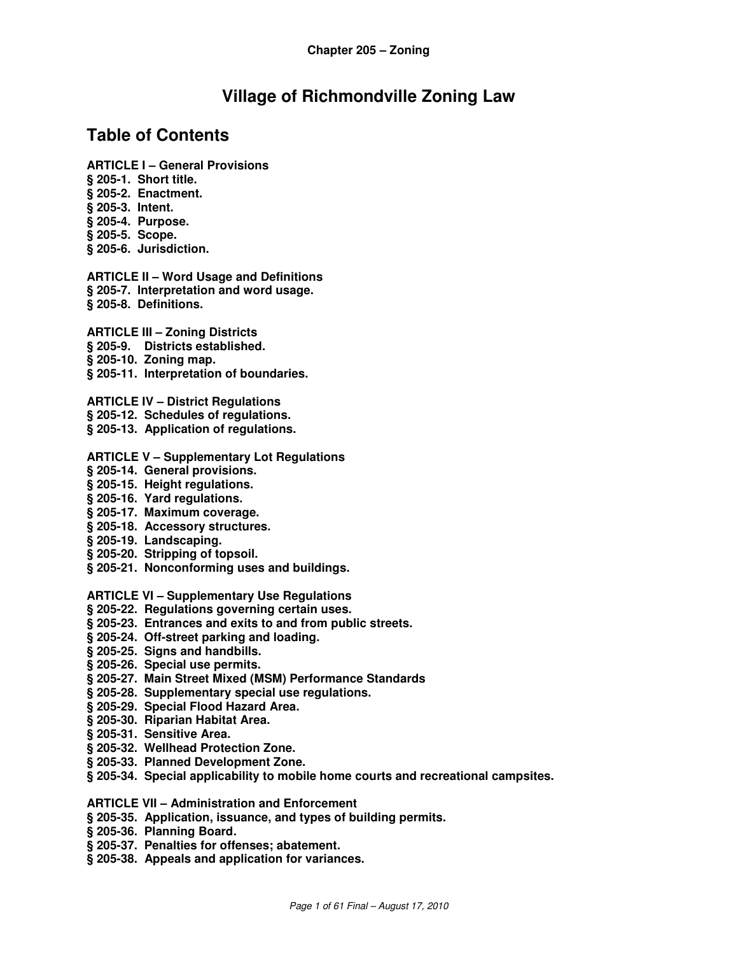# **Village of Richmondville Zoning Law**

## **Table of Contents**

- **ARTICLE I General Provisions**
- **§ 205-1. Short title.**
- **§ 205-2. Enactment.**
- **§ 205-3. Intent.**
- **§ 205-4. Purpose.**
- **§ 205-5. Scope.**
- **§ 205-6. Jurisdiction.**
- **ARTICLE II Word Usage and Definitions § 205-7. Interpretation and word usage. § 205-8. Definitions.**
- **ARTICLE III Zoning Districts**
- **§ 205-9. Districts established.**
- **§ 205-10. Zoning map.**
- **§ 205-11. Interpretation of boundaries.**
- **ARTICLE IV District Regulations**
- **§ 205-12. Schedules of regulations.**
- **§ 205-13. Application of regulations.**
- **ARTICLE V Supplementary Lot Regulations**
- **§ 205-14. General provisions.**
- **§ 205-15. Height regulations.**
- **§ 205-16. Yard regulations.**
- **§ 205-17. Maximum coverage.**
- **§ 205-18. Accessory structures.**
- **§ 205-19. Landscaping.**
- **§ 205-20. Stripping of topsoil.**
- **§ 205-21. Nonconforming uses and buildings.**
- **ARTICLE VI Supplementary Use Regulations**
- **§ 205-22. Regulations governing certain uses.**
- **§ 205-23. Entrances and exits to and from public streets.**
- **§ 205-24. Off-street parking and loading.**
- **§ 205-25. Signs and handbills.**
- **§ 205-26. Special use permits.**
- **§ 205-27. Main Street Mixed (MSM) Performance Standards**
- **§ 205-28. Supplementary special use regulations.**
- **§ 205-29. Special Flood Hazard Area.**
- **§ 205-30. Riparian Habitat Area.**
- **§ 205-31. Sensitive Area.**
- **§ 205-32. Wellhead Protection Zone.**
- **§ 205-33. Planned Development Zone.**
- **§ 205-34. Special applicability to mobile home courts and recreational campsites.**
- **ARTICLE VII Administration and Enforcement**
- **§ 205-35. Application, issuance, and types of building permits.**
- **§ 205-36. Planning Board.**
- **§ 205-37. Penalties for offenses; abatement.**
- **§ 205-38. Appeals and application for variances.**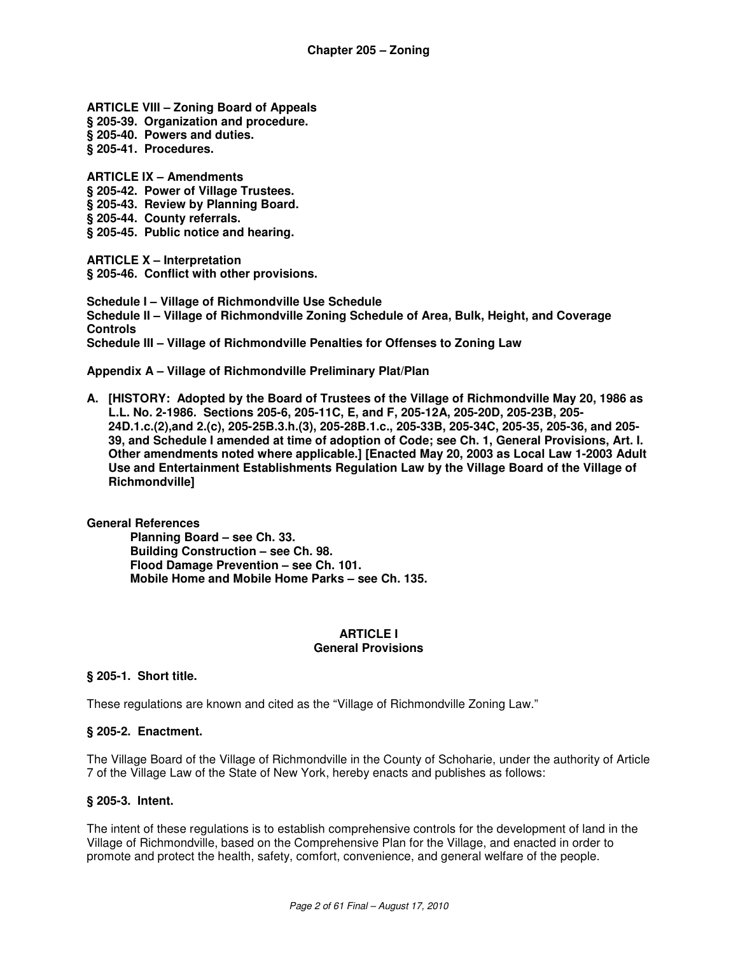**ARTICLE VIII – Zoning Board of Appeals** 

- **§ 205-39. Organization and procedure.**
- **§ 205-40. Powers and duties.**
- **§ 205-41. Procedures.**

**ARTICLE IX – Amendments § 205-42. Power of Village Trustees.** 

- **§ 205-43. Review by Planning Board.**
- **§ 205-44. County referrals.**
- **§ 205-45. Public notice and hearing.**

**ARTICLE X – Interpretation** 

**§ 205-46. Conflict with other provisions.** 

**Schedule I – Village of Richmondville Use Schedule Schedule II – Village of Richmondville Zoning Schedule of Area, Bulk, Height, and Coverage Controls Schedule III – Village of Richmondville Penalties for Offenses to Zoning Law** 

**Appendix A – Village of Richmondville Preliminary Plat/Plan** 

**A. [HISTORY: Adopted by the Board of Trustees of the Village of Richmondville May 20, 1986 as L.L. No. 2-1986. Sections 205-6, 205-11C, E, and F, 205-12A, 205-20D, 205-23B, 205- 24D.1.c.(2),and 2.(c), 205-25B.3.h.(3), 205-28B.1.c., 205-33B, 205-34C, 205-35, 205-36, and 205- 39, and Schedule I amended at time of adoption of Code; see Ch. 1, General Provisions, Art. I. Other amendments noted where applicable.] [Enacted May 20, 2003 as Local Law 1-2003 Adult Use and Entertainment Establishments Regulation Law by the Village Board of the Village of Richmondville]** 

**General References Planning Board – see Ch. 33. Building Construction – see Ch. 98. Flood Damage Prevention – see Ch. 101. Mobile Home and Mobile Home Parks – see Ch. 135.** 

#### **ARTICLE I General Provisions**

## **§ 205-1. Short title.**

These regulations are known and cited as the "Village of Richmondville Zoning Law."

#### **§ 205-2. Enactment.**

The Village Board of the Village of Richmondville in the County of Schoharie, under the authority of Article 7 of the Village Law of the State of New York, hereby enacts and publishes as follows:

#### **§ 205-3. Intent.**

The intent of these regulations is to establish comprehensive controls for the development of land in the Village of Richmondville, based on the Comprehensive Plan for the Village, and enacted in order to promote and protect the health, safety, comfort, convenience, and general welfare of the people.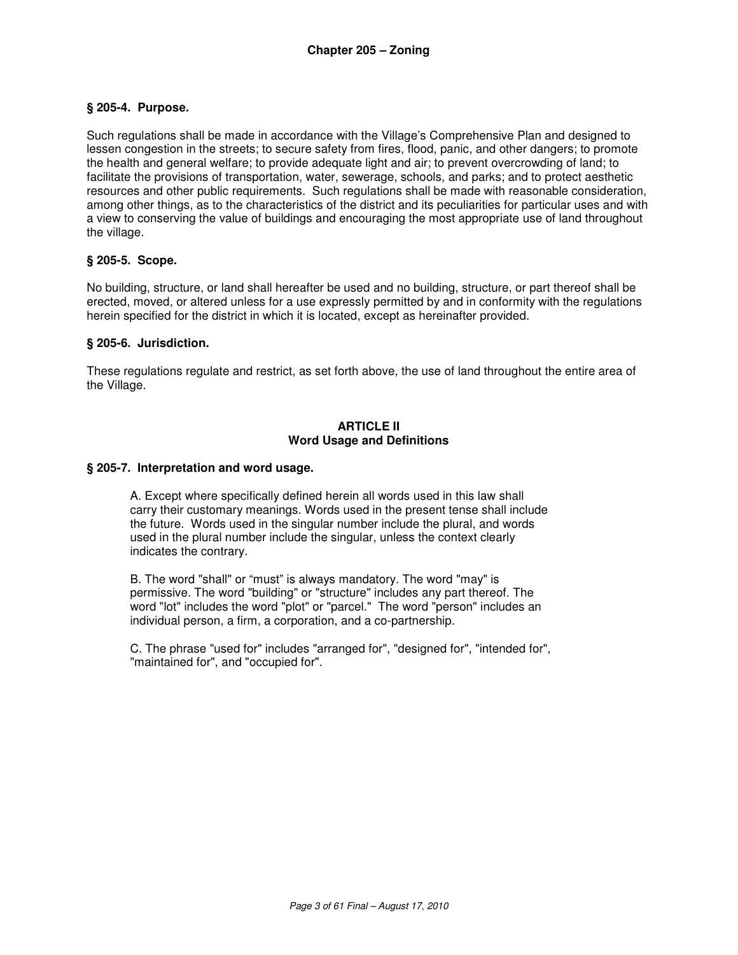#### **§ 205-4. Purpose.**

Such regulations shall be made in accordance with the Village's Comprehensive Plan and designed to lessen congestion in the streets; to secure safety from fires, flood, panic, and other dangers; to promote the health and general welfare; to provide adequate light and air; to prevent overcrowding of land; to facilitate the provisions of transportation, water, sewerage, schools, and parks; and to protect aesthetic resources and other public requirements. Such regulations shall be made with reasonable consideration, among other things, as to the characteristics of the district and its peculiarities for particular uses and with a view to conserving the value of buildings and encouraging the most appropriate use of land throughout the village.

#### **§ 205-5. Scope.**

No building, structure, or land shall hereafter be used and no building, structure, or part thereof shall be erected, moved, or altered unless for a use expressly permitted by and in conformity with the regulations herein specified for the district in which it is located, except as hereinafter provided.

#### **§ 205-6. Jurisdiction.**

These regulations regulate and restrict, as set forth above, the use of land throughout the entire area of the Village.

#### **ARTICLE II Word Usage and Definitions**

#### **§ 205-7. Interpretation and word usage.**

A. Except where specifically defined herein all words used in this law shall carry their customary meanings. Words used in the present tense shall include the future. Words used in the singular number include the plural, and words used in the plural number include the singular, unless the context clearly indicates the contrary.

 B. The word "shall" or "must" is always mandatory. The word "may" is permissive. The word "building" or "structure" includes any part thereof. The word "lot" includes the word "plot" or "parcel." The word "person" includes an individual person, a firm, a corporation, and a co-partnership.

 C. The phrase "used for" includes "arranged for", "designed for", "intended for", "maintained for", and "occupied for".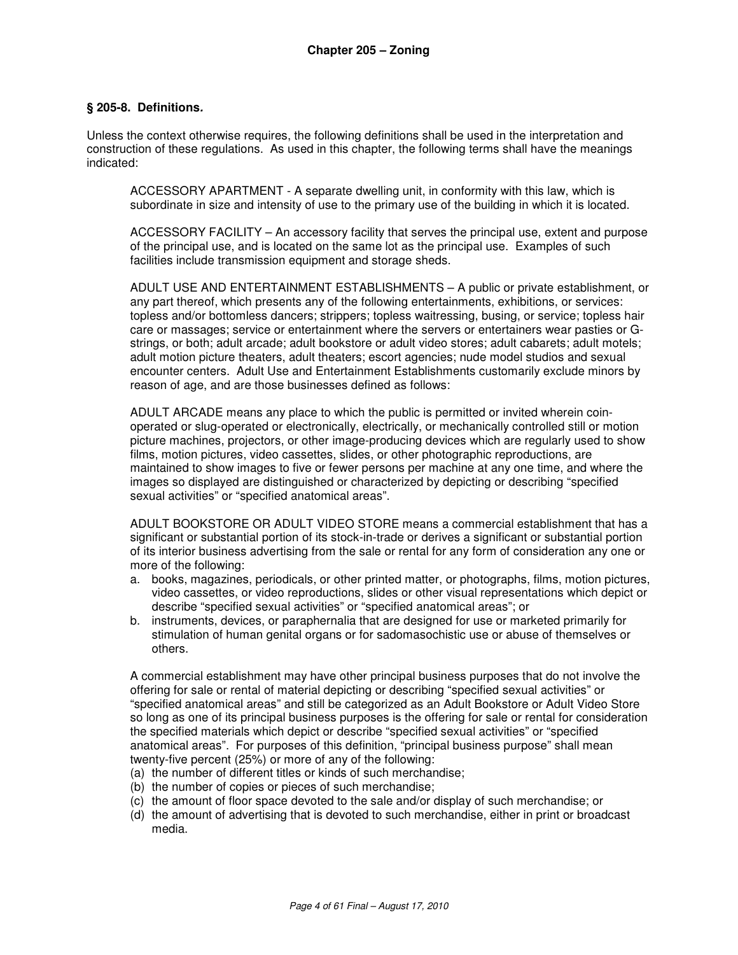#### **§ 205-8. Definitions.**

Unless the context otherwise requires, the following definitions shall be used in the interpretation and construction of these regulations. As used in this chapter, the following terms shall have the meanings indicated:

 ACCESSORY APARTMENT - A separate dwelling unit, in conformity with this law, which is subordinate in size and intensity of use to the primary use of the building in which it is located.

ACCESSORY FACILITY – An accessory facility that serves the principal use, extent and purpose of the principal use, and is located on the same lot as the principal use. Examples of such facilities include transmission equipment and storage sheds.

ADULT USE AND ENTERTAINMENT ESTABLISHMENTS – A public or private establishment, or any part thereof, which presents any of the following entertainments, exhibitions, or services: topless and/or bottomless dancers; strippers; topless waitressing, busing, or service; topless hair care or massages; service or entertainment where the servers or entertainers wear pasties or Gstrings, or both; adult arcade; adult bookstore or adult video stores; adult cabarets; adult motels; adult motion picture theaters, adult theaters; escort agencies; nude model studios and sexual encounter centers. Adult Use and Entertainment Establishments customarily exclude minors by reason of age, and are those businesses defined as follows:

ADULT ARCADE means any place to which the public is permitted or invited wherein coinoperated or slug-operated or electronically, electrically, or mechanically controlled still or motion picture machines, projectors, or other image-producing devices which are regularly used to show films, motion pictures, video cassettes, slides, or other photographic reproductions, are maintained to show images to five or fewer persons per machine at any one time, and where the images so displayed are distinguished or characterized by depicting or describing "specified sexual activities" or "specified anatomical areas".

ADULT BOOKSTORE OR ADULT VIDEO STORE means a commercial establishment that has a significant or substantial portion of its stock-in-trade or derives a significant or substantial portion of its interior business advertising from the sale or rental for any form of consideration any one or more of the following:

- a. books, magazines, periodicals, or other printed matter, or photographs, films, motion pictures, video cassettes, or video reproductions, slides or other visual representations which depict or describe "specified sexual activities" or "specified anatomical areas"; or
- b. instruments, devices, or paraphernalia that are designed for use or marketed primarily for stimulation of human genital organs or for sadomasochistic use or abuse of themselves or others.

A commercial establishment may have other principal business purposes that do not involve the offering for sale or rental of material depicting or describing "specified sexual activities" or "specified anatomical areas" and still be categorized as an Adult Bookstore or Adult Video Store so long as one of its principal business purposes is the offering for sale or rental for consideration the specified materials which depict or describe "specified sexual activities" or "specified anatomical areas". For purposes of this definition, "principal business purpose" shall mean twenty-five percent (25%) or more of any of the following:

- (a) the number of different titles or kinds of such merchandise;
- (b) the number of copies or pieces of such merchandise;
- (c) the amount of floor space devoted to the sale and/or display of such merchandise; or
- (d) the amount of advertising that is devoted to such merchandise, either in print or broadcast media.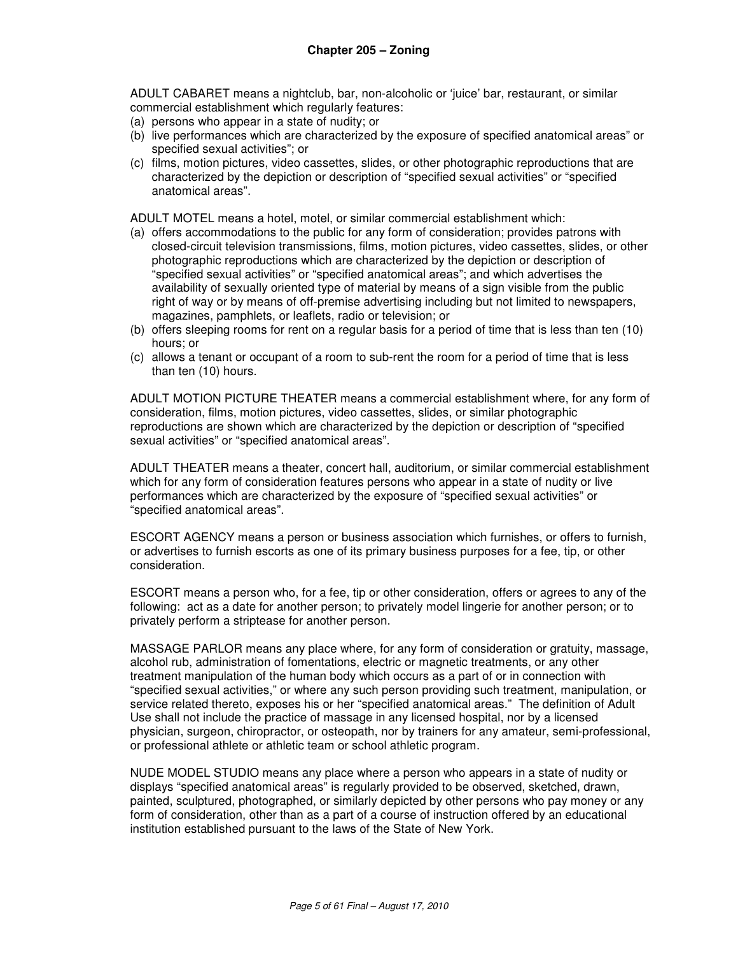ADULT CABARET means a nightclub, bar, non-alcoholic or 'juice' bar, restaurant, or similar commercial establishment which regularly features:

- (a) persons who appear in a state of nudity; or
- (b) live performances which are characterized by the exposure of specified anatomical areas" or specified sexual activities"; or
- (c) films, motion pictures, video cassettes, slides, or other photographic reproductions that are characterized by the depiction or description of "specified sexual activities" or "specified anatomical areas".

ADULT MOTEL means a hotel, motel, or similar commercial establishment which:

- (a) offers accommodations to the public for any form of consideration; provides patrons with closed-circuit television transmissions, films, motion pictures, video cassettes, slides, or other photographic reproductions which are characterized by the depiction or description of "specified sexual activities" or "specified anatomical areas"; and which advertises the availability of sexually oriented type of material by means of a sign visible from the public right of way or by means of off-premise advertising including but not limited to newspapers, magazines, pamphlets, or leaflets, radio or television; or
- (b) offers sleeping rooms for rent on a regular basis for a period of time that is less than ten (10) hours; or
- (c) allows a tenant or occupant of a room to sub-rent the room for a period of time that is less than ten (10) hours.

ADULT MOTION PICTURE THEATER means a commercial establishment where, for any form of consideration, films, motion pictures, video cassettes, slides, or similar photographic reproductions are shown which are characterized by the depiction or description of "specified sexual activities" or "specified anatomical areas".

ADULT THEATER means a theater, concert hall, auditorium, or similar commercial establishment which for any form of consideration features persons who appear in a state of nudity or live performances which are characterized by the exposure of "specified sexual activities" or "specified anatomical areas".

ESCORT AGENCY means a person or business association which furnishes, or offers to furnish, or advertises to furnish escorts as one of its primary business purposes for a fee, tip, or other consideration.

ESCORT means a person who, for a fee, tip or other consideration, offers or agrees to any of the following: act as a date for another person; to privately model lingerie for another person; or to privately perform a striptease for another person.

MASSAGE PARLOR means any place where, for any form of consideration or gratuity, massage, alcohol rub, administration of fomentations, electric or magnetic treatments, or any other treatment manipulation of the human body which occurs as a part of or in connection with "specified sexual activities," or where any such person providing such treatment, manipulation, or service related thereto, exposes his or her "specified anatomical areas." The definition of Adult Use shall not include the practice of massage in any licensed hospital, nor by a licensed physician, surgeon, chiropractor, or osteopath, nor by trainers for any amateur, semi-professional, or professional athlete or athletic team or school athletic program.

NUDE MODEL STUDIO means any place where a person who appears in a state of nudity or displays "specified anatomical areas" is regularly provided to be observed, sketched, drawn, painted, sculptured, photographed, or similarly depicted by other persons who pay money or any form of consideration, other than as a part of a course of instruction offered by an educational institution established pursuant to the laws of the State of New York.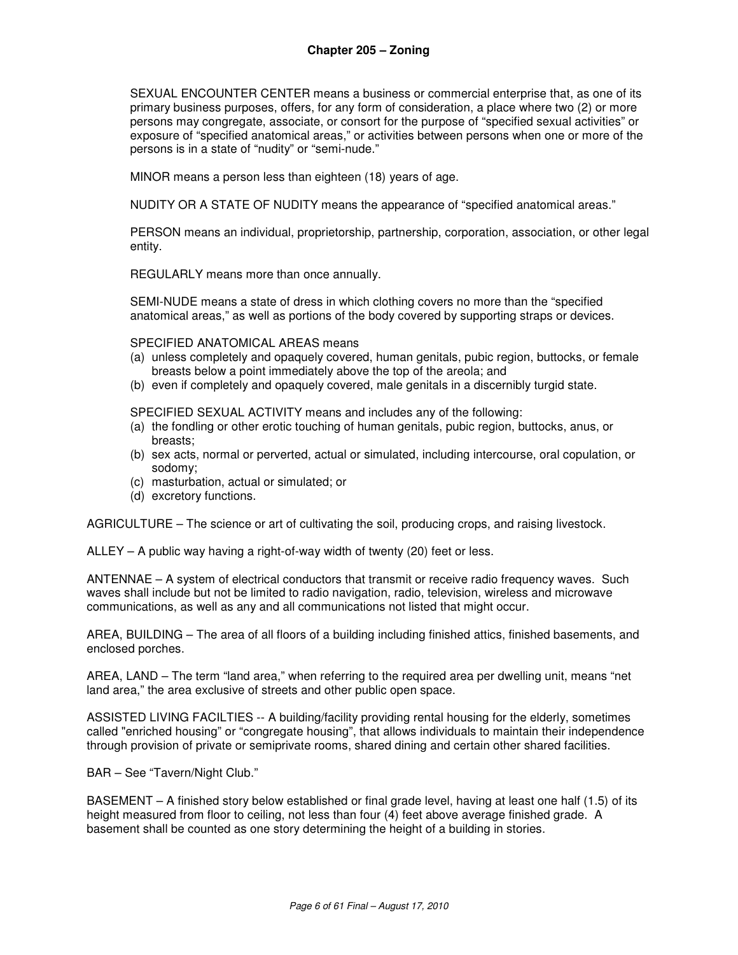SEXUAL ENCOUNTER CENTER means a business or commercial enterprise that, as one of its primary business purposes, offers, for any form of consideration, a place where two (2) or more persons may congregate, associate, or consort for the purpose of "specified sexual activities" or exposure of "specified anatomical areas," or activities between persons when one or more of the persons is in a state of "nudity" or "semi-nude."

MINOR means a person less than eighteen (18) years of age.

NUDITY OR A STATE OF NUDITY means the appearance of "specified anatomical areas."

PERSON means an individual, proprietorship, partnership, corporation, association, or other legal entity.

REGULARLY means more than once annually.

SEMI-NUDE means a state of dress in which clothing covers no more than the "specified anatomical areas," as well as portions of the body covered by supporting straps or devices.

SPECIFIED ANATOMICAL AREAS means

- (a) unless completely and opaquely covered, human genitals, pubic region, buttocks, or female breasts below a point immediately above the top of the areola; and
- (b) even if completely and opaquely covered, male genitals in a discernibly turgid state.

SPECIFIED SEXUAL ACTIVITY means and includes any of the following:

- (a) the fondling or other erotic touching of human genitals, pubic region, buttocks, anus, or breasts;
- (b) sex acts, normal or perverted, actual or simulated, including intercourse, oral copulation, or sodomy;
- (c) masturbation, actual or simulated; or
- (d) excretory functions.

AGRICULTURE – The science or art of cultivating the soil, producing crops, and raising livestock.

ALLEY – A public way having a right-of-way width of twenty (20) feet or less.

ANTENNAE – A system of electrical conductors that transmit or receive radio frequency waves. Such waves shall include but not be limited to radio navigation, radio, television, wireless and microwave communications, as well as any and all communications not listed that might occur.

AREA, BUILDING – The area of all floors of a building including finished attics, finished basements, and enclosed porches.

AREA, LAND – The term "land area," when referring to the required area per dwelling unit, means "net land area," the area exclusive of streets and other public open space.

ASSISTED LIVING FACILTIES -- A building/facility providing rental housing for the elderly, sometimes called "enriched housing" or "congregate housing", that allows individuals to maintain their independence through provision of private or semiprivate rooms, shared dining and certain other shared facilities.

BAR – See "Tavern/Night Club."

BASEMENT – A finished story below established or final grade level, having at least one half (1.5) of its height measured from floor to ceiling, not less than four (4) feet above average finished grade. A basement shall be counted as one story determining the height of a building in stories.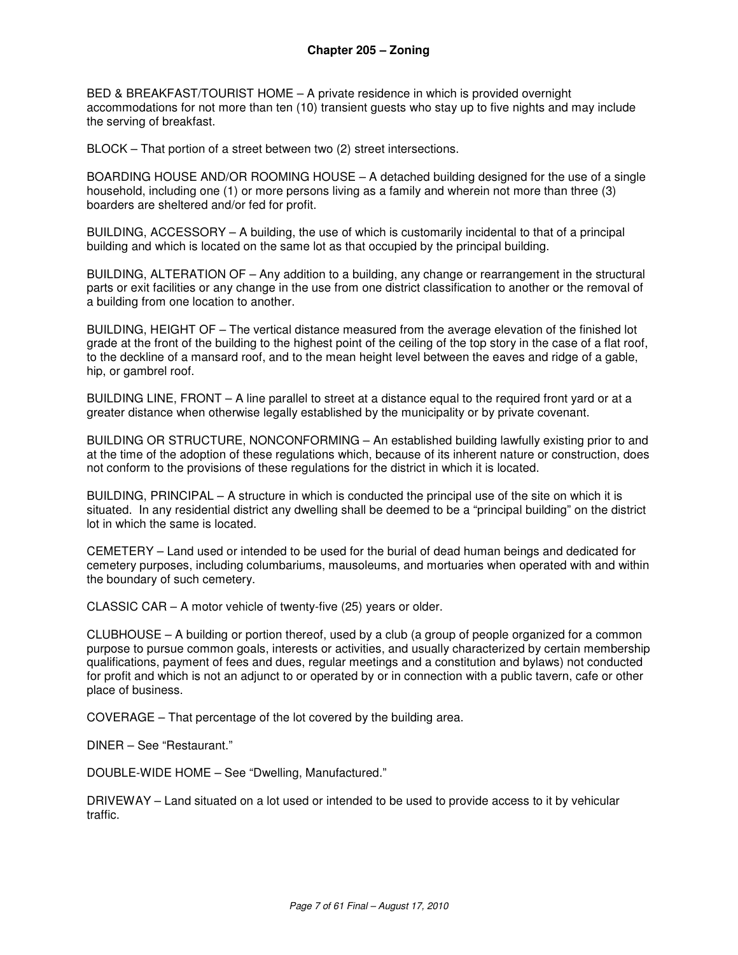BED & BREAKFAST/TOURIST HOME – A private residence in which is provided overnight accommodations for not more than ten (10) transient guests who stay up to five nights and may include the serving of breakfast.

BLOCK – That portion of a street between two (2) street intersections.

BOARDING HOUSE AND/OR ROOMING HOUSE – A detached building designed for the use of a single household, including one (1) or more persons living as a family and wherein not more than three (3) boarders are sheltered and/or fed for profit.

BUILDING, ACCESSORY – A building, the use of which is customarily incidental to that of a principal building and which is located on the same lot as that occupied by the principal building.

BUILDING, ALTERATION OF – Any addition to a building, any change or rearrangement in the structural parts or exit facilities or any change in the use from one district classification to another or the removal of a building from one location to another.

BUILDING, HEIGHT OF – The vertical distance measured from the average elevation of the finished lot grade at the front of the building to the highest point of the ceiling of the top story in the case of a flat roof, to the deckline of a mansard roof, and to the mean height level between the eaves and ridge of a gable, hip, or gambrel roof.

BUILDING LINE, FRONT – A line parallel to street at a distance equal to the required front yard or at a greater distance when otherwise legally established by the municipality or by private covenant.

BUILDING OR STRUCTURE, NONCONFORMING – An established building lawfully existing prior to and at the time of the adoption of these regulations which, because of its inherent nature or construction, does not conform to the provisions of these regulations for the district in which it is located.

BUILDING, PRINCIPAL – A structure in which is conducted the principal use of the site on which it is situated. In any residential district any dwelling shall be deemed to be a "principal building" on the district lot in which the same is located.

CEMETERY – Land used or intended to be used for the burial of dead human beings and dedicated for cemetery purposes, including columbariums, mausoleums, and mortuaries when operated with and within the boundary of such cemetery.

CLASSIC CAR – A motor vehicle of twenty-five (25) years or older.

CLUBHOUSE – A building or portion thereof, used by a club (a group of people organized for a common purpose to pursue common goals, interests or activities, and usually characterized by certain membership qualifications, payment of fees and dues, regular meetings and a constitution and bylaws) not conducted for profit and which is not an adjunct to or operated by or in connection with a public tavern, cafe or other place of business.

COVERAGE – That percentage of the lot covered by the building area.

DINER – See "Restaurant."

DOUBLE-WIDE HOME – See "Dwelling, Manufactured."

DRIVEWAY – Land situated on a lot used or intended to be used to provide access to it by vehicular traffic.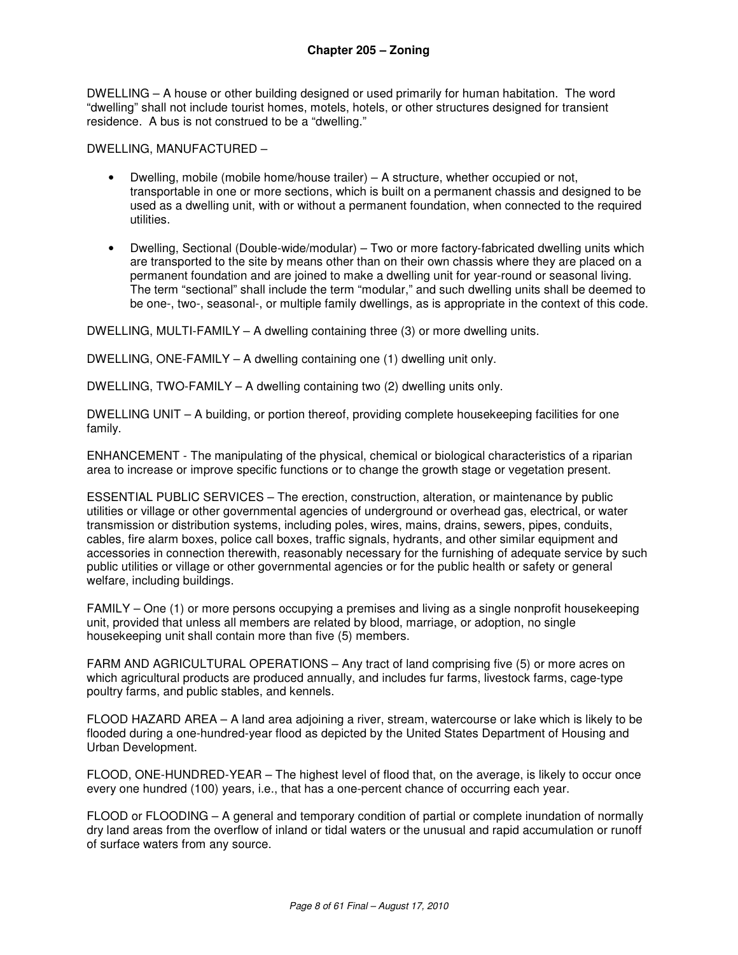DWELLING – A house or other building designed or used primarily for human habitation. The word "dwelling" shall not include tourist homes, motels, hotels, or other structures designed for transient residence. A bus is not construed to be a "dwelling."

DWELLING, MANUFACTURED –

- Dwelling, mobile (mobile home/house trailer) A structure, whether occupied or not, transportable in one or more sections, which is built on a permanent chassis and designed to be used as a dwelling unit, with or without a permanent foundation, when connected to the required utilities.
- Dwelling, Sectional (Double-wide/modular) Two or more factory-fabricated dwelling units which are transported to the site by means other than on their own chassis where they are placed on a permanent foundation and are joined to make a dwelling unit for year-round or seasonal living. The term "sectional" shall include the term "modular," and such dwelling units shall be deemed to be one-, two-, seasonal-, or multiple family dwellings, as is appropriate in the context of this code.

DWELLING, MULTI-FAMILY – A dwelling containing three (3) or more dwelling units.

DWELLING, ONE-FAMILY – A dwelling containing one (1) dwelling unit only.

DWELLING, TWO-FAMILY – A dwelling containing two (2) dwelling units only.

DWELLING UNIT – A building, or portion thereof, providing complete housekeeping facilities for one family.

ENHANCEMENT - The manipulating of the physical, chemical or biological characteristics of a riparian area to increase or improve specific functions or to change the growth stage or vegetation present.

ESSENTIAL PUBLIC SERVICES – The erection, construction, alteration, or maintenance by public utilities or village or other governmental agencies of underground or overhead gas, electrical, or water transmission or distribution systems, including poles, wires, mains, drains, sewers, pipes, conduits, cables, fire alarm boxes, police call boxes, traffic signals, hydrants, and other similar equipment and accessories in connection therewith, reasonably necessary for the furnishing of adequate service by such public utilities or village or other governmental agencies or for the public health or safety or general welfare, including buildings.

FAMILY – One (1) or more persons occupying a premises and living as a single nonprofit housekeeping unit, provided that unless all members are related by blood, marriage, or adoption, no single housekeeping unit shall contain more than five (5) members.

FARM AND AGRICULTURAL OPERATIONS – Any tract of land comprising five (5) or more acres on which agricultural products are produced annually, and includes fur farms, livestock farms, cage-type poultry farms, and public stables, and kennels.

FLOOD HAZARD AREA – A land area adjoining a river, stream, watercourse or lake which is likely to be flooded during a one-hundred-year flood as depicted by the United States Department of Housing and Urban Development.

FLOOD, ONE-HUNDRED-YEAR – The highest level of flood that, on the average, is likely to occur once every one hundred (100) years, i.e., that has a one-percent chance of occurring each year.

FLOOD or FLOODING – A general and temporary condition of partial or complete inundation of normally dry land areas from the overflow of inland or tidal waters or the unusual and rapid accumulation or runoff of surface waters from any source.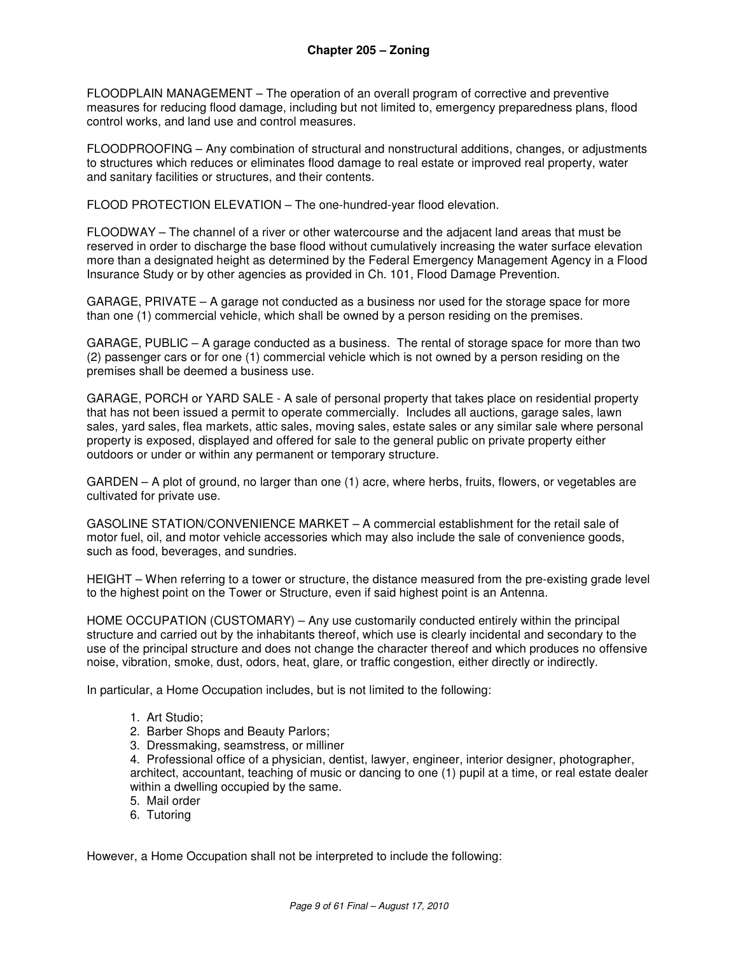FLOODPLAIN MANAGEMENT – The operation of an overall program of corrective and preventive measures for reducing flood damage, including but not limited to, emergency preparedness plans, flood control works, and land use and control measures.

FLOODPROOFING – Any combination of structural and nonstructural additions, changes, or adjustments to structures which reduces or eliminates flood damage to real estate or improved real property, water and sanitary facilities or structures, and their contents.

FLOOD PROTECTION ELEVATION – The one-hundred-year flood elevation.

FLOODWAY – The channel of a river or other watercourse and the adjacent land areas that must be reserved in order to discharge the base flood without cumulatively increasing the water surface elevation more than a designated height as determined by the Federal Emergency Management Agency in a Flood Insurance Study or by other agencies as provided in Ch. 101, Flood Damage Prevention.

GARAGE, PRIVATE – A garage not conducted as a business nor used for the storage space for more than one (1) commercial vehicle, which shall be owned by a person residing on the premises.

GARAGE, PUBLIC – A garage conducted as a business. The rental of storage space for more than two (2) passenger cars or for one (1) commercial vehicle which is not owned by a person residing on the premises shall be deemed a business use.

GARAGE, PORCH or YARD SALE - A sale of personal property that takes place on residential property that has not been issued a permit to operate commercially. Includes all auctions, garage sales, lawn sales, yard sales, flea markets, attic sales, moving sales, estate sales or any similar sale where personal property is exposed, displayed and offered for sale to the general public on private property either outdoors or under or within any permanent or temporary structure.

GARDEN – A plot of ground, no larger than one (1) acre, where herbs, fruits, flowers, or vegetables are cultivated for private use.

GASOLINE STATION/CONVENIENCE MARKET – A commercial establishment for the retail sale of motor fuel, oil, and motor vehicle accessories which may also include the sale of convenience goods, such as food, beverages, and sundries.

HEIGHT – When referring to a tower or structure, the distance measured from the pre-existing grade level to the highest point on the Tower or Structure, even if said highest point is an Antenna.

HOME OCCUPATION (CUSTOMARY) – Any use customarily conducted entirely within the principal structure and carried out by the inhabitants thereof, which use is clearly incidental and secondary to the use of the principal structure and does not change the character thereof and which produces no offensive noise, vibration, smoke, dust, odors, heat, glare, or traffic congestion, either directly or indirectly.

In particular, a Home Occupation includes, but is not limited to the following:

- 1. Art Studio;
- 2. Barber Shops and Beauty Parlors;
- 3. Dressmaking, seamstress, or milliner

4. Professional office of a physician, dentist, lawyer, engineer, interior designer, photographer, architect, accountant, teaching of music or dancing to one (1) pupil at a time, or real estate dealer within a dwelling occupied by the same.

- 5. Mail order
- 6. Tutoring

However, a Home Occupation shall not be interpreted to include the following: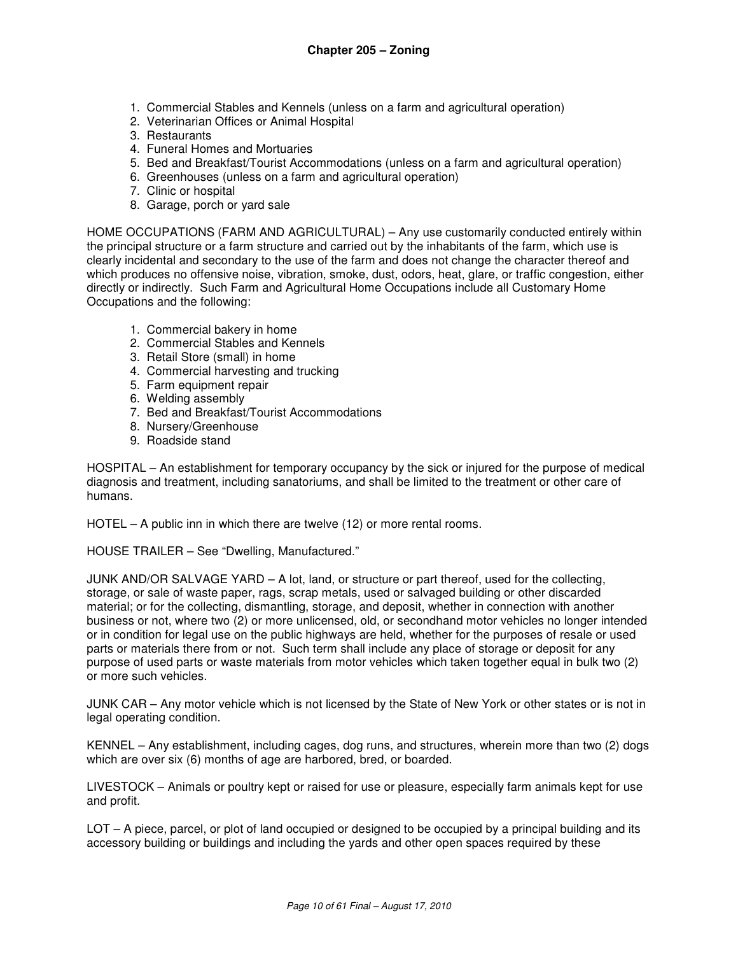- 1. Commercial Stables and Kennels (unless on a farm and agricultural operation)
- 2. Veterinarian Offices or Animal Hospital
- 3. Restaurants
- 4. Funeral Homes and Mortuaries
- 5. Bed and Breakfast/Tourist Accommodations (unless on a farm and agricultural operation)
- 6. Greenhouses (unless on a farm and agricultural operation)
- 7. Clinic or hospital
- 8. Garage, porch or yard sale

HOME OCCUPATIONS (FARM AND AGRICULTURAL) – Any use customarily conducted entirely within the principal structure or a farm structure and carried out by the inhabitants of the farm, which use is clearly incidental and secondary to the use of the farm and does not change the character thereof and which produces no offensive noise, vibration, smoke, dust, odors, heat, glare, or traffic congestion, either directly or indirectly. Such Farm and Agricultural Home Occupations include all Customary Home Occupations and the following:

- 1. Commercial bakery in home
- 2. Commercial Stables and Kennels
- 3. Retail Store (small) in home
- 4. Commercial harvesting and trucking
- 5. Farm equipment repair
- 6. Welding assembly
- 7. Bed and Breakfast/Tourist Accommodations
- 8. Nursery/Greenhouse
- 9. Roadside stand

HOSPITAL – An establishment for temporary occupancy by the sick or injured for the purpose of medical diagnosis and treatment, including sanatoriums, and shall be limited to the treatment or other care of humans.

HOTEL – A public inn in which there are twelve (12) or more rental rooms.

HOUSE TRAILER – See "Dwelling, Manufactured."

JUNK AND/OR SALVAGE YARD – A lot, land, or structure or part thereof, used for the collecting, storage, or sale of waste paper, rags, scrap metals, used or salvaged building or other discarded material; or for the collecting, dismantling, storage, and deposit, whether in connection with another business or not, where two (2) or more unlicensed, old, or secondhand motor vehicles no longer intended or in condition for legal use on the public highways are held, whether for the purposes of resale or used parts or materials there from or not. Such term shall include any place of storage or deposit for any purpose of used parts or waste materials from motor vehicles which taken together equal in bulk two (2) or more such vehicles.

JUNK CAR – Any motor vehicle which is not licensed by the State of New York or other states or is not in legal operating condition.

KENNEL – Any establishment, including cages, dog runs, and structures, wherein more than two (2) dogs which are over six (6) months of age are harbored, bred, or boarded.

LIVESTOCK – Animals or poultry kept or raised for use or pleasure, especially farm animals kept for use and profit.

LOT – A piece, parcel, or plot of land occupied or designed to be occupied by a principal building and its accessory building or buildings and including the yards and other open spaces required by these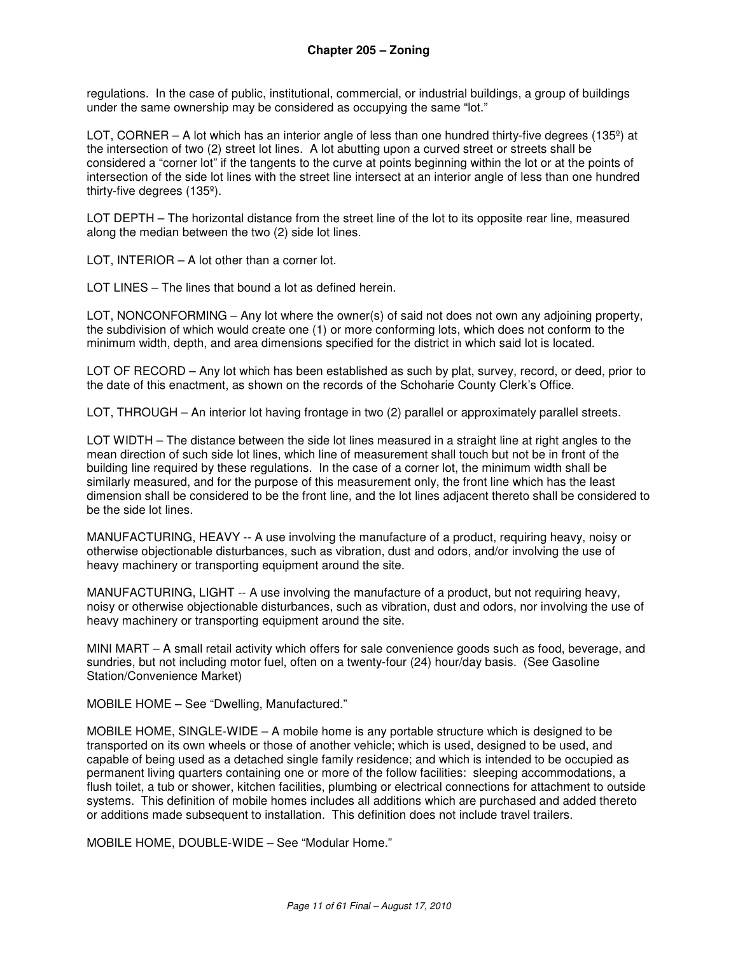regulations. In the case of public, institutional, commercial, or industrial buildings, a group of buildings under the same ownership may be considered as occupying the same "lot."

LOT, CORNER – A lot which has an interior angle of less than one hundred thirty-five degrees (135 $\degree$ ) at the intersection of two (2) street lot lines. A lot abutting upon a curved street or streets shall be considered a "corner lot" if the tangents to the curve at points beginning within the lot or at the points of intersection of the side lot lines with the street line intersect at an interior angle of less than one hundred thirty-five degrees (135º).

LOT DEPTH – The horizontal distance from the street line of the lot to its opposite rear line, measured along the median between the two (2) side lot lines.

LOT, INTERIOR – A lot other than a corner lot.

LOT LINES – The lines that bound a lot as defined herein.

LOT, NONCONFORMING – Any lot where the owner(s) of said not does not own any adjoining property, the subdivision of which would create one (1) or more conforming lots, which does not conform to the minimum width, depth, and area dimensions specified for the district in which said lot is located.

LOT OF RECORD – Any lot which has been established as such by plat, survey, record, or deed, prior to the date of this enactment, as shown on the records of the Schoharie County Clerk's Office.

LOT, THROUGH – An interior lot having frontage in two (2) parallel or approximately parallel streets.

LOT WIDTH – The distance between the side lot lines measured in a straight line at right angles to the mean direction of such side lot lines, which line of measurement shall touch but not be in front of the building line required by these regulations. In the case of a corner lot, the minimum width shall be similarly measured, and for the purpose of this measurement only, the front line which has the least dimension shall be considered to be the front line, and the lot lines adjacent thereto shall be considered to be the side lot lines.

MANUFACTURING, HEAVY -- A use involving the manufacture of a product, requiring heavy, noisy or otherwise objectionable disturbances, such as vibration, dust and odors, and/or involving the use of heavy machinery or transporting equipment around the site.

MANUFACTURING, LIGHT -- A use involving the manufacture of a product, but not requiring heavy, noisy or otherwise objectionable disturbances, such as vibration, dust and odors, nor involving the use of heavy machinery or transporting equipment around the site.

MINI MART – A small retail activity which offers for sale convenience goods such as food, beverage, and sundries, but not including motor fuel, often on a twenty-four (24) hour/day basis. (See Gasoline Station/Convenience Market)

MOBILE HOME – See "Dwelling, Manufactured."

MOBILE HOME, SINGLE-WIDE – A mobile home is any portable structure which is designed to be transported on its own wheels or those of another vehicle; which is used, designed to be used, and capable of being used as a detached single family residence; and which is intended to be occupied as permanent living quarters containing one or more of the follow facilities: sleeping accommodations, a flush toilet, a tub or shower, kitchen facilities, plumbing or electrical connections for attachment to outside systems. This definition of mobile homes includes all additions which are purchased and added thereto or additions made subsequent to installation. This definition does not include travel trailers.

MOBILE HOME, DOUBLE-WIDE – See "Modular Home."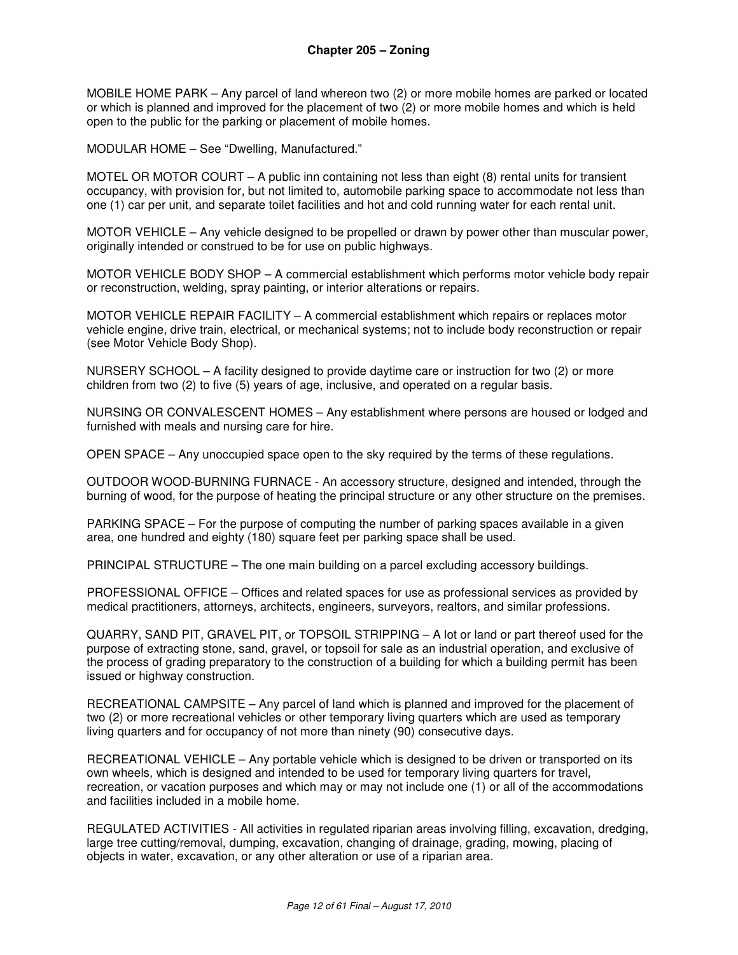MOBILE HOME PARK – Any parcel of land whereon two (2) or more mobile homes are parked or located or which is planned and improved for the placement of two (2) or more mobile homes and which is held open to the public for the parking or placement of mobile homes.

MODULAR HOME – See "Dwelling, Manufactured."

MOTEL OR MOTOR COURT – A public inn containing not less than eight (8) rental units for transient occupancy, with provision for, but not limited to, automobile parking space to accommodate not less than one (1) car per unit, and separate toilet facilities and hot and cold running water for each rental unit.

MOTOR VEHICLE – Any vehicle designed to be propelled or drawn by power other than muscular power, originally intended or construed to be for use on public highways.

MOTOR VEHICLE BODY SHOP – A commercial establishment which performs motor vehicle body repair or reconstruction, welding, spray painting, or interior alterations or repairs.

MOTOR VEHICLE REPAIR FACILITY – A commercial establishment which repairs or replaces motor vehicle engine, drive train, electrical, or mechanical systems; not to include body reconstruction or repair (see Motor Vehicle Body Shop).

NURSERY SCHOOL – A facility designed to provide daytime care or instruction for two (2) or more children from two (2) to five (5) years of age, inclusive, and operated on a regular basis.

NURSING OR CONVALESCENT HOMES – Any establishment where persons are housed or lodged and furnished with meals and nursing care for hire.

OPEN SPACE – Any unoccupied space open to the sky required by the terms of these regulations.

OUTDOOR WOOD-BURNING FURNACE - An accessory structure, designed and intended, through the burning of wood, for the purpose of heating the principal structure or any other structure on the premises.

PARKING SPACE – For the purpose of computing the number of parking spaces available in a given area, one hundred and eighty (180) square feet per parking space shall be used.

PRINCIPAL STRUCTURE – The one main building on a parcel excluding accessory buildings.

PROFESSIONAL OFFICE – Offices and related spaces for use as professional services as provided by medical practitioners, attorneys, architects, engineers, surveyors, realtors, and similar professions.

QUARRY, SAND PIT, GRAVEL PIT, or TOPSOIL STRIPPING – A lot or land or part thereof used for the purpose of extracting stone, sand, gravel, or topsoil for sale as an industrial operation, and exclusive of the process of grading preparatory to the construction of a building for which a building permit has been issued or highway construction.

RECREATIONAL CAMPSITE – Any parcel of land which is planned and improved for the placement of two (2) or more recreational vehicles or other temporary living quarters which are used as temporary living quarters and for occupancy of not more than ninety (90) consecutive days.

RECREATIONAL VEHICLE – Any portable vehicle which is designed to be driven or transported on its own wheels, which is designed and intended to be used for temporary living quarters for travel, recreation, or vacation purposes and which may or may not include one (1) or all of the accommodations and facilities included in a mobile home.

REGULATED ACTIVITIES - All activities in regulated riparian areas involving filling, excavation, dredging, large tree cutting/removal, dumping, excavation, changing of drainage, grading, mowing, placing of objects in water, excavation, or any other alteration or use of a riparian area.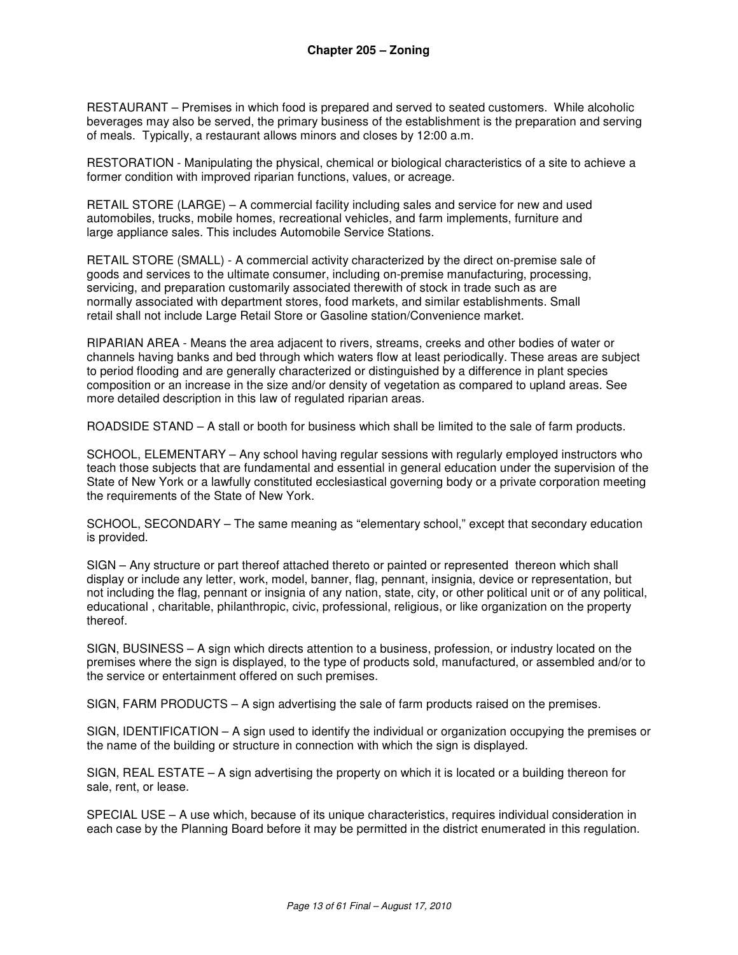RESTAURANT – Premises in which food is prepared and served to seated customers. While alcoholic beverages may also be served, the primary business of the establishment is the preparation and serving of meals. Typically, a restaurant allows minors and closes by 12:00 a.m.

RESTORATION - Manipulating the physical, chemical or biological characteristics of a site to achieve a former condition with improved riparian functions, values, or acreage.

RETAIL STORE (LARGE) – A commercial facility including sales and service for new and used automobiles, trucks, mobile homes, recreational vehicles, and farm implements, furniture and large appliance sales. This includes Automobile Service Stations.

RETAIL STORE (SMALL) - A commercial activity characterized by the direct on-premise sale of goods and services to the ultimate consumer, including on-premise manufacturing, processing, servicing, and preparation customarily associated therewith of stock in trade such as are normally associated with department stores, food markets, and similar establishments. Small retail shall not include Large Retail Store or Gasoline station/Convenience market.

RIPARIAN AREA - Means the area adjacent to rivers, streams, creeks and other bodies of water or channels having banks and bed through which waters flow at least periodically. These areas are subject to period flooding and are generally characterized or distinguished by a difference in plant species composition or an increase in the size and/or density of vegetation as compared to upland areas. See more detailed description in this law of regulated riparian areas.

ROADSIDE STAND – A stall or booth for business which shall be limited to the sale of farm products.

SCHOOL, ELEMENTARY – Any school having regular sessions with regularly employed instructors who teach those subjects that are fundamental and essential in general education under the supervision of the State of New York or a lawfully constituted ecclesiastical governing body or a private corporation meeting the requirements of the State of New York.

SCHOOL, SECONDARY – The same meaning as "elementary school," except that secondary education is provided.

SIGN – Any structure or part thereof attached thereto or painted or represented thereon which shall display or include any letter, work, model, banner, flag, pennant, insignia, device or representation, but not including the flag, pennant or insignia of any nation, state, city, or other political unit or of any political, educational , charitable, philanthropic, civic, professional, religious, or like organization on the property thereof.

SIGN, BUSINESS – A sign which directs attention to a business, profession, or industry located on the premises where the sign is displayed, to the type of products sold, manufactured, or assembled and/or to the service or entertainment offered on such premises.

SIGN, FARM PRODUCTS – A sign advertising the sale of farm products raised on the premises.

SIGN, IDENTIFICATION – A sign used to identify the individual or organization occupying the premises or the name of the building or structure in connection with which the sign is displayed.

SIGN, REAL ESTATE – A sign advertising the property on which it is located or a building thereon for sale, rent, or lease.

SPECIAL USE – A use which, because of its unique characteristics, requires individual consideration in each case by the Planning Board before it may be permitted in the district enumerated in this regulation.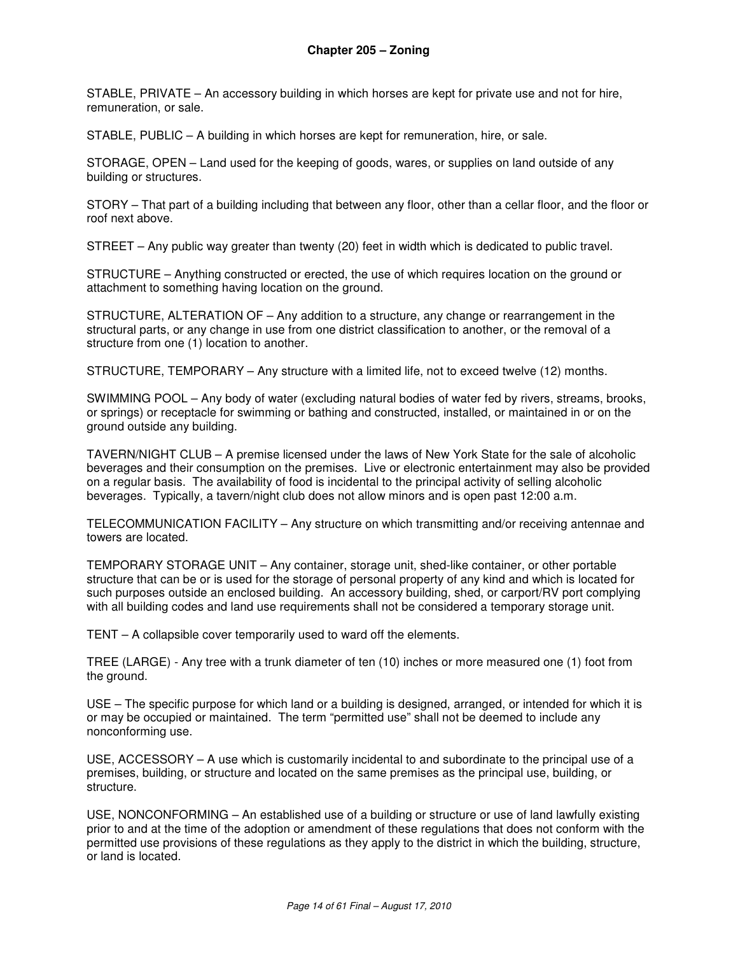STABLE, PRIVATE – An accessory building in which horses are kept for private use and not for hire, remuneration, or sale.

STABLE, PUBLIC – A building in which horses are kept for remuneration, hire, or sale.

STORAGE, OPEN – Land used for the keeping of goods, wares, or supplies on land outside of any building or structures.

STORY – That part of a building including that between any floor, other than a cellar floor, and the floor or roof next above.

STREET – Any public way greater than twenty (20) feet in width which is dedicated to public travel.

STRUCTURE – Anything constructed or erected, the use of which requires location on the ground or attachment to something having location on the ground.

STRUCTURE, ALTERATION OF – Any addition to a structure, any change or rearrangement in the structural parts, or any change in use from one district classification to another, or the removal of a structure from one (1) location to another.

STRUCTURE, TEMPORARY – Any structure with a limited life, not to exceed twelve (12) months.

SWIMMING POOL – Any body of water (excluding natural bodies of water fed by rivers, streams, brooks, or springs) or receptacle for swimming or bathing and constructed, installed, or maintained in or on the ground outside any building.

TAVERN/NIGHT CLUB – A premise licensed under the laws of New York State for the sale of alcoholic beverages and their consumption on the premises. Live or electronic entertainment may also be provided on a regular basis. The availability of food is incidental to the principal activity of selling alcoholic beverages. Typically, a tavern/night club does not allow minors and is open past 12:00 a.m.

TELECOMMUNICATION FACILITY – Any structure on which transmitting and/or receiving antennae and towers are located.

TEMPORARY STORAGE UNIT – Any container, storage unit, shed-like container, or other portable structure that can be or is used for the storage of personal property of any kind and which is located for such purposes outside an enclosed building. An accessory building, shed, or carport/RV port complying with all building codes and land use requirements shall not be considered a temporary storage unit.

TENT – A collapsible cover temporarily used to ward off the elements.

TREE (LARGE) - Any tree with a trunk diameter of ten (10) inches or more measured one (1) foot from the ground.

USE – The specific purpose for which land or a building is designed, arranged, or intended for which it is or may be occupied or maintained. The term "permitted use" shall not be deemed to include any nonconforming use.

USE, ACCESSORY – A use which is customarily incidental to and subordinate to the principal use of a premises, building, or structure and located on the same premises as the principal use, building, or structure.

USE, NONCONFORMING – An established use of a building or structure or use of land lawfully existing prior to and at the time of the adoption or amendment of these regulations that does not conform with the permitted use provisions of these regulations as they apply to the district in which the building, structure, or land is located.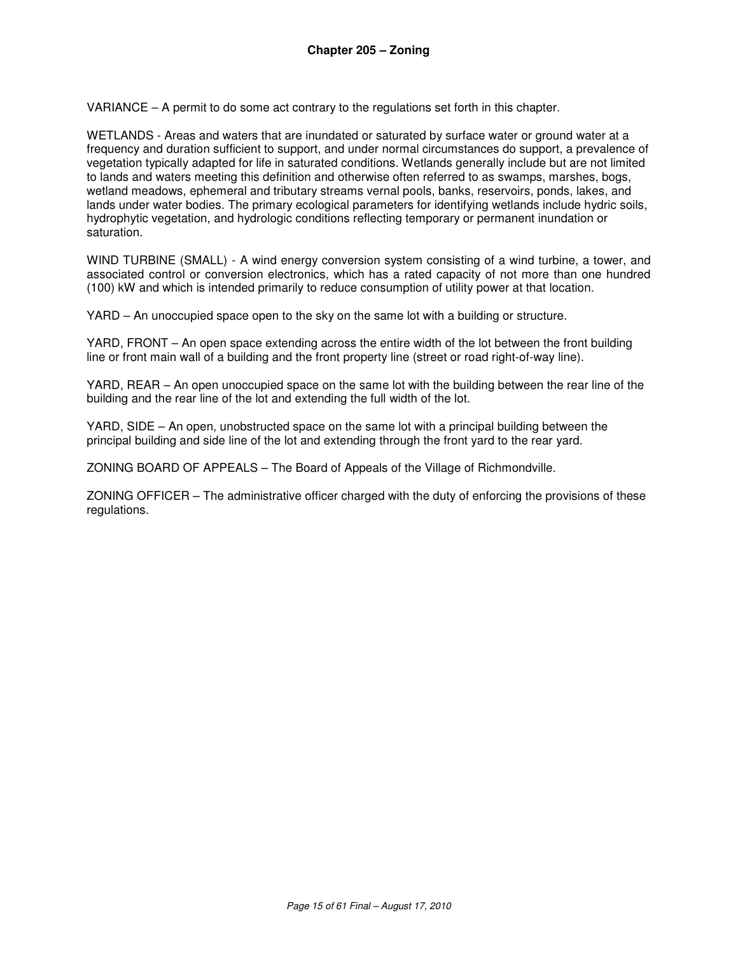VARIANCE – A permit to do some act contrary to the regulations set forth in this chapter.

WETLANDS - Areas and waters that are inundated or saturated by surface water or ground water at a frequency and duration sufficient to support, and under normal circumstances do support, a prevalence of vegetation typically adapted for life in saturated conditions. Wetlands generally include but are not limited to lands and waters meeting this definition and otherwise often referred to as swamps, marshes, bogs, wetland meadows, ephemeral and tributary streams vernal pools, banks, reservoirs, ponds, lakes, and lands under water bodies. The primary ecological parameters for identifying wetlands include hydric soils, hydrophytic vegetation, and hydrologic conditions reflecting temporary or permanent inundation or saturation.

WIND TURBINE (SMALL) - A wind energy conversion system consisting of a wind turbine, a tower, and associated control or conversion electronics, which has a rated capacity of not more than one hundred (100) kW and which is intended primarily to reduce consumption of utility power at that location.

YARD – An unoccupied space open to the sky on the same lot with a building or structure.

YARD, FRONT – An open space extending across the entire width of the lot between the front building line or front main wall of a building and the front property line (street or road right-of-way line).

YARD, REAR – An open unoccupied space on the same lot with the building between the rear line of the building and the rear line of the lot and extending the full width of the lot.

YARD, SIDE – An open, unobstructed space on the same lot with a principal building between the principal building and side line of the lot and extending through the front yard to the rear yard.

ZONING BOARD OF APPEALS – The Board of Appeals of the Village of Richmondville.

ZONING OFFICER – The administrative officer charged with the duty of enforcing the provisions of these regulations.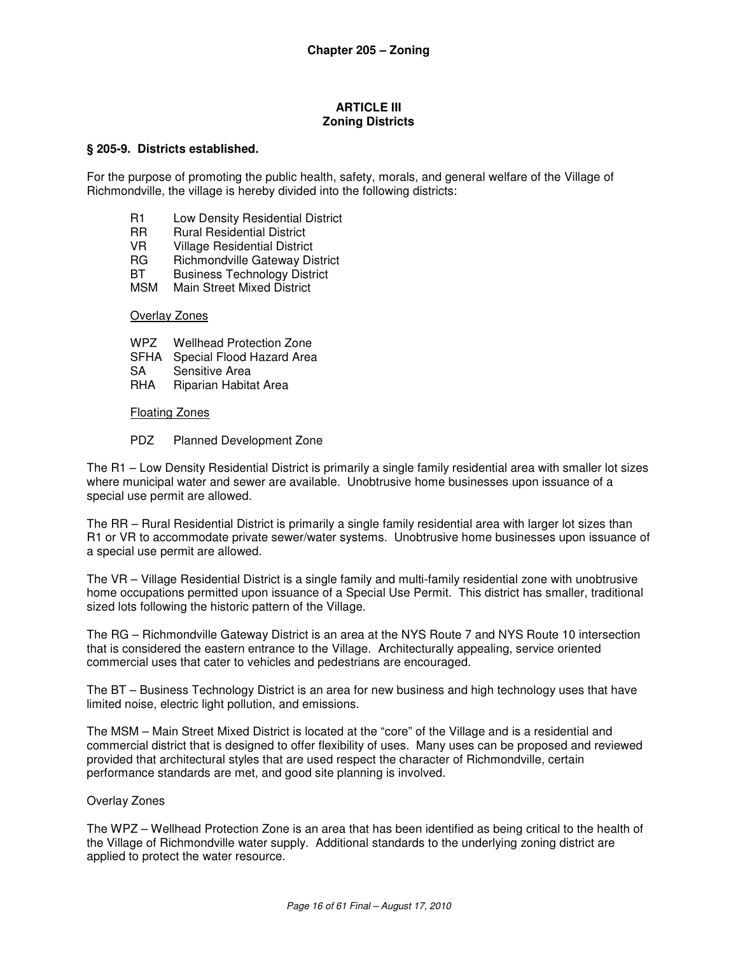#### **ARTICLE III Zoning Districts**

#### **§ 205-9. Districts established.**

For the purpose of promoting the public health, safety, morals, and general welfare of the Village of Richmondville, the village is hereby divided into the following districts:

- R1 Low Density Residential District
- RR Rural Residential District
- VR Village Residential District
- RG Richmondville Gateway District
- BT Business Technology District
- MSM Main Street Mixed District

#### Overlay Zones

- WPZ Wellhead Protection Zone
- SFHA Special Flood Hazard Area
- SA Sensitive Area
- RHA Riparian Habitat Area

#### Floating Zones

#### PDZ Planned Development Zone

The R1 – Low Density Residential District is primarily a single family residential area with smaller lot sizes where municipal water and sewer are available. Unobtrusive home businesses upon issuance of a special use permit are allowed.

The RR – Rural Residential District is primarily a single family residential area with larger lot sizes than R1 or VR to accommodate private sewer/water systems. Unobtrusive home businesses upon issuance of a special use permit are allowed.

The VR – Village Residential District is a single family and multi-family residential zone with unobtrusive home occupations permitted upon issuance of a Special Use Permit. This district has smaller, traditional sized lots following the historic pattern of the Village.

The RG – Richmondville Gateway District is an area at the NYS Route 7 and NYS Route 10 intersection that is considered the eastern entrance to the Village. Architecturally appealing, service oriented commercial uses that cater to vehicles and pedestrians are encouraged.

The BT – Business Technology District is an area for new business and high technology uses that have limited noise, electric light pollution, and emissions.

The MSM – Main Street Mixed District is located at the "core" of the Village and is a residential and commercial district that is designed to offer flexibility of uses. Many uses can be proposed and reviewed provided that architectural styles that are used respect the character of Richmondville, certain performance standards are met, and good site planning is involved.

#### Overlay Zones

The WPZ – Wellhead Protection Zone is an area that has been identified as being critical to the health of the Village of Richmondville water supply. Additional standards to the underlying zoning district are applied to protect the water resource.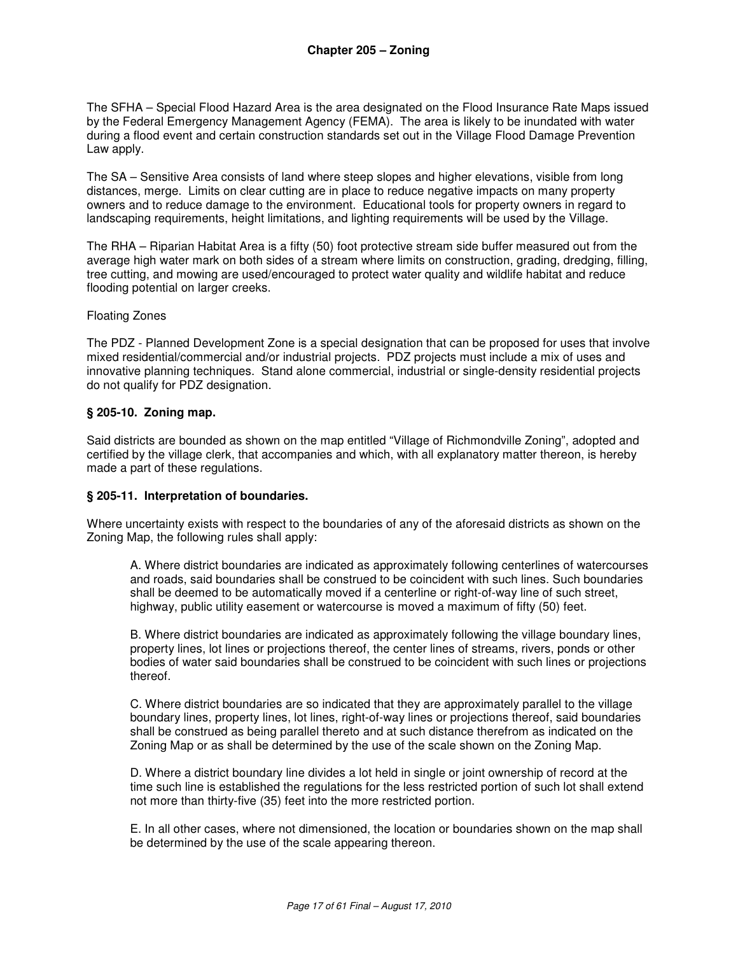The SFHA – Special Flood Hazard Area is the area designated on the Flood Insurance Rate Maps issued by the Federal Emergency Management Agency (FEMA). The area is likely to be inundated with water during a flood event and certain construction standards set out in the Village Flood Damage Prevention Law apply.

The SA – Sensitive Area consists of land where steep slopes and higher elevations, visible from long distances, merge. Limits on clear cutting are in place to reduce negative impacts on many property owners and to reduce damage to the environment. Educational tools for property owners in regard to landscaping requirements, height limitations, and lighting requirements will be used by the Village.

The RHA – Riparian Habitat Area is a fifty (50) foot protective stream side buffer measured out from the average high water mark on both sides of a stream where limits on construction, grading, dredging, filling, tree cutting, and mowing are used/encouraged to protect water quality and wildlife habitat and reduce flooding potential on larger creeks.

#### Floating Zones

The PDZ - Planned Development Zone is a special designation that can be proposed for uses that involve mixed residential/commercial and/or industrial projects. PDZ projects must include a mix of uses and innovative planning techniques. Stand alone commercial, industrial or single-density residential projects do not qualify for PDZ designation.

#### **§ 205-10. Zoning map.**

Said districts are bounded as shown on the map entitled "Village of Richmondville Zoning", adopted and certified by the village clerk, that accompanies and which, with all explanatory matter thereon, is hereby made a part of these regulations.

#### **§ 205-11. Interpretation of boundaries.**

Where uncertainty exists with respect to the boundaries of any of the aforesaid districts as shown on the Zoning Map, the following rules shall apply:

A. Where district boundaries are indicated as approximately following centerlines of watercourses and roads, said boundaries shall be construed to be coincident with such lines. Such boundaries shall be deemed to be automatically moved if a centerline or right-of-way line of such street, highway, public utility easement or watercourse is moved a maximum of fifty (50) feet.

B. Where district boundaries are indicated as approximately following the village boundary lines, property lines, lot lines or projections thereof, the center lines of streams, rivers, ponds or other bodies of water said boundaries shall be construed to be coincident with such lines or projections thereof.

C. Where district boundaries are so indicated that they are approximately parallel to the village boundary lines, property lines, lot lines, right-of-way lines or projections thereof, said boundaries shall be construed as being parallel thereto and at such distance therefrom as indicated on the Zoning Map or as shall be determined by the use of the scale shown on the Zoning Map.

D. Where a district boundary line divides a lot held in single or joint ownership of record at the time such line is established the regulations for the less restricted portion of such lot shall extend not more than thirty-five (35) feet into the more restricted portion.

E. In all other cases, where not dimensioned, the location or boundaries shown on the map shall be determined by the use of the scale appearing thereon.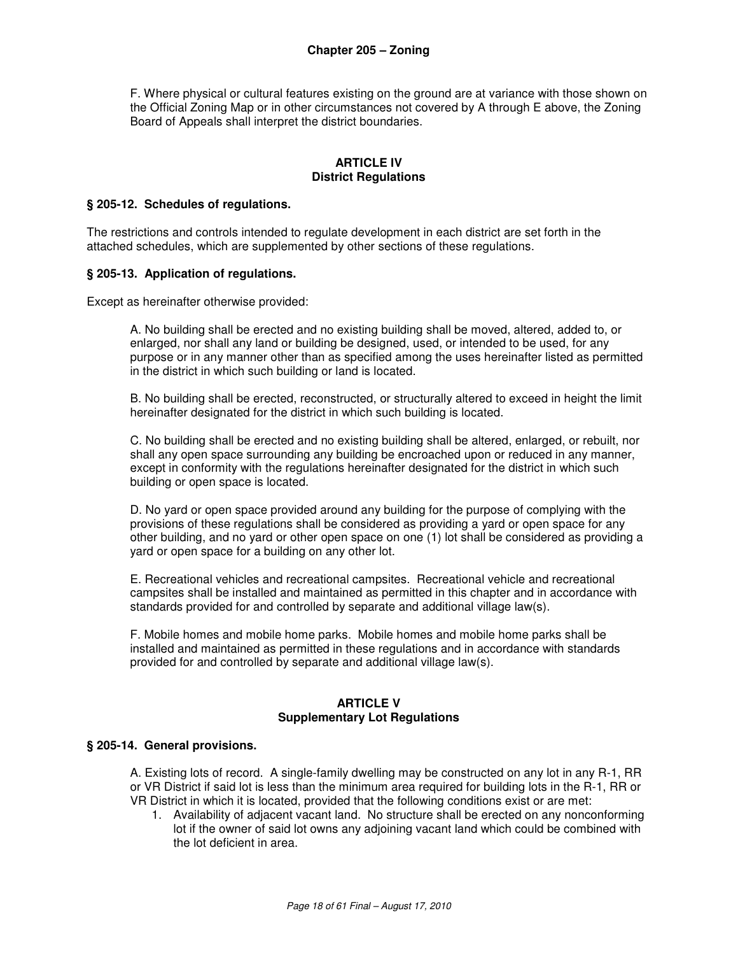F. Where physical or cultural features existing on the ground are at variance with those shown on the Official Zoning Map or in other circumstances not covered by A through E above, the Zoning Board of Appeals shall interpret the district boundaries.

#### **ARTICLE IV District Regulations**

#### **§ 205-12. Schedules of regulations.**

The restrictions and controls intended to regulate development in each district are set forth in the attached schedules, which are supplemented by other sections of these regulations.

#### **§ 205-13. Application of regulations.**

Except as hereinafter otherwise provided:

A. No building shall be erected and no existing building shall be moved, altered, added to, or enlarged, nor shall any land or building be designed, used, or intended to be used, for any purpose or in any manner other than as specified among the uses hereinafter listed as permitted in the district in which such building or land is located.

B. No building shall be erected, reconstructed, or structurally altered to exceed in height the limit hereinafter designated for the district in which such building is located.

C. No building shall be erected and no existing building shall be altered, enlarged, or rebuilt, nor shall any open space surrounding any building be encroached upon or reduced in any manner, except in conformity with the regulations hereinafter designated for the district in which such building or open space is located.

D. No yard or open space provided around any building for the purpose of complying with the provisions of these regulations shall be considered as providing a yard or open space for any other building, and no yard or other open space on one (1) lot shall be considered as providing a yard or open space for a building on any other lot.

E. Recreational vehicles and recreational campsites. Recreational vehicle and recreational campsites shall be installed and maintained as permitted in this chapter and in accordance with standards provided for and controlled by separate and additional village law(s).

F. Mobile homes and mobile home parks. Mobile homes and mobile home parks shall be installed and maintained as permitted in these regulations and in accordance with standards provided for and controlled by separate and additional village law(s).

#### **ARTICLE V Supplementary Lot Regulations**

#### **§ 205-14. General provisions.**

A. Existing lots of record. A single-family dwelling may be constructed on any lot in any R-1, RR or VR District if said lot is less than the minimum area required for building lots in the R-1, RR or VR District in which it is located, provided that the following conditions exist or are met:

1. Availability of adjacent vacant land. No structure shall be erected on any nonconforming lot if the owner of said lot owns any adjoining vacant land which could be combined with the lot deficient in area.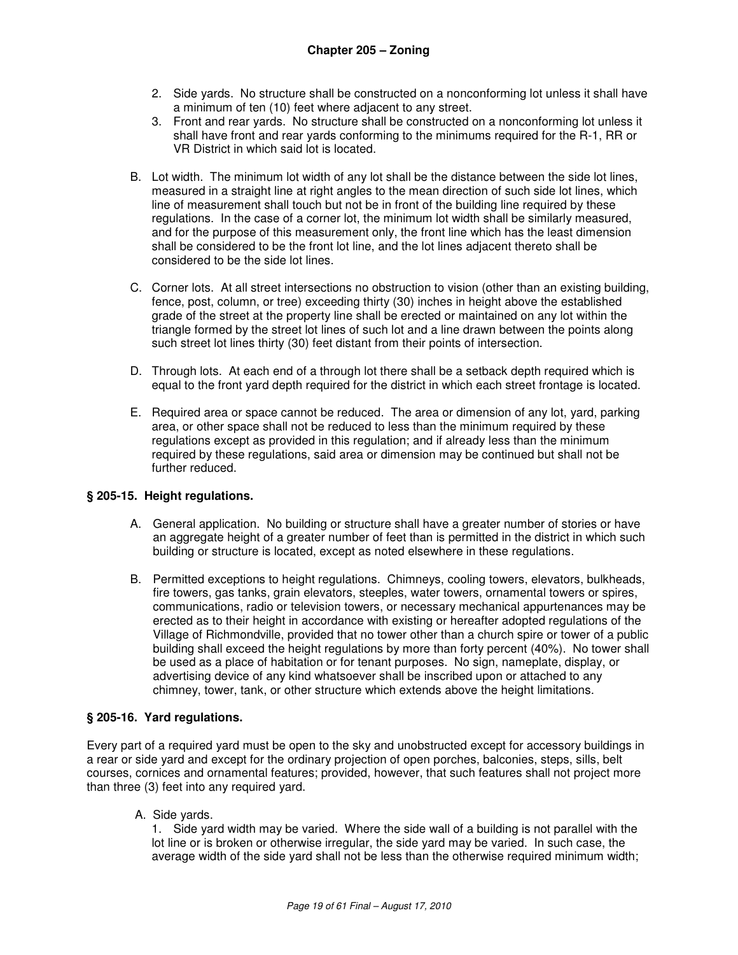- 2. Side yards. No structure shall be constructed on a nonconforming lot unless it shall have a minimum of ten (10) feet where adjacent to any street.
- 3. Front and rear yards. No structure shall be constructed on a nonconforming lot unless it shall have front and rear yards conforming to the minimums required for the R-1, RR or VR District in which said lot is located.
- B. Lot width. The minimum lot width of any lot shall be the distance between the side lot lines, measured in a straight line at right angles to the mean direction of such side lot lines, which line of measurement shall touch but not be in front of the building line required by these regulations. In the case of a corner lot, the minimum lot width shall be similarly measured, and for the purpose of this measurement only, the front line which has the least dimension shall be considered to be the front lot line, and the lot lines adjacent thereto shall be considered to be the side lot lines.
- C. Corner lots. At all street intersections no obstruction to vision (other than an existing building, fence, post, column, or tree) exceeding thirty (30) inches in height above the established grade of the street at the property line shall be erected or maintained on any lot within the triangle formed by the street lot lines of such lot and a line drawn between the points along such street lot lines thirty (30) feet distant from their points of intersection.
- D. Through lots. At each end of a through lot there shall be a setback depth required which is equal to the front yard depth required for the district in which each street frontage is located.
- E. Required area or space cannot be reduced. The area or dimension of any lot, yard, parking area, or other space shall not be reduced to less than the minimum required by these regulations except as provided in this regulation; and if already less than the minimum required by these regulations, said area or dimension may be continued but shall not be further reduced.

## **§ 205-15. Height regulations.**

- A. General application. No building or structure shall have a greater number of stories or have an aggregate height of a greater number of feet than is permitted in the district in which such building or structure is located, except as noted elsewhere in these regulations.
- B. Permitted exceptions to height regulations. Chimneys, cooling towers, elevators, bulkheads, fire towers, gas tanks, grain elevators, steeples, water towers, ornamental towers or spires, communications, radio or television towers, or necessary mechanical appurtenances may be erected as to their height in accordance with existing or hereafter adopted regulations of the Village of Richmondville, provided that no tower other than a church spire or tower of a public building shall exceed the height regulations by more than forty percent (40%). No tower shall be used as a place of habitation or for tenant purposes. No sign, nameplate, display, or advertising device of any kind whatsoever shall be inscribed upon or attached to any chimney, tower, tank, or other structure which extends above the height limitations.

#### **§ 205-16. Yard regulations.**

Every part of a required yard must be open to the sky and unobstructed except for accessory buildings in a rear or side yard and except for the ordinary projection of open porches, balconies, steps, sills, belt courses, cornices and ornamental features; provided, however, that such features shall not project more than three (3) feet into any required yard.

A. Side yards.

1. Side yard width may be varied. Where the side wall of a building is not parallel with the lot line or is broken or otherwise irregular, the side yard may be varied. In such case, the average width of the side yard shall not be less than the otherwise required minimum width;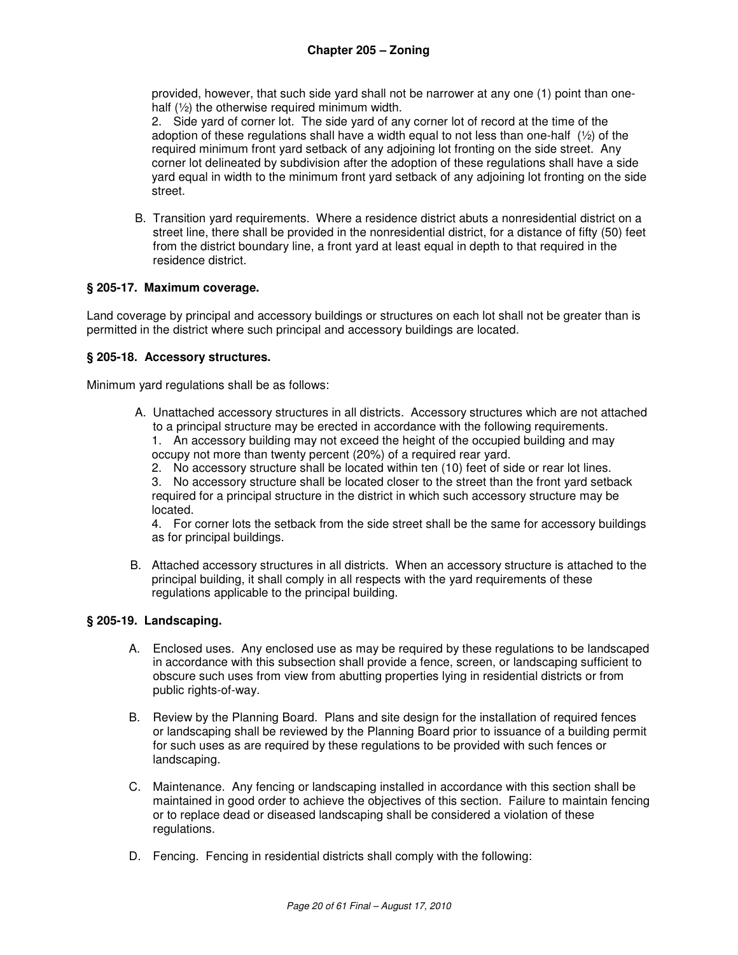provided, however, that such side yard shall not be narrower at any one (1) point than onehalf (½) the otherwise required minimum width.

2. Side yard of corner lot. The side yard of any corner lot of record at the time of the adoption of these regulations shall have a width equal to not less than one-half  $(1/2)$  of the required minimum front yard setback of any adjoining lot fronting on the side street. Any corner lot delineated by subdivision after the adoption of these regulations shall have a side yard equal in width to the minimum front yard setback of any adjoining lot fronting on the side street.

B. Transition yard requirements. Where a residence district abuts a nonresidential district on a street line, there shall be provided in the nonresidential district, for a distance of fifty (50) feet from the district boundary line, a front yard at least equal in depth to that required in the residence district.

## **§ 205-17. Maximum coverage.**

Land coverage by principal and accessory buildings or structures on each lot shall not be greater than is permitted in the district where such principal and accessory buildings are located.

#### **§ 205-18. Accessory structures.**

Minimum yard regulations shall be as follows:

- A. Unattached accessory structures in all districts. Accessory structures which are not attached to a principal structure may be erected in accordance with the following requirements.
	- 1. An accessory building may not exceed the height of the occupied building and may occupy not more than twenty percent (20%) of a required rear yard.
	- 2. No accessory structure shall be located within ten (10) feet of side or rear lot lines.

3. No accessory structure shall be located closer to the street than the front yard setback required for a principal structure in the district in which such accessory structure may be located.

4. For corner lots the setback from the side street shall be the same for accessory buildings as for principal buildings.

B. Attached accessory structures in all districts. When an accessory structure is attached to the principal building, it shall comply in all respects with the yard requirements of these regulations applicable to the principal building.

## **§ 205-19. Landscaping.**

- A. Enclosed uses. Any enclosed use as may be required by these regulations to be landscaped in accordance with this subsection shall provide a fence, screen, or landscaping sufficient to obscure such uses from view from abutting properties lying in residential districts or from public rights-of-way.
- B. Review by the Planning Board. Plans and site design for the installation of required fences or landscaping shall be reviewed by the Planning Board prior to issuance of a building permit for such uses as are required by these regulations to be provided with such fences or landscaping.
- C. Maintenance. Any fencing or landscaping installed in accordance with this section shall be maintained in good order to achieve the objectives of this section. Failure to maintain fencing or to replace dead or diseased landscaping shall be considered a violation of these regulations.
- D. Fencing. Fencing in residential districts shall comply with the following: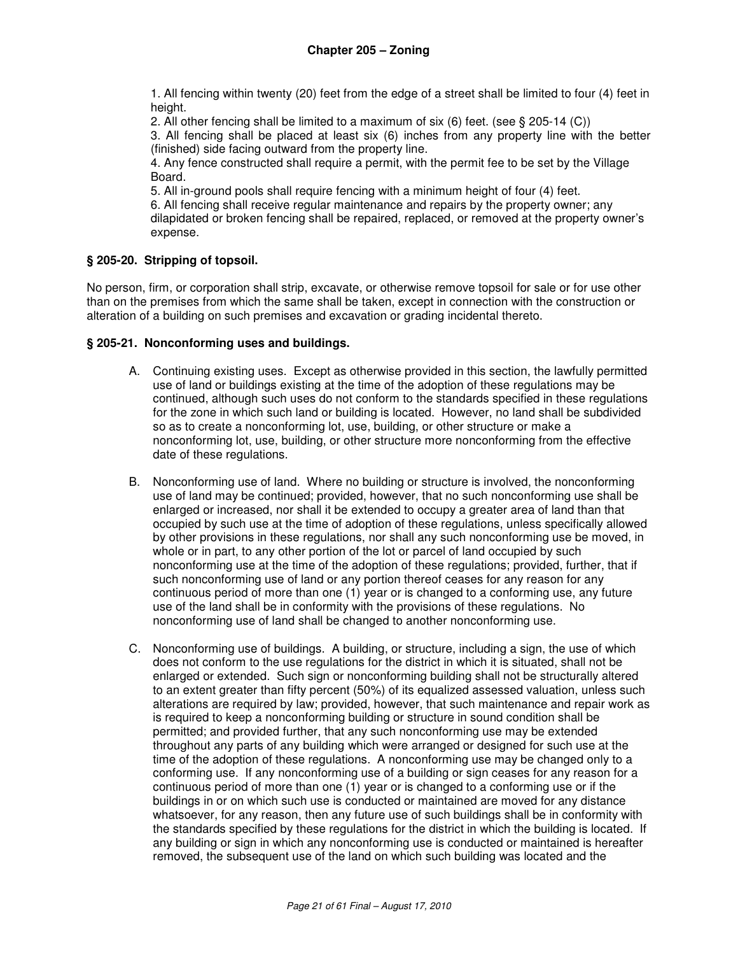1. All fencing within twenty (20) feet from the edge of a street shall be limited to four (4) feet in height.

2. All other fencing shall be limited to a maximum of six (6) feet. (see § 205-14 (C))

3. All fencing shall be placed at least six (6) inches from any property line with the better (finished) side facing outward from the property line.

4. Any fence constructed shall require a permit, with the permit fee to be set by the Village Board.

5. All in-ground pools shall require fencing with a minimum height of four (4) feet.

6. All fencing shall receive regular maintenance and repairs by the property owner; any dilapidated or broken fencing shall be repaired, replaced, or removed at the property owner's expense.

## **§ 205-20. Stripping of topsoil.**

No person, firm, or corporation shall strip, excavate, or otherwise remove topsoil for sale or for use other than on the premises from which the same shall be taken, except in connection with the construction or alteration of a building on such premises and excavation or grading incidental thereto.

#### **§ 205-21. Nonconforming uses and buildings.**

- A. Continuing existing uses. Except as otherwise provided in this section, the lawfully permitted use of land or buildings existing at the time of the adoption of these regulations may be continued, although such uses do not conform to the standards specified in these regulations for the zone in which such land or building is located. However, no land shall be subdivided so as to create a nonconforming lot, use, building, or other structure or make a nonconforming lot, use, building, or other structure more nonconforming from the effective date of these regulations.
- B. Nonconforming use of land. Where no building or structure is involved, the nonconforming use of land may be continued; provided, however, that no such nonconforming use shall be enlarged or increased, nor shall it be extended to occupy a greater area of land than that occupied by such use at the time of adoption of these regulations, unless specifically allowed by other provisions in these regulations, nor shall any such nonconforming use be moved, in whole or in part, to any other portion of the lot or parcel of land occupied by such nonconforming use at the time of the adoption of these regulations; provided, further, that if such nonconforming use of land or any portion thereof ceases for any reason for any continuous period of more than one (1) year or is changed to a conforming use, any future use of the land shall be in conformity with the provisions of these regulations. No nonconforming use of land shall be changed to another nonconforming use.
- C. Nonconforming use of buildings. A building, or structure, including a sign, the use of which does not conform to the use regulations for the district in which it is situated, shall not be enlarged or extended. Such sign or nonconforming building shall not be structurally altered to an extent greater than fifty percent (50%) of its equalized assessed valuation, unless such alterations are required by law; provided, however, that such maintenance and repair work as is required to keep a nonconforming building or structure in sound condition shall be permitted; and provided further, that any such nonconforming use may be extended throughout any parts of any building which were arranged or designed for such use at the time of the adoption of these regulations. A nonconforming use may be changed only to a conforming use. If any nonconforming use of a building or sign ceases for any reason for a continuous period of more than one (1) year or is changed to a conforming use or if the buildings in or on which such use is conducted or maintained are moved for any distance whatsoever, for any reason, then any future use of such buildings shall be in conformity with the standards specified by these regulations for the district in which the building is located. If any building or sign in which any nonconforming use is conducted or maintained is hereafter removed, the subsequent use of the land on which such building was located and the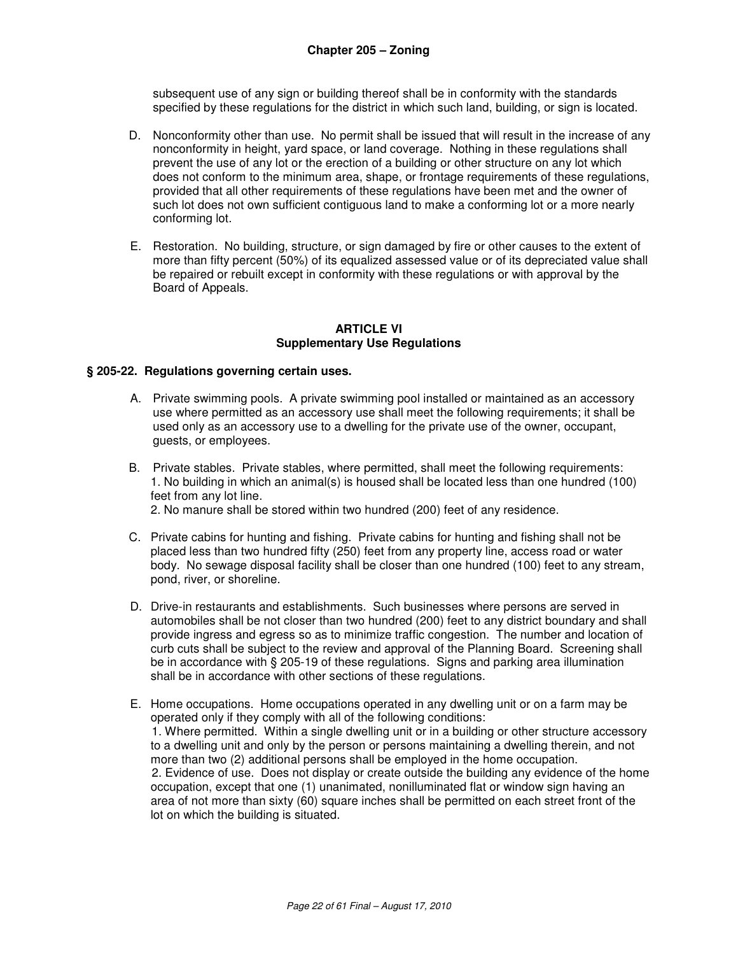subsequent use of any sign or building thereof shall be in conformity with the standards specified by these regulations for the district in which such land, building, or sign is located.

- D. Nonconformity other than use. No permit shall be issued that will result in the increase of any nonconformity in height, yard space, or land coverage. Nothing in these regulations shall prevent the use of any lot or the erection of a building or other structure on any lot which does not conform to the minimum area, shape, or frontage requirements of these regulations, provided that all other requirements of these regulations have been met and the owner of such lot does not own sufficient contiguous land to make a conforming lot or a more nearly conforming lot.
- E. Restoration. No building, structure, or sign damaged by fire or other causes to the extent of more than fifty percent (50%) of its equalized assessed value or of its depreciated value shall be repaired or rebuilt except in conformity with these regulations or with approval by the Board of Appeals.

#### **ARTICLE VI Supplementary Use Regulations**

#### **§ 205-22. Regulations governing certain uses.**

- A. Private swimming pools. A private swimming pool installed or maintained as an accessory use where permitted as an accessory use shall meet the following requirements; it shall be used only as an accessory use to a dwelling for the private use of the owner, occupant, guests, or employees.
- B. Private stables. Private stables, where permitted, shall meet the following requirements: 1. No building in which an animal(s) is housed shall be located less than one hundred (100) feet from any lot line. 2. No manure shall be stored within two hundred (200) feet of any residence.
	-
- C. Private cabins for hunting and fishing. Private cabins for hunting and fishing shall not be placed less than two hundred fifty (250) feet from any property line, access road or water body. No sewage disposal facility shall be closer than one hundred (100) feet to any stream, pond, river, or shoreline.
- D. Drive-in restaurants and establishments. Such businesses where persons are served in automobiles shall be not closer than two hundred (200) feet to any district boundary and shall provide ingress and egress so as to minimize traffic congestion. The number and location of curb cuts shall be subject to the review and approval of the Planning Board. Screening shall be in accordance with § 205-19 of these regulations. Signs and parking area illumination shall be in accordance with other sections of these regulations.
- E. Home occupations. Home occupations operated in any dwelling unit or on a farm may be operated only if they comply with all of the following conditions: 1. Where permitted. Within a single dwelling unit or in a building or other structure accessory to a dwelling unit and only by the person or persons maintaining a dwelling therein, and not more than two (2) additional persons shall be employed in the home occupation. 2. Evidence of use. Does not display or create outside the building any evidence of the home occupation, except that one (1) unanimated, nonilluminated flat or window sign having an area of not more than sixty (60) square inches shall be permitted on each street front of the lot on which the building is situated.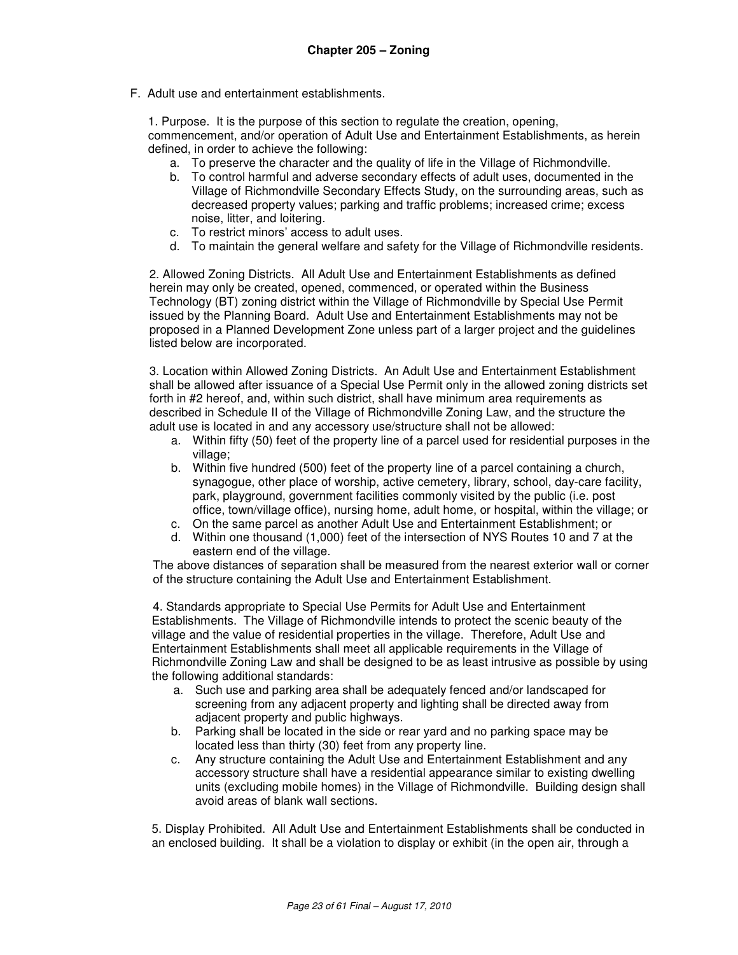F. Adult use and entertainment establishments.

1. Purpose. It is the purpose of this section to regulate the creation, opening, commencement, and/or operation of Adult Use and Entertainment Establishments, as herein defined, in order to achieve the following:

- a. To preserve the character and the quality of life in the Village of Richmondville.
- b. To control harmful and adverse secondary effects of adult uses, documented in the Village of Richmondville Secondary Effects Study, on the surrounding areas, such as decreased property values; parking and traffic problems; increased crime; excess noise, litter, and loitering.
- c. To restrict minors' access to adult uses.
- d. To maintain the general welfare and safety for the Village of Richmondville residents.

2. Allowed Zoning Districts. All Adult Use and Entertainment Establishments as defined herein may only be created, opened, commenced, or operated within the Business Technology (BT) zoning district within the Village of Richmondville by Special Use Permit issued by the Planning Board. Adult Use and Entertainment Establishments may not be proposed in a Planned Development Zone unless part of a larger project and the guidelines listed below are incorporated.

3. Location within Allowed Zoning Districts. An Adult Use and Entertainment Establishment shall be allowed after issuance of a Special Use Permit only in the allowed zoning districts set forth in #2 hereof, and, within such district, shall have minimum area requirements as described in Schedule II of the Village of Richmondville Zoning Law, and the structure the adult use is located in and any accessory use/structure shall not be allowed:

- a. Within fifty (50) feet of the property line of a parcel used for residential purposes in the village:
- b. Within five hundred (500) feet of the property line of a parcel containing a church, synagogue, other place of worship, active cemetery, library, school, day-care facility, park, playground, government facilities commonly visited by the public (i.e. post office, town/village office), nursing home, adult home, or hospital, within the village; or
- c. On the same parcel as another Adult Use and Entertainment Establishment; or
- d. Within one thousand (1,000) feet of the intersection of NYS Routes 10 and 7 at the eastern end of the village.

The above distances of separation shall be measured from the nearest exterior wall or corner of the structure containing the Adult Use and Entertainment Establishment.

4. Standards appropriate to Special Use Permits for Adult Use and Entertainment Establishments. The Village of Richmondville intends to protect the scenic beauty of the village and the value of residential properties in the village. Therefore, Adult Use and Entertainment Establishments shall meet all applicable requirements in the Village of Richmondville Zoning Law and shall be designed to be as least intrusive as possible by using the following additional standards:

- a. Such use and parking area shall be adequately fenced and/or landscaped for screening from any adjacent property and lighting shall be directed away from adjacent property and public highways.
- b. Parking shall be located in the side or rear yard and no parking space may be located less than thirty (30) feet from any property line.
- c. Any structure containing the Adult Use and Entertainment Establishment and any accessory structure shall have a residential appearance similar to existing dwelling units (excluding mobile homes) in the Village of Richmondville. Building design shall avoid areas of blank wall sections.

5. Display Prohibited. All Adult Use and Entertainment Establishments shall be conducted in an enclosed building. It shall be a violation to display or exhibit (in the open air, through a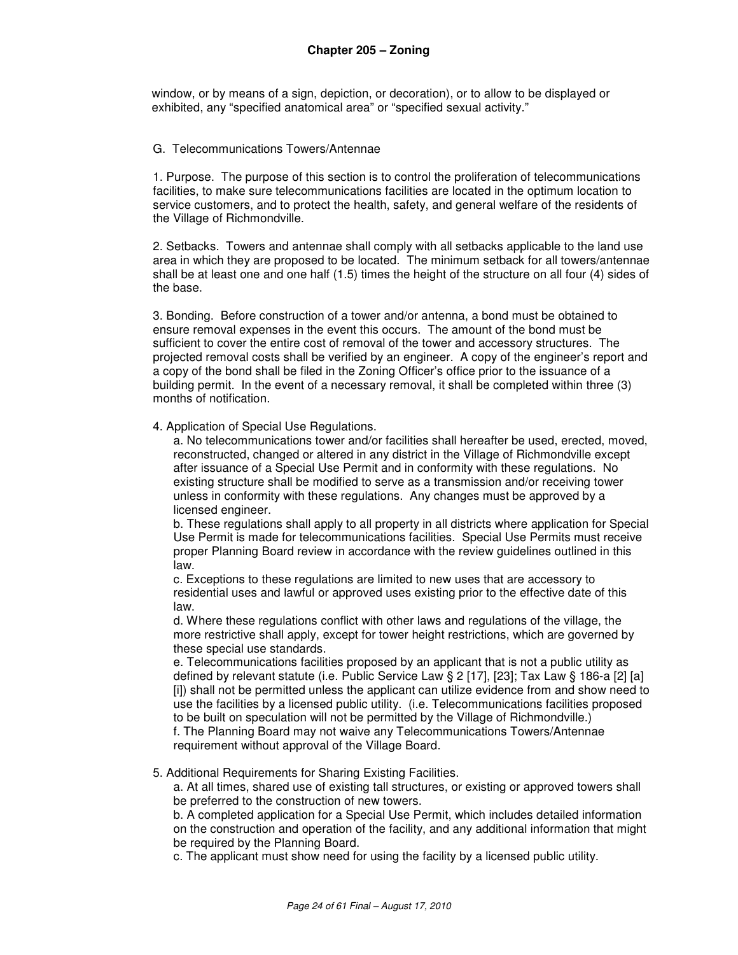window, or by means of a sign, depiction, or decoration), or to allow to be displayed or exhibited, any "specified anatomical area" or "specified sexual activity."

#### G. Telecommunications Towers/Antennae

1. Purpose. The purpose of this section is to control the proliferation of telecommunications facilities, to make sure telecommunications facilities are located in the optimum location to service customers, and to protect the health, safety, and general welfare of the residents of the Village of Richmondville.

2. Setbacks. Towers and antennae shall comply with all setbacks applicable to the land use area in which they are proposed to be located. The minimum setback for all towers/antennae shall be at least one and one half (1.5) times the height of the structure on all four (4) sides of the base.

3. Bonding. Before construction of a tower and/or antenna, a bond must be obtained to ensure removal expenses in the event this occurs. The amount of the bond must be sufficient to cover the entire cost of removal of the tower and accessory structures. The projected removal costs shall be verified by an engineer. A copy of the engineer's report and a copy of the bond shall be filed in the Zoning Officer's office prior to the issuance of a building permit. In the event of a necessary removal, it shall be completed within three (3) months of notification.

#### 4. Application of Special Use Regulations.

a. No telecommunications tower and/or facilities shall hereafter be used, erected, moved, reconstructed, changed or altered in any district in the Village of Richmondville except after issuance of a Special Use Permit and in conformity with these regulations. No existing structure shall be modified to serve as a transmission and/or receiving tower unless in conformity with these regulations. Any changes must be approved by a licensed engineer.

b. These regulations shall apply to all property in all districts where application for Special Use Permit is made for telecommunications facilities. Special Use Permits must receive proper Planning Board review in accordance with the review guidelines outlined in this law.

c. Exceptions to these regulations are limited to new uses that are accessory to residential uses and lawful or approved uses existing prior to the effective date of this law.

d. Where these regulations conflict with other laws and regulations of the village, the more restrictive shall apply, except for tower height restrictions, which are governed by these special use standards.

e. Telecommunications facilities proposed by an applicant that is not a public utility as defined by relevant statute (i.e. Public Service Law § 2 [17], [23]; Tax Law § 186-a [2] [a] [i]) shall not be permitted unless the applicant can utilize evidence from and show need to use the facilities by a licensed public utility. (i.e. Telecommunications facilities proposed to be built on speculation will not be permitted by the Village of Richmondville.)

f. The Planning Board may not waive any Telecommunications Towers/Antennae requirement without approval of the Village Board.

#### 5. Additional Requirements for Sharing Existing Facilities.

a. At all times, shared use of existing tall structures, or existing or approved towers shall be preferred to the construction of new towers.

 b. A completed application for a Special Use Permit, which includes detailed information on the construction and operation of the facility, and any additional information that might be required by the Planning Board.

c. The applicant must show need for using the facility by a licensed public utility.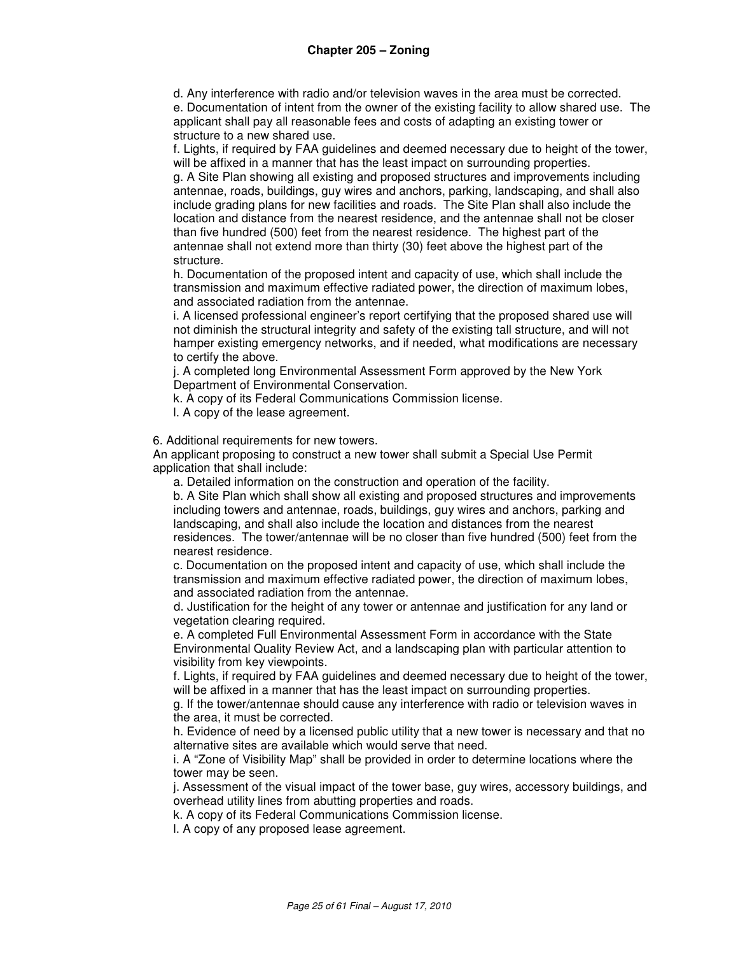d. Any interference with radio and/or television waves in the area must be corrected.

 e. Documentation of intent from the owner of the existing facility to allow shared use. The applicant shall pay all reasonable fees and costs of adapting an existing tower or structure to a new shared use.

 f. Lights, if required by FAA guidelines and deemed necessary due to height of the tower, will be affixed in a manner that has the least impact on surrounding properties.

 g. A Site Plan showing all existing and proposed structures and improvements including antennae, roads, buildings, guy wires and anchors, parking, landscaping, and shall also include grading plans for new facilities and roads. The Site Plan shall also include the location and distance from the nearest residence, and the antennae shall not be closer than five hundred (500) feet from the nearest residence. The highest part of the antennae shall not extend more than thirty (30) feet above the highest part of the structure.

 h. Documentation of the proposed intent and capacity of use, which shall include the transmission and maximum effective radiated power, the direction of maximum lobes, and associated radiation from the antennae.

 i. A licensed professional engineer's report certifying that the proposed shared use will not diminish the structural integrity and safety of the existing tall structure, and will not hamper existing emergency networks, and if needed, what modifications are necessary to certify the above.

 j. A completed long Environmental Assessment Form approved by the New York Department of Environmental Conservation.

k. A copy of its Federal Communications Commission license.

l. A copy of the lease agreement.

6. Additional requirements for new towers.

An applicant proposing to construct a new tower shall submit a Special Use Permit application that shall include:

a. Detailed information on the construction and operation of the facility.

b. A Site Plan which shall show all existing and proposed structures and improvements including towers and antennae, roads, buildings, guy wires and anchors, parking and landscaping, and shall also include the location and distances from the nearest residences. The tower/antennae will be no closer than five hundred (500) feet from the nearest residence.

c. Documentation on the proposed intent and capacity of use, which shall include the transmission and maximum effective radiated power, the direction of maximum lobes, and associated radiation from the antennae.

d. Justification for the height of any tower or antennae and justification for any land or vegetation clearing required.

e. A completed Full Environmental Assessment Form in accordance with the State Environmental Quality Review Act, and a landscaping plan with particular attention to visibility from key viewpoints.

f. Lights, if required by FAA guidelines and deemed necessary due to height of the tower, will be affixed in a manner that has the least impact on surrounding properties.

g. If the tower/antennae should cause any interference with radio or television waves in the area, it must be corrected.

h. Evidence of need by a licensed public utility that a new tower is necessary and that no alternative sites are available which would serve that need.

i. A "Zone of Visibility Map" shall be provided in order to determine locations where the tower may be seen.

j. Assessment of the visual impact of the tower base, guy wires, accessory buildings, and overhead utility lines from abutting properties and roads.

k. A copy of its Federal Communications Commission license.

l. A copy of any proposed lease agreement.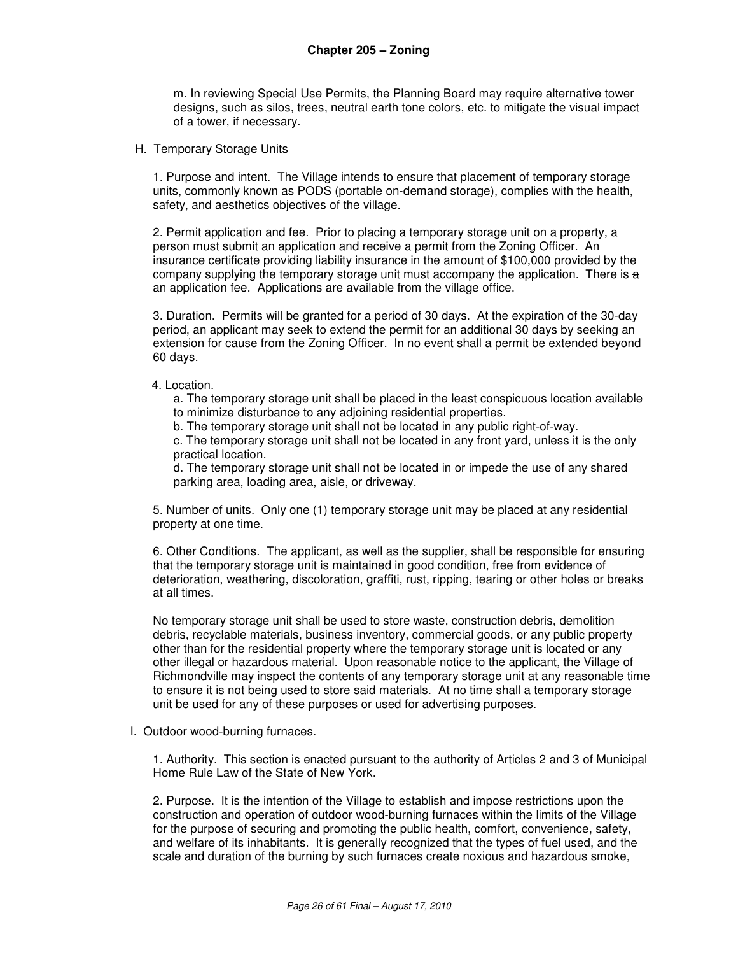m. In reviewing Special Use Permits, the Planning Board may require alternative tower designs, such as silos, trees, neutral earth tone colors, etc. to mitigate the visual impact of a tower, if necessary.

H. Temporary Storage Units

1. Purpose and intent. The Village intends to ensure that placement of temporary storage units, commonly known as PODS (portable on-demand storage), complies with the health, safety, and aesthetics objectives of the village.

2. Permit application and fee. Prior to placing a temporary storage unit on a property, a person must submit an application and receive a permit from the Zoning Officer. An insurance certificate providing liability insurance in the amount of \$100,000 provided by the company supplying the temporary storage unit must accompany the application. There is  $\theta$ an application fee. Applications are available from the village office.

3. Duration. Permits will be granted for a period of 30 days. At the expiration of the 30-day period, an applicant may seek to extend the permit for an additional 30 days by seeking an extension for cause from the Zoning Officer. In no event shall a permit be extended beyond 60 days.

#### 4. Location.

a. The temporary storage unit shall be placed in the least conspicuous location available to minimize disturbance to any adjoining residential properties.

b. The temporary storage unit shall not be located in any public right-of-way.

c. The temporary storage unit shall not be located in any front yard, unless it is the only practical location.

d. The temporary storage unit shall not be located in or impede the use of any shared parking area, loading area, aisle, or driveway.

5. Number of units. Only one (1) temporary storage unit may be placed at any residential property at one time.

6. Other Conditions. The applicant, as well as the supplier, shall be responsible for ensuring that the temporary storage unit is maintained in good condition, free from evidence of deterioration, weathering, discoloration, graffiti, rust, ripping, tearing or other holes or breaks at all times.

No temporary storage unit shall be used to store waste, construction debris, demolition debris, recyclable materials, business inventory, commercial goods, or any public property other than for the residential property where the temporary storage unit is located or any other illegal or hazardous material. Upon reasonable notice to the applicant, the Village of Richmondville may inspect the contents of any temporary storage unit at any reasonable time to ensure it is not being used to store said materials. At no time shall a temporary storage unit be used for any of these purposes or used for advertising purposes.

I. Outdoor wood-burning furnaces.

1. Authority. This section is enacted pursuant to the authority of Articles 2 and 3 of Municipal Home Rule Law of the State of New York.

2. Purpose. It is the intention of the Village to establish and impose restrictions upon the construction and operation of outdoor wood-burning furnaces within the limits of the Village for the purpose of securing and promoting the public health, comfort, convenience, safety, and welfare of its inhabitants. It is generally recognized that the types of fuel used, and the scale and duration of the burning by such furnaces create noxious and hazardous smoke,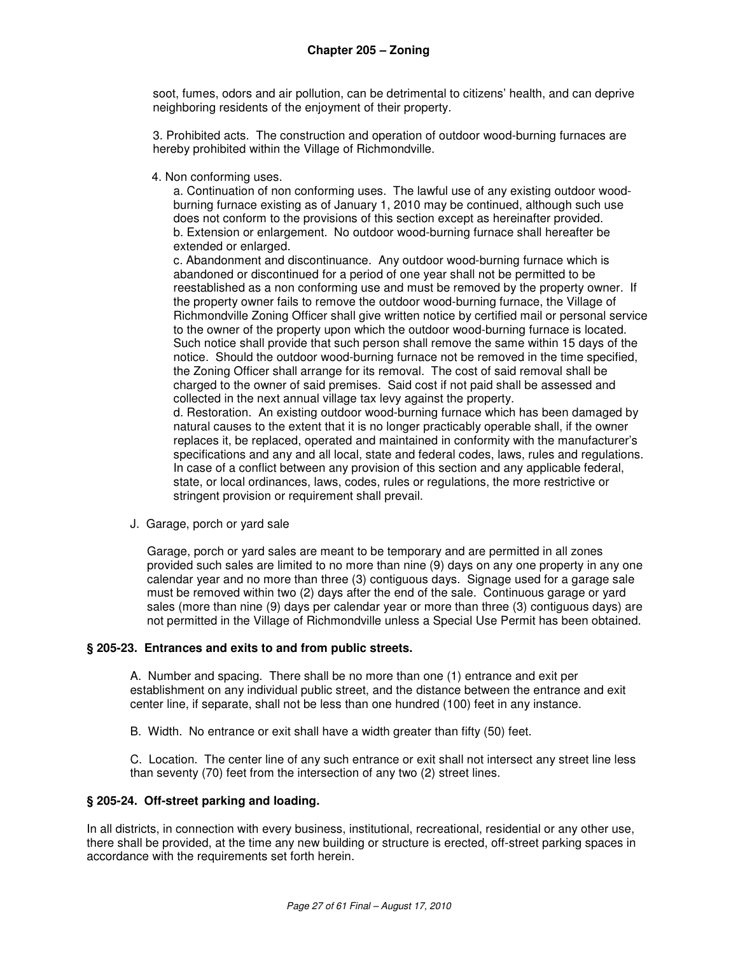soot, fumes, odors and air pollution, can be detrimental to citizens' health, and can deprive neighboring residents of the enjoyment of their property.

3. Prohibited acts. The construction and operation of outdoor wood-burning furnaces are hereby prohibited within the Village of Richmondville.

4. Non conforming uses.

a. Continuation of non conforming uses. The lawful use of any existing outdoor woodburning furnace existing as of January 1, 2010 may be continued, although such use does not conform to the provisions of this section except as hereinafter provided. b. Extension or enlargement. No outdoor wood-burning furnace shall hereafter be extended or enlarged.

c. Abandonment and discontinuance. Any outdoor wood-burning furnace which is abandoned or discontinued for a period of one year shall not be permitted to be reestablished as a non conforming use and must be removed by the property owner. If the property owner fails to remove the outdoor wood-burning furnace, the Village of Richmondville Zoning Officer shall give written notice by certified mail or personal service to the owner of the property upon which the outdoor wood-burning furnace is located. Such notice shall provide that such person shall remove the same within 15 days of the notice. Should the outdoor wood-burning furnace not be removed in the time specified, the Zoning Officer shall arrange for its removal. The cost of said removal shall be charged to the owner of said premises. Said cost if not paid shall be assessed and collected in the next annual village tax levy against the property.

d. Restoration. An existing outdoor wood-burning furnace which has been damaged by natural causes to the extent that it is no longer practicably operable shall, if the owner replaces it, be replaced, operated and maintained in conformity with the manufacturer's specifications and any and all local, state and federal codes, laws, rules and regulations. In case of a conflict between any provision of this section and any applicable federal, state, or local ordinances, laws, codes, rules or regulations, the more restrictive or stringent provision or requirement shall prevail.

J. Garage, porch or yard sale

Garage, porch or yard sales are meant to be temporary and are permitted in all zones provided such sales are limited to no more than nine (9) days on any one property in any one calendar year and no more than three (3) contiguous days. Signage used for a garage sale must be removed within two (2) days after the end of the sale. Continuous garage or yard sales (more than nine (9) days per calendar year or more than three (3) contiguous days) are not permitted in the Village of Richmondville unless a Special Use Permit has been obtained.

## **§ 205-23. Entrances and exits to and from public streets.**

A. Number and spacing. There shall be no more than one (1) entrance and exit per establishment on any individual public street, and the distance between the entrance and exit center line, if separate, shall not be less than one hundred (100) feet in any instance.

B. Width. No entrance or exit shall have a width greater than fifty (50) feet.

C. Location. The center line of any such entrance or exit shall not intersect any street line less than seventy (70) feet from the intersection of any two (2) street lines.

#### **§ 205-24. Off-street parking and loading.**

In all districts, in connection with every business, institutional, recreational, residential or any other use, there shall be provided, at the time any new building or structure is erected, off-street parking spaces in accordance with the requirements set forth herein.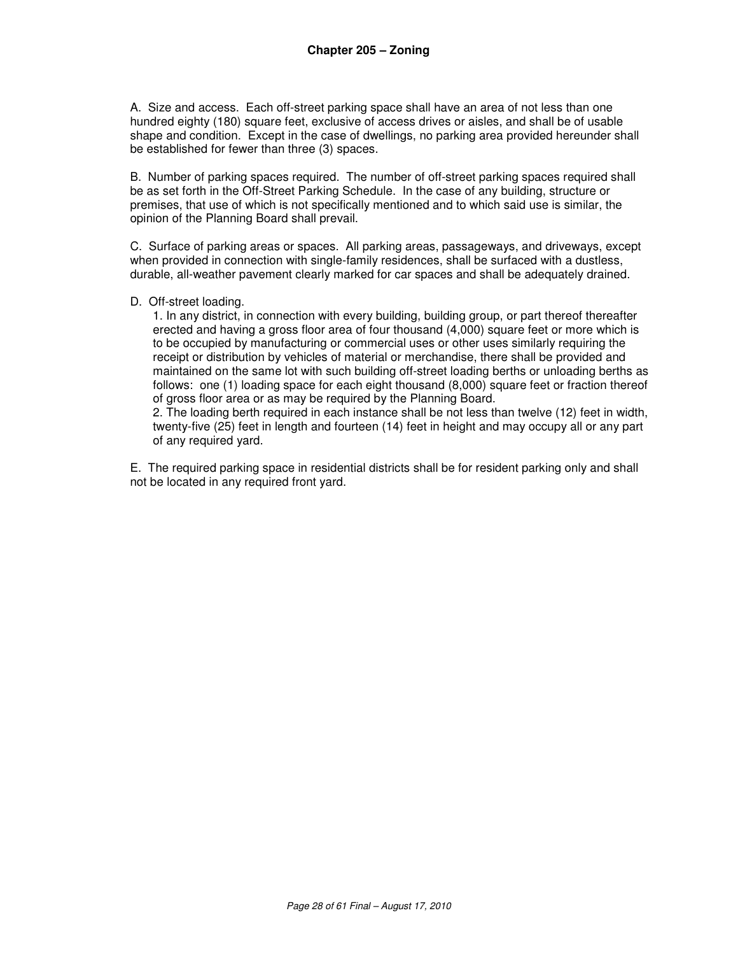A. Size and access. Each off-street parking space shall have an area of not less than one hundred eighty (180) square feet, exclusive of access drives or aisles, and shall be of usable shape and condition. Except in the case of dwellings, no parking area provided hereunder shall be established for fewer than three (3) spaces.

B. Number of parking spaces required. The number of off-street parking spaces required shall be as set forth in the Off-Street Parking Schedule. In the case of any building, structure or premises, that use of which is not specifically mentioned and to which said use is similar, the opinion of the Planning Board shall prevail.

C. Surface of parking areas or spaces. All parking areas, passageways, and driveways, except when provided in connection with single-family residences, shall be surfaced with a dustless, durable, all-weather pavement clearly marked for car spaces and shall be adequately drained.

#### D. Off-street loading.

1. In any district, in connection with every building, building group, or part thereof thereafter erected and having a gross floor area of four thousand (4,000) square feet or more which is to be occupied by manufacturing or commercial uses or other uses similarly requiring the receipt or distribution by vehicles of material or merchandise, there shall be provided and maintained on the same lot with such building off-street loading berths or unloading berths as follows: one (1) loading space for each eight thousand (8,000) square feet or fraction thereof of gross floor area or as may be required by the Planning Board.

2. The loading berth required in each instance shall be not less than twelve (12) feet in width, twenty-five (25) feet in length and fourteen (14) feet in height and may occupy all or any part of any required yard.

E. The required parking space in residential districts shall be for resident parking only and shall not be located in any required front yard.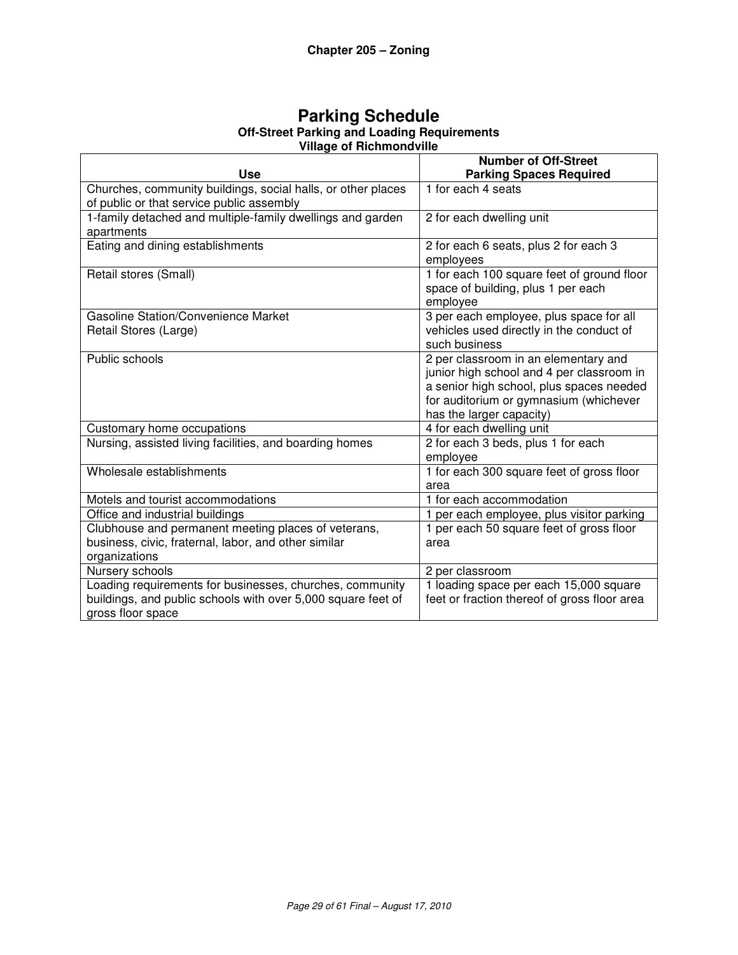| <b>Parking Schedule</b>                            |  |  |  |  |
|----------------------------------------------------|--|--|--|--|
| <b>Off-Street Parking and Loading Requirements</b> |  |  |  |  |
| <b>Village of Richmondville</b>                    |  |  |  |  |

|                                                              | <b>Number of Off-Street</b>                       |
|--------------------------------------------------------------|---------------------------------------------------|
| <b>Use</b>                                                   | <b>Parking Spaces Required</b>                    |
| Churches, community buildings, social halls, or other places | 1 for each 4 seats                                |
| of public or that service public assembly                    |                                                   |
| 1-family detached and multiple-family dwellings and garden   | 2 for each dwelling unit                          |
| apartments                                                   |                                                   |
| Eating and dining establishments                             | 2 for each 6 seats, plus 2 for each 3             |
|                                                              | employees                                         |
| Retail stores (Small)                                        | 1 for each 100 square feet of ground floor        |
|                                                              | space of building, plus 1 per each                |
|                                                              | employee                                          |
| <b>Gasoline Station/Convenience Market</b>                   | 3 per each employee, plus space for all           |
| Retail Stores (Large)                                        | vehicles used directly in the conduct of          |
|                                                              | such business                                     |
| Public schools                                               | 2 per classroom in an elementary and              |
|                                                              | junior high school and 4 per classroom in         |
|                                                              | a senior high school, plus spaces needed          |
|                                                              | for auditorium or gymnasium (whichever            |
|                                                              | has the larger capacity)                          |
| Customary home occupations                                   | 4 for each dwelling unit                          |
| Nursing, assisted living facilities, and boarding homes      | 2 for each 3 beds, plus 1 for each                |
| Wholesale establishments                                     | employee                                          |
|                                                              | 1 for each 300 square feet of gross floor<br>area |
| Motels and tourist accommodations                            | 1 for each accommodation                          |
| Office and industrial buildings                              | 1 per each employee, plus visitor parking         |
| Clubhouse and permanent meeting places of veterans,          | 1 per each 50 square feet of gross floor          |
| business, civic, fraternal, labor, and other similar         | area                                              |
| organizations                                                |                                                   |
| Nursery schools                                              | 2 per classroom                                   |
| Loading requirements for businesses, churches, community     | 1 loading space per each 15,000 square            |
| buildings, and public schools with over 5,000 square feet of | feet or fraction thereof of gross floor area      |
| gross floor space                                            |                                                   |
|                                                              |                                                   |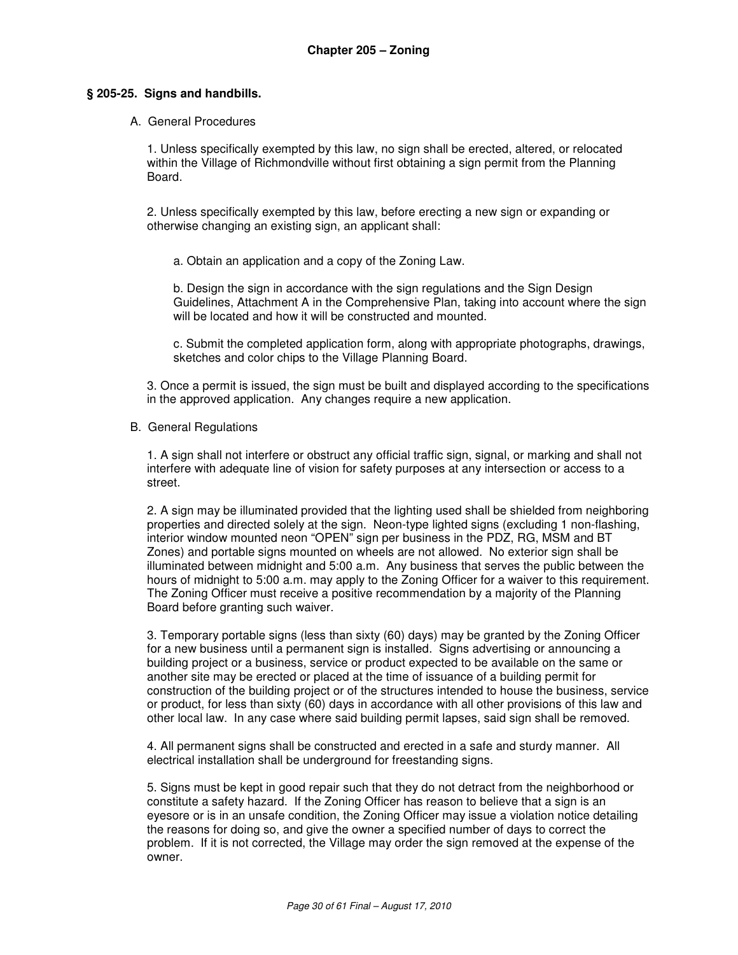#### **§ 205-25. Signs and handbills.**

#### A. General Procedures

1. Unless specifically exempted by this law, no sign shall be erected, altered, or relocated within the Village of Richmondville without first obtaining a sign permit from the Planning Board.

2. Unless specifically exempted by this law, before erecting a new sign or expanding or otherwise changing an existing sign, an applicant shall:

a. Obtain an application and a copy of the Zoning Law.

b. Design the sign in accordance with the sign regulations and the Sign Design Guidelines, Attachment A in the Comprehensive Plan, taking into account where the sign will be located and how it will be constructed and mounted.

c. Submit the completed application form, along with appropriate photographs, drawings, sketches and color chips to the Village Planning Board.

3. Once a permit is issued, the sign must be built and displayed according to the specifications in the approved application. Any changes require a new application.

#### B. General Regulations

1. A sign shall not interfere or obstruct any official traffic sign, signal, or marking and shall not interfere with adequate line of vision for safety purposes at any intersection or access to a street.

2. A sign may be illuminated provided that the lighting used shall be shielded from neighboring properties and directed solely at the sign. Neon-type lighted signs (excluding 1 non-flashing, interior window mounted neon "OPEN" sign per business in the PDZ, RG, MSM and BT Zones) and portable signs mounted on wheels are not allowed. No exterior sign shall be illuminated between midnight and 5:00 a.m. Any business that serves the public between the hours of midnight to 5:00 a.m. may apply to the Zoning Officer for a waiver to this requirement. The Zoning Officer must receive a positive recommendation by a majority of the Planning Board before granting such waiver.

3. Temporary portable signs (less than sixty (60) days) may be granted by the Zoning Officer for a new business until a permanent sign is installed. Signs advertising or announcing a building project or a business, service or product expected to be available on the same or another site may be erected or placed at the time of issuance of a building permit for construction of the building project or of the structures intended to house the business, service or product, for less than sixty (60) days in accordance with all other provisions of this law and other local law. In any case where said building permit lapses, said sign shall be removed.

4. All permanent signs shall be constructed and erected in a safe and sturdy manner. All electrical installation shall be underground for freestanding signs.

5. Signs must be kept in good repair such that they do not detract from the neighborhood or constitute a safety hazard. If the Zoning Officer has reason to believe that a sign is an eyesore or is in an unsafe condition, the Zoning Officer may issue a violation notice detailing the reasons for doing so, and give the owner a specified number of days to correct the problem. If it is not corrected, the Village may order the sign removed at the expense of the owner.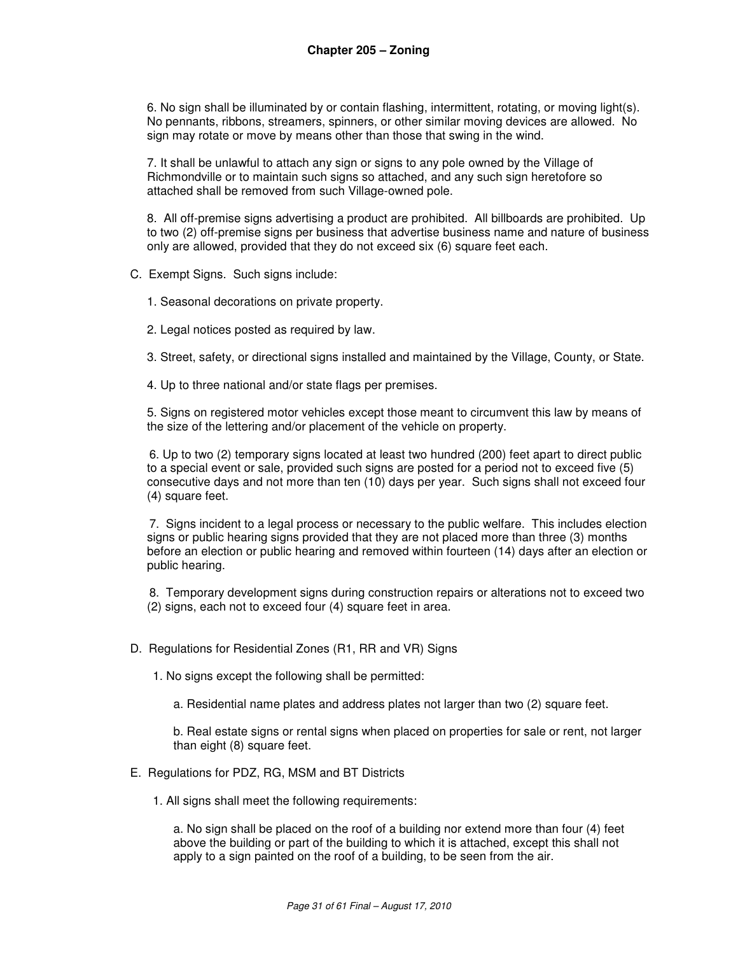6. No sign shall be illuminated by or contain flashing, intermittent, rotating, or moving light(s). No pennants, ribbons, streamers, spinners, or other similar moving devices are allowed. No sign may rotate or move by means other than those that swing in the wind.

7. It shall be unlawful to attach any sign or signs to any pole owned by the Village of Richmondville or to maintain such signs so attached, and any such sign heretofore so attached shall be removed from such Village-owned pole.

8. All off-premise signs advertising a product are prohibited. All billboards are prohibited. Up to two (2) off-premise signs per business that advertise business name and nature of business only are allowed, provided that they do not exceed six (6) square feet each.

C. Exempt Signs. Such signs include:

1. Seasonal decorations on private property.

2. Legal notices posted as required by law.

3. Street, safety, or directional signs installed and maintained by the Village, County, or State.

4. Up to three national and/or state flags per premises.

5. Signs on registered motor vehicles except those meant to circumvent this law by means of the size of the lettering and/or placement of the vehicle on property.

6. Up to two (2) temporary signs located at least two hundred (200) feet apart to direct public to a special event or sale, provided such signs are posted for a period not to exceed five (5) consecutive days and not more than ten (10) days per year. Such signs shall not exceed four (4) square feet.

7. Signs incident to a legal process or necessary to the public welfare. This includes election signs or public hearing signs provided that they are not placed more than three (3) months before an election or public hearing and removed within fourteen (14) days after an election or public hearing.

8. Temporary development signs during construction repairs or alterations not to exceed two (2) signs, each not to exceed four (4) square feet in area.

D. Regulations for Residential Zones (R1, RR and VR) Signs

1. No signs except the following shall be permitted:

a. Residential name plates and address plates not larger than two (2) square feet.

b. Real estate signs or rental signs when placed on properties for sale or rent, not larger than eight (8) square feet.

- E. Regulations for PDZ, RG, MSM and BT Districts
	- 1. All signs shall meet the following requirements:

a. No sign shall be placed on the roof of a building nor extend more than four (4) feet above the building or part of the building to which it is attached, except this shall not apply to a sign painted on the roof of a building, to be seen from the air.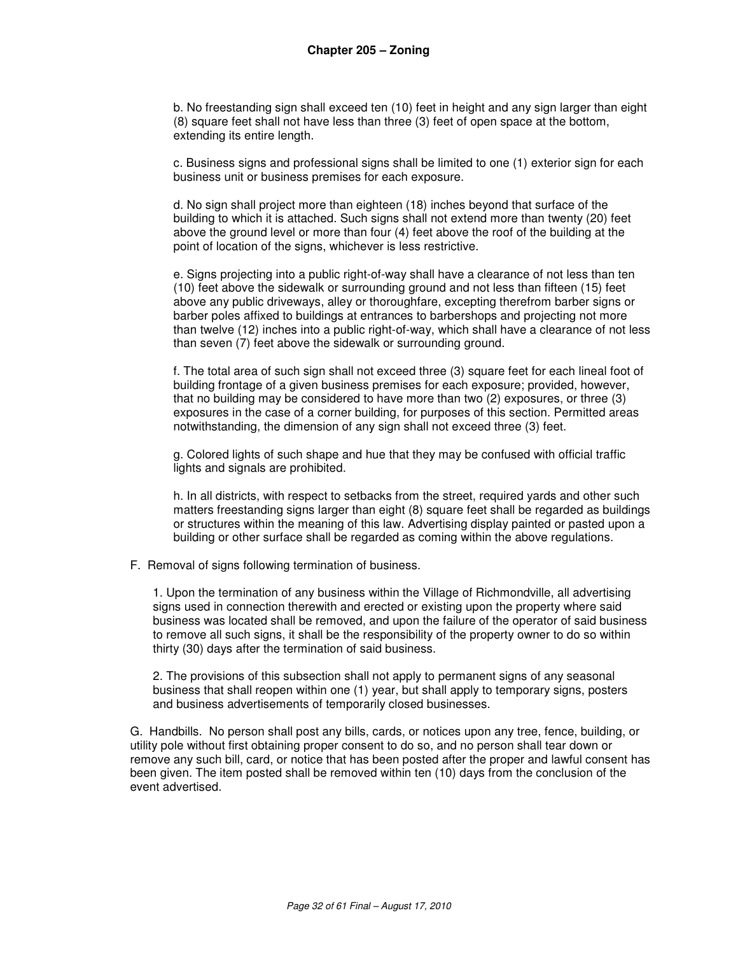b. No freestanding sign shall exceed ten (10) feet in height and any sign larger than eight (8) square feet shall not have less than three (3) feet of open space at the bottom, extending its entire length.

c. Business signs and professional signs shall be limited to one (1) exterior sign for each business unit or business premises for each exposure.

d. No sign shall project more than eighteen (18) inches beyond that surface of the building to which it is attached. Such signs shall not extend more than twenty (20) feet above the ground level or more than four (4) feet above the roof of the building at the point of location of the signs, whichever is less restrictive.

e. Signs projecting into a public right-of-way shall have a clearance of not less than ten (10) feet above the sidewalk or surrounding ground and not less than fifteen (15) feet above any public driveways, alley or thoroughfare, excepting therefrom barber signs or barber poles affixed to buildings at entrances to barbershops and projecting not more than twelve (12) inches into a public right-of-way, which shall have a clearance of not less than seven (7) feet above the sidewalk or surrounding ground.

f. The total area of such sign shall not exceed three (3) square feet for each lineal foot of building frontage of a given business premises for each exposure; provided, however, that no building may be considered to have more than two (2) exposures, or three (3) exposures in the case of a corner building, for purposes of this section. Permitted areas notwithstanding, the dimension of any sign shall not exceed three (3) feet.

g. Colored lights of such shape and hue that they may be confused with official traffic lights and signals are prohibited.

h. In all districts, with respect to setbacks from the street, required yards and other such matters freestanding signs larger than eight (8) square feet shall be regarded as buildings or structures within the meaning of this law. Advertising display painted or pasted upon a building or other surface shall be regarded as coming within the above regulations.

F. Removal of signs following termination of business.

1. Upon the termination of any business within the Village of Richmondville, all advertising signs used in connection therewith and erected or existing upon the property where said business was located shall be removed, and upon the failure of the operator of said business to remove all such signs, it shall be the responsibility of the property owner to do so within thirty (30) days after the termination of said business.

2. The provisions of this subsection shall not apply to permanent signs of any seasonal business that shall reopen within one (1) year, but shall apply to temporary signs, posters and business advertisements of temporarily closed businesses.

G. Handbills. No person shall post any bills, cards, or notices upon any tree, fence, building, or utility pole without first obtaining proper consent to do so, and no person shall tear down or remove any such bill, card, or notice that has been posted after the proper and lawful consent has been given. The item posted shall be removed within ten (10) days from the conclusion of the event advertised.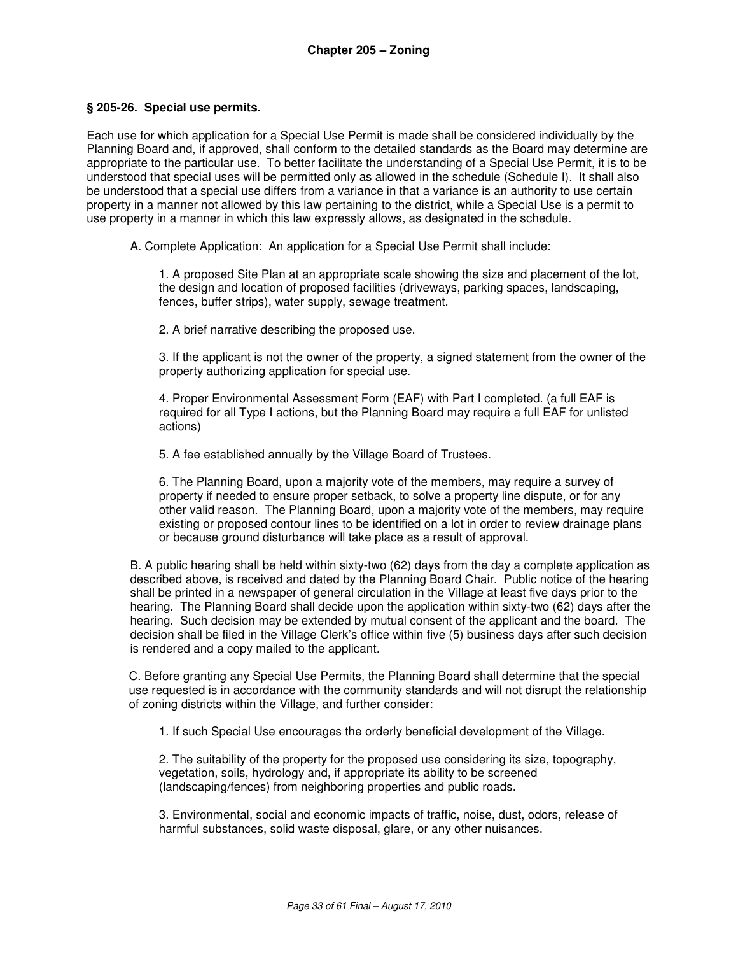#### **§ 205-26. Special use permits.**

Each use for which application for a Special Use Permit is made shall be considered individually by the Planning Board and, if approved, shall conform to the detailed standards as the Board may determine are appropriate to the particular use. To better facilitate the understanding of a Special Use Permit, it is to be understood that special uses will be permitted only as allowed in the schedule (Schedule I). It shall also be understood that a special use differs from a variance in that a variance is an authority to use certain property in a manner not allowed by this law pertaining to the district, while a Special Use is a permit to use property in a manner in which this law expressly allows, as designated in the schedule.

A. Complete Application: An application for a Special Use Permit shall include:

1. A proposed Site Plan at an appropriate scale showing the size and placement of the lot, the design and location of proposed facilities (driveways, parking spaces, landscaping, fences, buffer strips), water supply, sewage treatment.

2. A brief narrative describing the proposed use.

3. If the applicant is not the owner of the property, a signed statement from the owner of the property authorizing application for special use.

4. Proper Environmental Assessment Form (EAF) with Part I completed. (a full EAF is required for all Type I actions, but the Planning Board may require a full EAF for unlisted actions)

5. A fee established annually by the Village Board of Trustees.

6. The Planning Board, upon a majority vote of the members, may require a survey of property if needed to ensure proper setback, to solve a property line dispute, or for any other valid reason. The Planning Board, upon a majority vote of the members, may require existing or proposed contour lines to be identified on a lot in order to review drainage plans or because ground disturbance will take place as a result of approval.

B. A public hearing shall be held within sixty-two (62) days from the day a complete application as described above, is received and dated by the Planning Board Chair. Public notice of the hearing shall be printed in a newspaper of general circulation in the Village at least five days prior to the hearing. The Planning Board shall decide upon the application within sixty-two (62) days after the hearing. Such decision may be extended by mutual consent of the applicant and the board. The decision shall be filed in the Village Clerk's office within five (5) business days after such decision is rendered and a copy mailed to the applicant.

C. Before granting any Special Use Permits, the Planning Board shall determine that the special use requested is in accordance with the community standards and will not disrupt the relationship of zoning districts within the Village, and further consider:

1. If such Special Use encourages the orderly beneficial development of the Village.

2. The suitability of the property for the proposed use considering its size, topography, vegetation, soils, hydrology and, if appropriate its ability to be screened (landscaping/fences) from neighboring properties and public roads.

3. Environmental, social and economic impacts of traffic, noise, dust, odors, release of harmful substances, solid waste disposal, glare, or any other nuisances.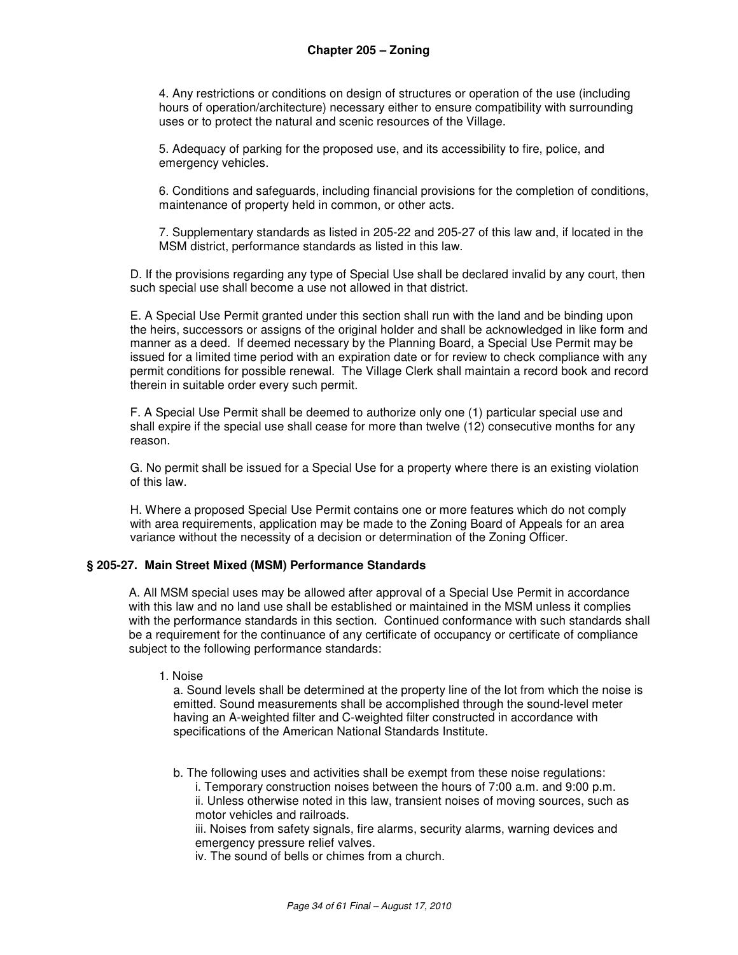4. Any restrictions or conditions on design of structures or operation of the use (including hours of operation/architecture) necessary either to ensure compatibility with surrounding uses or to protect the natural and scenic resources of the Village.

5. Adequacy of parking for the proposed use, and its accessibility to fire, police, and emergency vehicles.

6. Conditions and safeguards, including financial provisions for the completion of conditions, maintenance of property held in common, or other acts.

7. Supplementary standards as listed in 205-22 and 205-27 of this law and, if located in the MSM district, performance standards as listed in this law.

D. If the provisions regarding any type of Special Use shall be declared invalid by any court, then such special use shall become a use not allowed in that district.

E. A Special Use Permit granted under this section shall run with the land and be binding upon the heirs, successors or assigns of the original holder and shall be acknowledged in like form and manner as a deed. If deemed necessary by the Planning Board, a Special Use Permit may be issued for a limited time period with an expiration date or for review to check compliance with any permit conditions for possible renewal. The Village Clerk shall maintain a record book and record therein in suitable order every such permit.

F. A Special Use Permit shall be deemed to authorize only one (1) particular special use and shall expire if the special use shall cease for more than twelve (12) consecutive months for any reason.

G. No permit shall be issued for a Special Use for a property where there is an existing violation of this law.

H. Where a proposed Special Use Permit contains one or more features which do not comply with area requirements, application may be made to the Zoning Board of Appeals for an area variance without the necessity of a decision or determination of the Zoning Officer.

#### **§ 205-27. Main Street Mixed (MSM) Performance Standards**

A. All MSM special uses may be allowed after approval of a Special Use Permit in accordance with this law and no land use shall be established or maintained in the MSM unless it complies with the performance standards in this section. Continued conformance with such standards shall be a requirement for the continuance of any certificate of occupancy or certificate of compliance subject to the following performance standards:

1. Noise

a. Sound levels shall be determined at the property line of the lot from which the noise is emitted. Sound measurements shall be accomplished through the sound-level meter having an A-weighted filter and C-weighted filter constructed in accordance with specifications of the American National Standards Institute.

b. The following uses and activities shall be exempt from these noise regulations:

i. Temporary construction noises between the hours of 7:00 a.m. and 9:00 p.m. ii. Unless otherwise noted in this law, transient noises of moving sources, such as motor vehicles and railroads.

iii. Noises from safety signals, fire alarms, security alarms, warning devices and emergency pressure relief valves.

iv. The sound of bells or chimes from a church.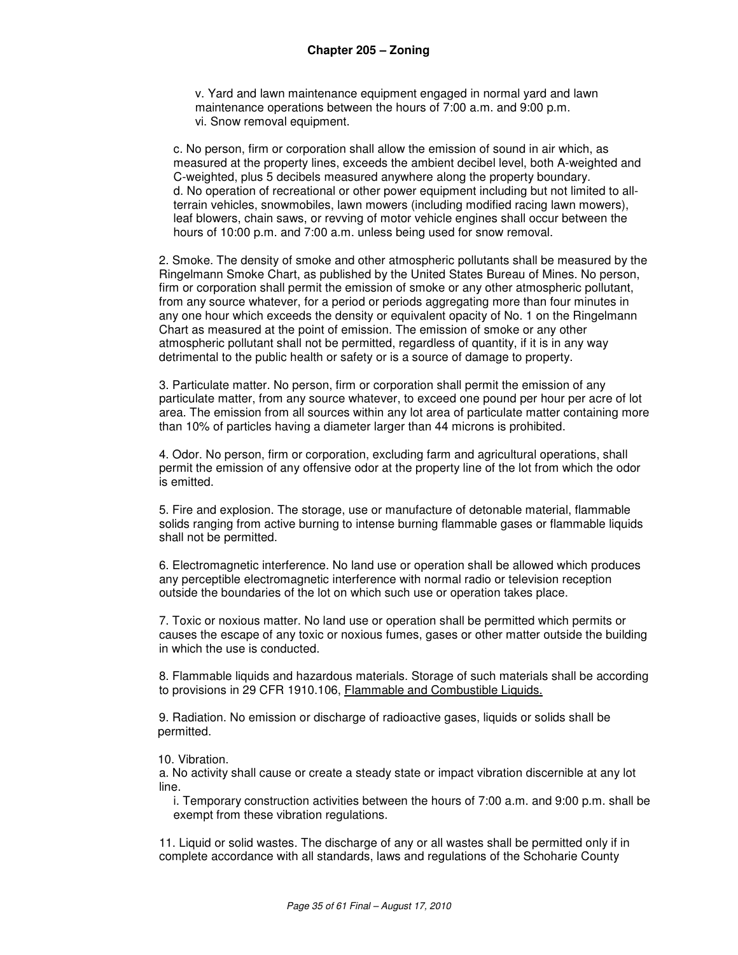v. Yard and lawn maintenance equipment engaged in normal yard and lawn maintenance operations between the hours of 7:00 a.m. and 9:00 p.m. vi. Snow removal equipment.

c. No person, firm or corporation shall allow the emission of sound in air which, as measured at the property lines, exceeds the ambient decibel level, both A-weighted and C-weighted, plus 5 decibels measured anywhere along the property boundary. d. No operation of recreational or other power equipment including but not limited to allterrain vehicles, snowmobiles, lawn mowers (including modified racing lawn mowers), leaf blowers, chain saws, or revving of motor vehicle engines shall occur between the hours of 10:00 p.m. and 7:00 a.m. unless being used for snow removal.

2. Smoke. The density of smoke and other atmospheric pollutants shall be measured by the Ringelmann Smoke Chart, as published by the United States Bureau of Mines. No person, firm or corporation shall permit the emission of smoke or any other atmospheric pollutant, from any source whatever, for a period or periods aggregating more than four minutes in any one hour which exceeds the density or equivalent opacity of No. 1 on the Ringelmann Chart as measured at the point of emission. The emission of smoke or any other atmospheric pollutant shall not be permitted, regardless of quantity, if it is in any way detrimental to the public health or safety or is a source of damage to property.

3. Particulate matter. No person, firm or corporation shall permit the emission of any particulate matter, from any source whatever, to exceed one pound per hour per acre of lot area. The emission from all sources within any lot area of particulate matter containing more than 10% of particles having a diameter larger than 44 microns is prohibited.

4. Odor. No person, firm or corporation, excluding farm and agricultural operations, shall permit the emission of any offensive odor at the property line of the lot from which the odor is emitted.

5. Fire and explosion. The storage, use or manufacture of detonable material, flammable solids ranging from active burning to intense burning flammable gases or flammable liquids shall not be permitted.

6. Electromagnetic interference. No land use or operation shall be allowed which produces any perceptible electromagnetic interference with normal radio or television reception outside the boundaries of the lot on which such use or operation takes place.

7. Toxic or noxious matter. No land use or operation shall be permitted which permits or causes the escape of any toxic or noxious fumes, gases or other matter outside the building in which the use is conducted.

8. Flammable liquids and hazardous materials. Storage of such materials shall be according to provisions in 29 CFR 1910.106, Flammable and Combustible Liquids.

9. Radiation. No emission or discharge of radioactive gases, liquids or solids shall be permitted.

#### 10. Vibration.

a. No activity shall cause or create a steady state or impact vibration discernible at any lot line.

i. Temporary construction activities between the hours of 7:00 a.m. and 9:00 p.m. shall be exempt from these vibration regulations.

11. Liquid or solid wastes. The discharge of any or all wastes shall be permitted only if in complete accordance with all standards, laws and regulations of the Schoharie County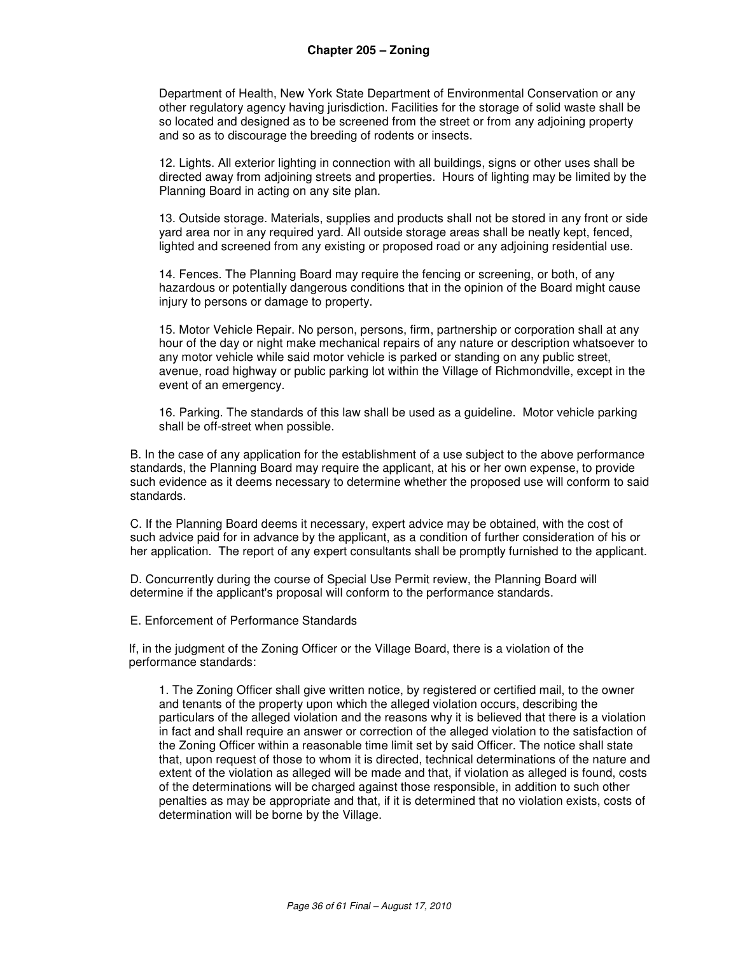Department of Health, New York State Department of Environmental Conservation or any other regulatory agency having jurisdiction. Facilities for the storage of solid waste shall be so located and designed as to be screened from the street or from any adjoining property and so as to discourage the breeding of rodents or insects.

12. Lights. All exterior lighting in connection with all buildings, signs or other uses shall be directed away from adjoining streets and properties. Hours of lighting may be limited by the Planning Board in acting on any site plan.

13. Outside storage. Materials, supplies and products shall not be stored in any front or side yard area nor in any required yard. All outside storage areas shall be neatly kept, fenced, lighted and screened from any existing or proposed road or any adjoining residential use.

14. Fences. The Planning Board may require the fencing or screening, or both, of any hazardous or potentially dangerous conditions that in the opinion of the Board might cause injury to persons or damage to property.

15. Motor Vehicle Repair. No person, persons, firm, partnership or corporation shall at any hour of the day or night make mechanical repairs of any nature or description whatsoever to any motor vehicle while said motor vehicle is parked or standing on any public street, avenue, road highway or public parking lot within the Village of Richmondville, except in the event of an emergency.

16. Parking. The standards of this law shall be used as a guideline. Motor vehicle parking shall be off-street when possible.

B. In the case of any application for the establishment of a use subject to the above performance standards, the Planning Board may require the applicant, at his or her own expense, to provide such evidence as it deems necessary to determine whether the proposed use will conform to said standards.

C. If the Planning Board deems it necessary, expert advice may be obtained, with the cost of such advice paid for in advance by the applicant, as a condition of further consideration of his or her application. The report of any expert consultants shall be promptly furnished to the applicant.

D. Concurrently during the course of Special Use Permit review, the Planning Board will determine if the applicant's proposal will conform to the performance standards.

E. Enforcement of Performance Standards

If, in the judgment of the Zoning Officer or the Village Board, there is a violation of the performance standards:

1. The Zoning Officer shall give written notice, by registered or certified mail, to the owner and tenants of the property upon which the alleged violation occurs, describing the particulars of the alleged violation and the reasons why it is believed that there is a violation in fact and shall require an answer or correction of the alleged violation to the satisfaction of the Zoning Officer within a reasonable time limit set by said Officer. The notice shall state that, upon request of those to whom it is directed, technical determinations of the nature and extent of the violation as alleged will be made and that, if violation as alleged is found, costs of the determinations will be charged against those responsible, in addition to such other penalties as may be appropriate and that, if it is determined that no violation exists, costs of determination will be borne by the Village.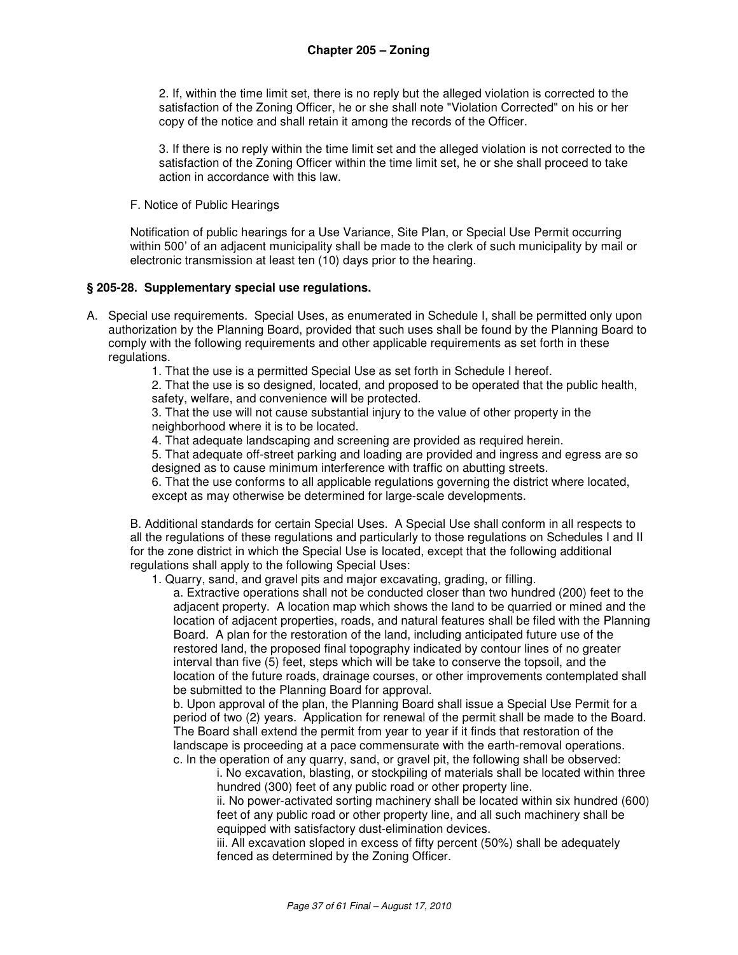2. If, within the time limit set, there is no reply but the alleged violation is corrected to the satisfaction of the Zoning Officer, he or she shall note "Violation Corrected" on his or her copy of the notice and shall retain it among the records of the Officer.

3. If there is no reply within the time limit set and the alleged violation is not corrected to the satisfaction of the Zoning Officer within the time limit set, he or she shall proceed to take action in accordance with this law.

F. Notice of Public Hearings

Notification of public hearings for a Use Variance, Site Plan, or Special Use Permit occurring within 500' of an adjacent municipality shall be made to the clerk of such municipality by mail or electronic transmission at least ten (10) days prior to the hearing.

#### **§ 205-28. Supplementary special use regulations.**

A. Special use requirements. Special Uses, as enumerated in Schedule I, shall be permitted only upon authorization by the Planning Board, provided that such uses shall be found by the Planning Board to comply with the following requirements and other applicable requirements as set forth in these regulations.

1. That the use is a permitted Special Use as set forth in Schedule I hereof.

2. That the use is so designed, located, and proposed to be operated that the public health, safety, welfare, and convenience will be protected.

3. That the use will not cause substantial injury to the value of other property in the neighborhood where it is to be located.

4. That adequate landscaping and screening are provided as required herein.

5. That adequate off-street parking and loading are provided and ingress and egress are so designed as to cause minimum interference with traffic on abutting streets.

6. That the use conforms to all applicable regulations governing the district where located, except as may otherwise be determined for large-scale developments.

B. Additional standards for certain Special Uses. A Special Use shall conform in all respects to all the regulations of these regulations and particularly to those regulations on Schedules I and II for the zone district in which the Special Use is located, except that the following additional regulations shall apply to the following Special Uses:

1. Quarry, sand, and gravel pits and major excavating, grading, or filling.

a. Extractive operations shall not be conducted closer than two hundred (200) feet to the adjacent property. A location map which shows the land to be quarried or mined and the location of adjacent properties, roads, and natural features shall be filed with the Planning Board. A plan for the restoration of the land, including anticipated future use of the restored land, the proposed final topography indicated by contour lines of no greater interval than five (5) feet, steps which will be take to conserve the topsoil, and the location of the future roads, drainage courses, or other improvements contemplated shall be submitted to the Planning Board for approval.

b. Upon approval of the plan, the Planning Board shall issue a Special Use Permit for a period of two (2) years. Application for renewal of the permit shall be made to the Board. The Board shall extend the permit from year to year if it finds that restoration of the landscape is proceeding at a pace commensurate with the earth-removal operations. c. In the operation of any quarry, sand, or gravel pit, the following shall be observed:

i. No excavation, blasting, or stockpiling of materials shall be located within three hundred (300) feet of any public road or other property line.

ii. No power-activated sorting machinery shall be located within six hundred (600) feet of any public road or other property line, and all such machinery shall be equipped with satisfactory dust-elimination devices.

iii. All excavation sloped in excess of fifty percent (50%) shall be adequately fenced as determined by the Zoning Officer.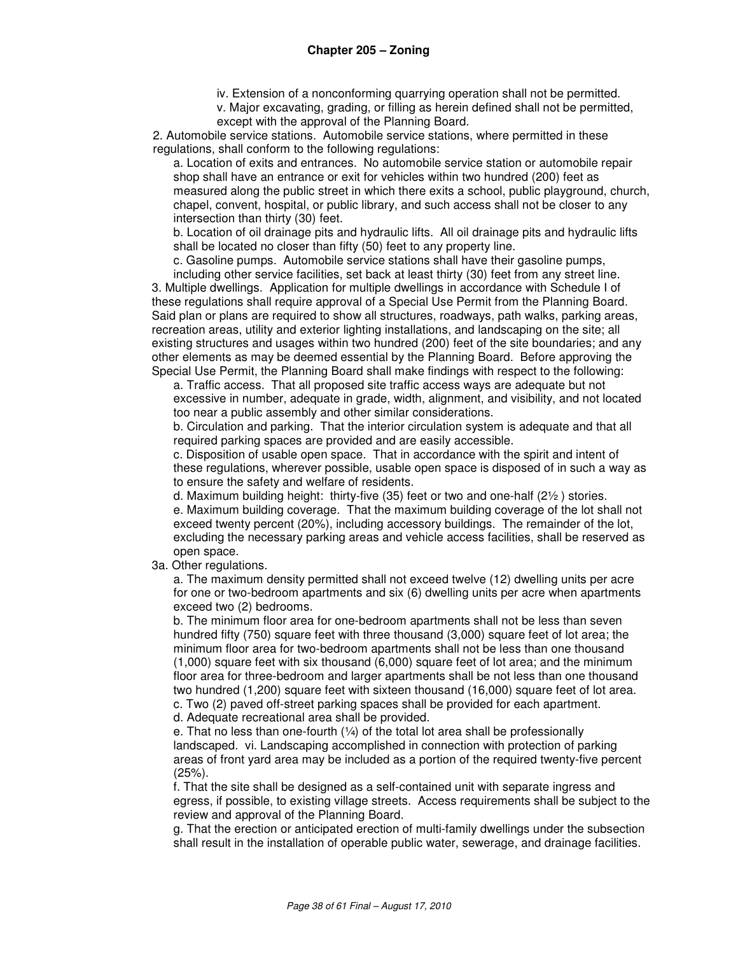iv. Extension of a nonconforming quarrying operation shall not be permitted.

v. Major excavating, grading, or filling as herein defined shall not be permitted, except with the approval of the Planning Board.

2. Automobile service stations. Automobile service stations, where permitted in these regulations, shall conform to the following regulations:

a. Location of exits and entrances. No automobile service station or automobile repair shop shall have an entrance or exit for vehicles within two hundred (200) feet as measured along the public street in which there exits a school, public playground, church, chapel, convent, hospital, or public library, and such access shall not be closer to any intersection than thirty (30) feet.

b. Location of oil drainage pits and hydraulic lifts. All oil drainage pits and hydraulic lifts shall be located no closer than fifty (50) feet to any property line.

c. Gasoline pumps. Automobile service stations shall have their gasoline pumps, including other service facilities, set back at least thirty (30) feet from any street line.

3. Multiple dwellings. Application for multiple dwellings in accordance with Schedule I of these regulations shall require approval of a Special Use Permit from the Planning Board. Said plan or plans are required to show all structures, roadways, path walks, parking areas, recreation areas, utility and exterior lighting installations, and landscaping on the site; all existing structures and usages within two hundred (200) feet of the site boundaries; and any other elements as may be deemed essential by the Planning Board. Before approving the Special Use Permit, the Planning Board shall make findings with respect to the following:

a. Traffic access. That all proposed site traffic access ways are adequate but not excessive in number, adequate in grade, width, alignment, and visibility, and not located too near a public assembly and other similar considerations.

b. Circulation and parking. That the interior circulation system is adequate and that all required parking spaces are provided and are easily accessible.

c. Disposition of usable open space. That in accordance with the spirit and intent of these regulations, wherever possible, usable open space is disposed of in such a way as to ensure the safety and welfare of residents.

d. Maximum building height: thirty-five  $(35)$  feet or two and one-half  $(2\frac{1}{2})$  stories.

e. Maximum building coverage. That the maximum building coverage of the lot shall not exceed twenty percent (20%), including accessory buildings. The remainder of the lot, excluding the necessary parking areas and vehicle access facilities, shall be reserved as open space.

3a. Other regulations.

a. The maximum density permitted shall not exceed twelve (12) dwelling units per acre for one or two-bedroom apartments and six (6) dwelling units per acre when apartments exceed two (2) bedrooms.

b. The minimum floor area for one-bedroom apartments shall not be less than seven hundred fifty (750) square feet with three thousand (3,000) square feet of lot area; the minimum floor area for two-bedroom apartments shall not be less than one thousand (1,000) square feet with six thousand (6,000) square feet of lot area; and the minimum floor area for three-bedroom and larger apartments shall be not less than one thousand two hundred (1,200) square feet with sixteen thousand (16,000) square feet of lot area. c. Two (2) paved off-street parking spaces shall be provided for each apartment.

d. Adequate recreational area shall be provided.

e. That no less than one-fourth  $(1/4)$  of the total lot area shall be professionally landscaped. vi. Landscaping accomplished in connection with protection of parking areas of front yard area may be included as a portion of the required twenty-five percent (25%).

f. That the site shall be designed as a self-contained unit with separate ingress and egress, if possible, to existing village streets. Access requirements shall be subject to the review and approval of the Planning Board.

g. That the erection or anticipated erection of multi-family dwellings under the subsection shall result in the installation of operable public water, sewerage, and drainage facilities.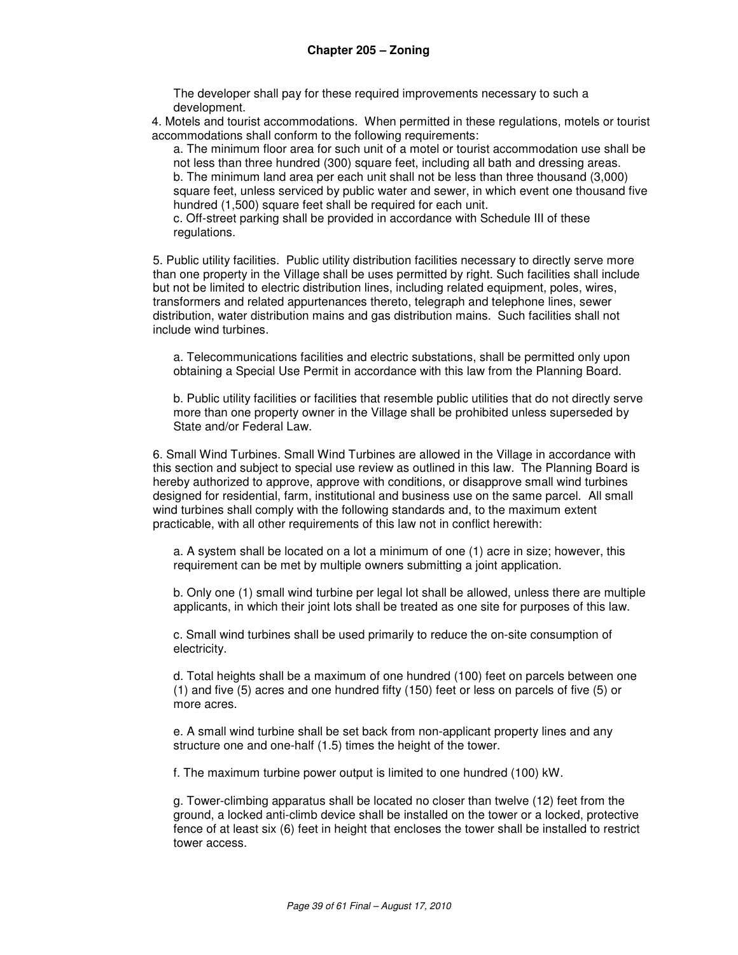The developer shall pay for these required improvements necessary to such a development.

4. Motels and tourist accommodations. When permitted in these regulations, motels or tourist accommodations shall conform to the following requirements:

a. The minimum floor area for such unit of a motel or tourist accommodation use shall be not less than three hundred (300) square feet, including all bath and dressing areas. b. The minimum land area per each unit shall not be less than three thousand (3,000) square feet, unless serviced by public water and sewer, in which event one thousand five hundred (1,500) square feet shall be required for each unit.

c. Off-street parking shall be provided in accordance with Schedule III of these regulations.

5. Public utility facilities. Public utility distribution facilities necessary to directly serve more than one property in the Village shall be uses permitted by right. Such facilities shall include but not be limited to electric distribution lines, including related equipment, poles, wires, transformers and related appurtenances thereto, telegraph and telephone lines, sewer distribution, water distribution mains and gas distribution mains. Such facilities shall not include wind turbines.

a. Telecommunications facilities and electric substations, shall be permitted only upon obtaining a Special Use Permit in accordance with this law from the Planning Board.

b. Public utility facilities or facilities that resemble public utilities that do not directly serve more than one property owner in the Village shall be prohibited unless superseded by State and/or Federal Law.

6. Small Wind Turbines. Small Wind Turbines are allowed in the Village in accordance with this section and subject to special use review as outlined in this law.The Planning Board is hereby authorized to approve, approve with conditions, or disapprove small wind turbines designed for residential, farm, institutional and business use on the same parcel. All small wind turbines shall comply with the following standards and, to the maximum extent practicable, with all other requirements of this law not in conflict herewith:

a. A system shall be located on a lot a minimum of one (1) acre in size; however, this requirement can be met by multiple owners submitting a joint application.

b. Only one (1) small wind turbine per legal lot shall be allowed, unless there are multiple applicants, in which their joint lots shall be treated as one site for purposes of this law.

c. Small wind turbines shall be used primarily to reduce the on-site consumption of electricity.

d. Total heights shall be a maximum of one hundred (100) feet on parcels between one (1) and five (5) acres and one hundred fifty (150) feet or less on parcels of five (5) or more acres.

e. A small wind turbine shall be set back from non-applicant property lines and any structure one and one-half (1.5) times the height of the tower.

f. The maximum turbine power output is limited to one hundred (100) kW.

g. Tower-climbing apparatus shall be located no closer than twelve (12) feet from the ground, a locked anti-climb device shall be installed on the tower or a locked, protective fence of at least six (6) feet in height that encloses the tower shall be installed to restrict tower access.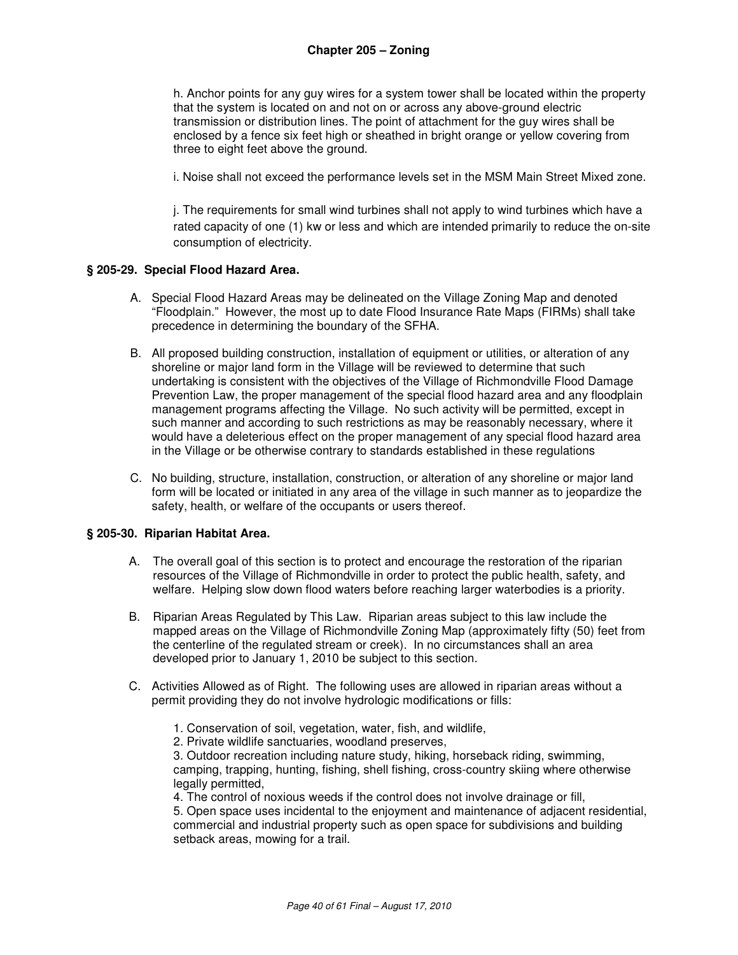h. Anchor points for any guy wires for a system tower shall be located within the property that the system is located on and not on or across any above-ground electric transmission or distribution lines. The point of attachment for the guy wires shall be enclosed by a fence six feet high or sheathed in bright orange or yellow covering from three to eight feet above the ground.

i. Noise shall not exceed the performance levels set in the MSM Main Street Mixed zone.

j. The requirements for small wind turbines shall not apply to wind turbines which have a rated capacity of one (1) kw or less and which are intended primarily to reduce the on-site consumption of electricity.

#### **§ 205-29. Special Flood Hazard Area.**

- A. Special Flood Hazard Areas may be delineated on the Village Zoning Map and denoted "Floodplain." However, the most up to date Flood Insurance Rate Maps (FIRMs) shall take precedence in determining the boundary of the SFHA.
- B. All proposed building construction, installation of equipment or utilities, or alteration of any shoreline or major land form in the Village will be reviewed to determine that such undertaking is consistent with the objectives of the Village of Richmondville Flood Damage Prevention Law, the proper management of the special flood hazard area and any floodplain management programs affecting the Village. No such activity will be permitted, except in such manner and according to such restrictions as may be reasonably necessary, where it would have a deleterious effect on the proper management of any special flood hazard area in the Village or be otherwise contrary to standards established in these regulations
- C. No building, structure, installation, construction, or alteration of any shoreline or major land form will be located or initiated in any area of the village in such manner as to jeopardize the safety, health, or welfare of the occupants or users thereof.

#### **§ 205-30. Riparian Habitat Area.**

- A. The overall goal of this section is to protect and encourage the restoration of the riparian resources of the Village of Richmondville in order to protect the public health, safety, and welfare. Helping slow down flood waters before reaching larger waterbodies is a priority.
- B. Riparian Areas Regulated by This Law. Riparian areas subject to this law include the mapped areas on the Village of Richmondville Zoning Map (approximately fifty (50) feet from the centerline of the regulated stream or creek). In no circumstances shall an area developed prior to January 1, 2010 be subject to this section.
- C. Activities Allowed as of Right. The following uses are allowed in riparian areas without a permit providing they do not involve hydrologic modifications or fills:
	- 1. Conservation of soil, vegetation, water, fish, and wildlife,
	- 2. Private wildlife sanctuaries, woodland preserves,

3. Outdoor recreation including nature study, hiking, horseback riding, swimming, camping, trapping, hunting, fishing, shell fishing, cross-country skiing where otherwise legally permitted,

4. The control of noxious weeds if the control does not involve drainage or fill,

5. Open space uses incidental to the enjoyment and maintenance of adjacent residential, commercial and industrial property such as open space for subdivisions and building setback areas, mowing for a trail.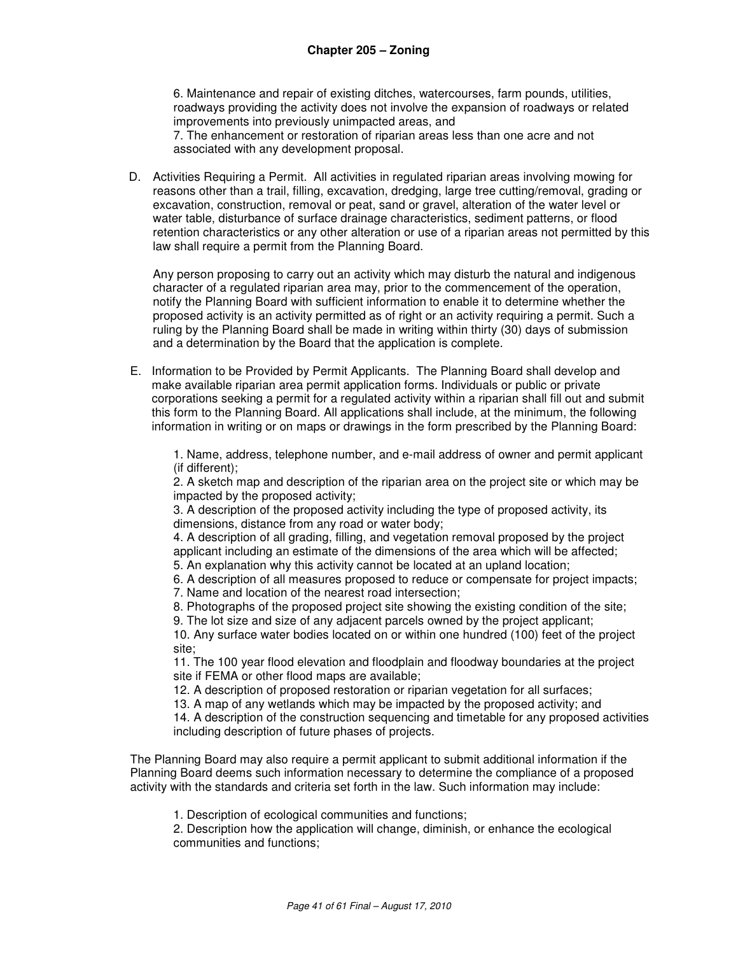6. Maintenance and repair of existing ditches, watercourses, farm pounds, utilities, roadways providing the activity does not involve the expansion of roadways or related improvements into previously unimpacted areas, and 7. The enhancement or restoration of riparian areas less than one acre and not associated with any development proposal.

D. Activities Requiring a Permit. All activities in regulated riparian areas involving mowing for reasons other than a trail, filling, excavation, dredging, large tree cutting/removal, grading or excavation, construction, removal or peat, sand or gravel, alteration of the water level or water table, disturbance of surface drainage characteristics, sediment patterns, or flood retention characteristics or any other alteration or use of a riparian areas not permitted by this law shall require a permit from the Planning Board.

Any person proposing to carry out an activity which may disturb the natural and indigenous character of a regulated riparian area may, prior to the commencement of the operation, notify the Planning Board with sufficient information to enable it to determine whether the proposed activity is an activity permitted as of right or an activity requiring a permit. Such a ruling by the Planning Board shall be made in writing within thirty (30) days of submission and a determination by the Board that the application is complete.

E. Information to be Provided by Permit Applicants. The Planning Board shall develop and make available riparian area permit application forms. Individuals or public or private corporations seeking a permit for a regulated activity within a riparian shall fill out and submit this form to the Planning Board. All applications shall include, at the minimum, the following information in writing or on maps or drawings in the form prescribed by the Planning Board:

1. Name, address, telephone number, and e-mail address of owner and permit applicant (if different);

2. A sketch map and description of the riparian area on the project site or which may be impacted by the proposed activity;

3. A description of the proposed activity including the type of proposed activity, its dimensions, distance from any road or water body;

4. A description of all grading, filling, and vegetation removal proposed by the project applicant including an estimate of the dimensions of the area which will be affected;

5. An explanation why this activity cannot be located at an upland location;

6. A description of all measures proposed to reduce or compensate for project impacts; 7. Name and location of the nearest road intersection;

8. Photographs of the proposed project site showing the existing condition of the site;

9. The lot size and size of any adjacent parcels owned by the project applicant;

10. Any surface water bodies located on or within one hundred (100) feet of the project site;

11. The 100 year flood elevation and floodplain and floodway boundaries at the project site if FEMA or other flood maps are available;

12. A description of proposed restoration or riparian vegetation for all surfaces;

13. A map of any wetlands which may be impacted by the proposed activity; and

14. A description of the construction sequencing and timetable for any proposed activities including description of future phases of projects.

The Planning Board may also require a permit applicant to submit additional information if the Planning Board deems such information necessary to determine the compliance of a proposed activity with the standards and criteria set forth in the law. Such information may include:

1. Description of ecological communities and functions;

2. Description how the application will change, diminish, or enhance the ecological communities and functions;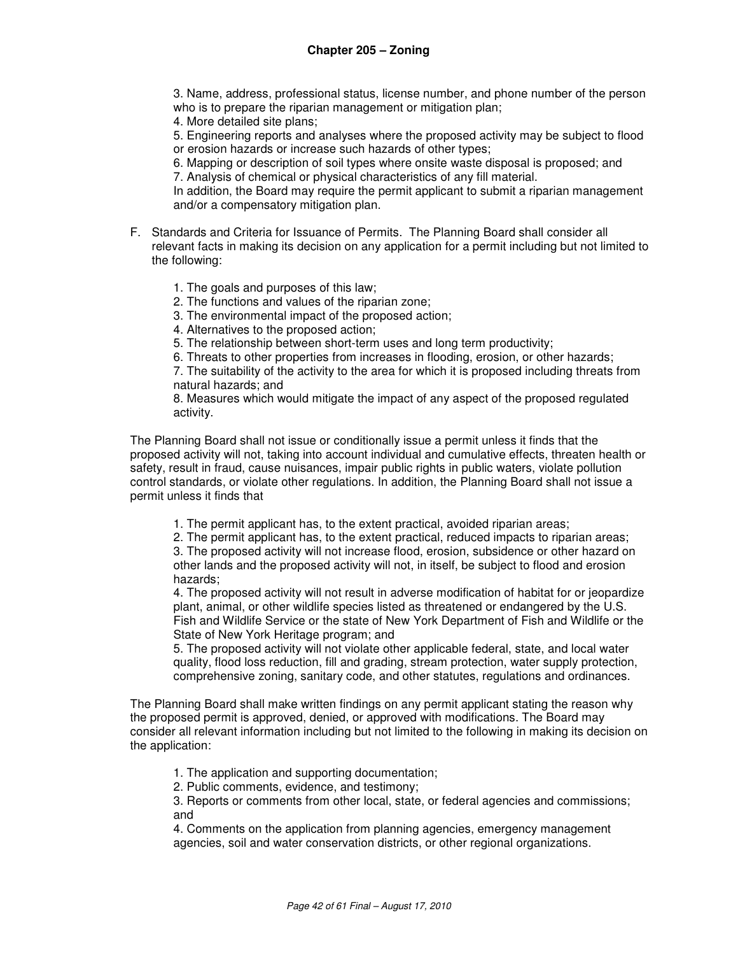3. Name, address, professional status, license number, and phone number of the person who is to prepare the riparian management or mitigation plan;

4. More detailed site plans;

5. Engineering reports and analyses where the proposed activity may be subject to flood or erosion hazards or increase such hazards of other types;

6. Mapping or description of soil types where onsite waste disposal is proposed; and 7. Analysis of chemical or physical characteristics of any fill material.

In addition, the Board may require the permit applicant to submit a riparian management and/or a compensatory mitigation plan.

- F. Standards and Criteria for Issuance of Permits. The Planning Board shall consider all relevant facts in making its decision on any application for a permit including but not limited to the following:
	- 1. The goals and purposes of this law;
	- 2. The functions and values of the riparian zone;
	- 3. The environmental impact of the proposed action;
	- 4. Alternatives to the proposed action;
	- 5. The relationship between short-term uses and long term productivity;
	- 6. Threats to other properties from increases in flooding, erosion, or other hazards;

7. The suitability of the activity to the area for which it is proposed including threats from natural hazards; and

8. Measures which would mitigate the impact of any aspect of the proposed regulated activity.

The Planning Board shall not issue or conditionally issue a permit unless it finds that the proposed activity will not, taking into account individual and cumulative effects, threaten health or safety, result in fraud, cause nuisances, impair public rights in public waters, violate pollution control standards, or violate other regulations. In addition, the Planning Board shall not issue a permit unless it finds that

1. The permit applicant has, to the extent practical, avoided riparian areas;

2. The permit applicant has, to the extent practical, reduced impacts to riparian areas;

3. The proposed activity will not increase flood, erosion, subsidence or other hazard on other lands and the proposed activity will not, in itself, be subject to flood and erosion hazards;

4. The proposed activity will not result in adverse modification of habitat for or jeopardize plant, animal, or other wildlife species listed as threatened or endangered by the U.S. Fish and Wildlife Service or the state of New York Department of Fish and Wildlife or the State of New York Heritage program; and

5. The proposed activity will not violate other applicable federal, state, and local water quality, flood loss reduction, fill and grading, stream protection, water supply protection, comprehensive zoning, sanitary code, and other statutes, regulations and ordinances.

The Planning Board shall make written findings on any permit applicant stating the reason why the proposed permit is approved, denied, or approved with modifications. The Board may consider all relevant information including but not limited to the following in making its decision on the application:

1. The application and supporting documentation;

2. Public comments, evidence, and testimony;

3. Reports or comments from other local, state, or federal agencies and commissions; and

4. Comments on the application from planning agencies, emergency management agencies, soil and water conservation districts, or other regional organizations.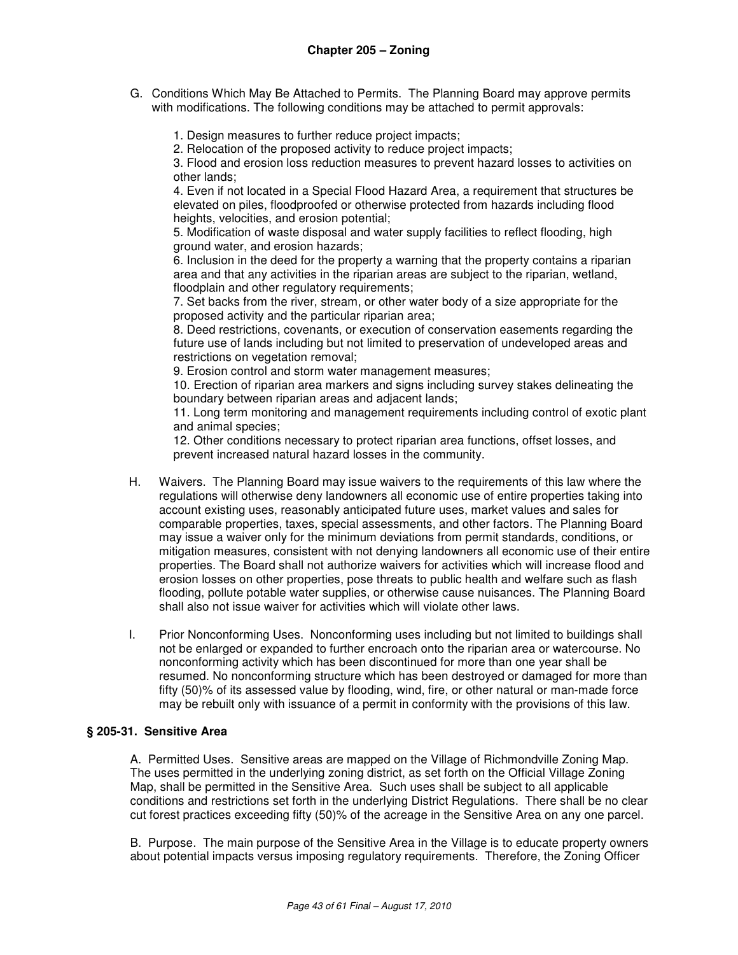- G. Conditions Which May Be Attached to Permits. The Planning Board may approve permits with modifications. The following conditions may be attached to permit approvals:
	- 1. Design measures to further reduce project impacts;
	- 2. Relocation of the proposed activity to reduce project impacts;

3. Flood and erosion loss reduction measures to prevent hazard losses to activities on other lands;

4. Even if not located in a Special Flood Hazard Area, a requirement that structures be elevated on piles, floodproofed or otherwise protected from hazards including flood heights, velocities, and erosion potential;

5. Modification of waste disposal and water supply facilities to reflect flooding, high ground water, and erosion hazards;

6. Inclusion in the deed for the property a warning that the property contains a riparian area and that any activities in the riparian areas are subject to the riparian, wetland, floodplain and other regulatory requirements;

7. Set backs from the river, stream, or other water body of a size appropriate for the proposed activity and the particular riparian area;

8. Deed restrictions, covenants, or execution of conservation easements regarding the future use of lands including but not limited to preservation of undeveloped areas and restrictions on vegetation removal;

9. Erosion control and storm water management measures;

10. Erection of riparian area markers and signs including survey stakes delineating the boundary between riparian areas and adjacent lands;

11. Long term monitoring and management requirements including control of exotic plant and animal species;

12. Other conditions necessary to protect riparian area functions, offset losses, and prevent increased natural hazard losses in the community.

- H. Waivers. The Planning Board may issue waivers to the requirements of this law where the regulations will otherwise deny landowners all economic use of entire properties taking into account existing uses, reasonably anticipated future uses, market values and sales for comparable properties, taxes, special assessments, and other factors. The Planning Board may issue a waiver only for the minimum deviations from permit standards, conditions, or mitigation measures, consistent with not denying landowners all economic use of their entire properties. The Board shall not authorize waivers for activities which will increase flood and erosion losses on other properties, pose threats to public health and welfare such as flash flooding, pollute potable water supplies, or otherwise cause nuisances. The Planning Board shall also not issue waiver for activities which will violate other laws.
- I. Prior Nonconforming Uses. Nonconforming uses including but not limited to buildings shall not be enlarged or expanded to further encroach onto the riparian area or watercourse. No nonconforming activity which has been discontinued for more than one year shall be resumed. No nonconforming structure which has been destroyed or damaged for more than fifty (50)% of its assessed value by flooding, wind, fire, or other natural or man-made force may be rebuilt only with issuance of a permit in conformity with the provisions of this law.

#### **§ 205-31. Sensitive Area**

A. Permitted Uses. Sensitive areas are mapped on the Village of Richmondville Zoning Map. The uses permitted in the underlying zoning district, as set forth on the Official Village Zoning Map, shall be permitted in the Sensitive Area. Such uses shall be subject to all applicable conditions and restrictions set forth in the underlying District Regulations. There shall be no clear cut forest practices exceeding fifty (50)% of the acreage in the Sensitive Area on any one parcel.

B. Purpose. The main purpose of the Sensitive Area in the Village is to educate property owners about potential impacts versus imposing regulatory requirements. Therefore, the Zoning Officer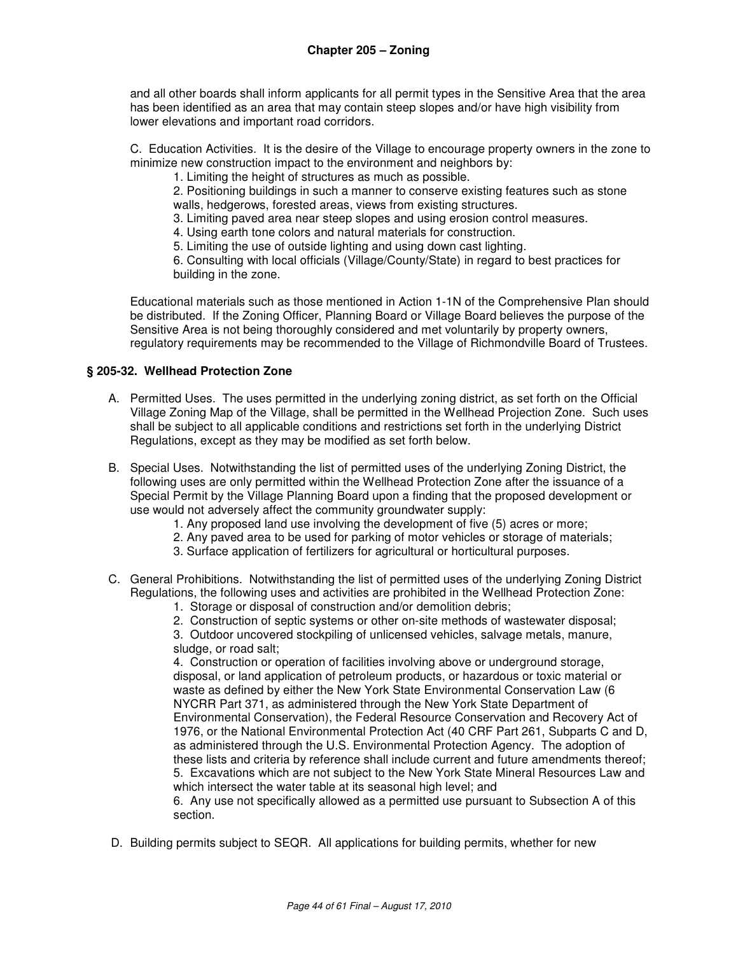and all other boards shall inform applicants for all permit types in the Sensitive Area that the area has been identified as an area that may contain steep slopes and/or have high visibility from lower elevations and important road corridors.

C. Education Activities. It is the desire of the Village to encourage property owners in the zone to minimize new construction impact to the environment and neighbors by:

1. Limiting the height of structures as much as possible.

 2. Positioning buildings in such a manner to conserve existing features such as stone walls, hedgerows, forested areas, views from existing structures.

3. Limiting paved area near steep slopes and using erosion control measures.

- 4. Using earth tone colors and natural materials for construction.
- 5. Limiting the use of outside lighting and using down cast lighting.

 6. Consulting with local officials (Village/County/State) in regard to best practices for building in the zone.

Educational materials such as those mentioned in Action 1-1N of the Comprehensive Plan should be distributed. If the Zoning Officer, Planning Board or Village Board believes the purpose of the Sensitive Area is not being thoroughly considered and met voluntarily by property owners, regulatory requirements may be recommended to the Village of Richmondville Board of Trustees.

## **§ 205-32. Wellhead Protection Zone**

- A. Permitted Uses. The uses permitted in the underlying zoning district, as set forth on the Official Village Zoning Map of the Village, shall be permitted in the Wellhead Projection Zone. Such uses shall be subject to all applicable conditions and restrictions set forth in the underlying District Regulations, except as they may be modified as set forth below.
- B. Special Uses. Notwithstanding the list of permitted uses of the underlying Zoning District, the following uses are only permitted within the Wellhead Protection Zone after the issuance of a Special Permit by the Village Planning Board upon a finding that the proposed development or use would not adversely affect the community groundwater supply:
	- 1. Any proposed land use involving the development of five (5) acres or more;
	- 2. Any paved area to be used for parking of motor vehicles or storage of materials;
	- 3. Surface application of fertilizers for agricultural or horticultural purposes.
- C. General Prohibitions. Notwithstanding the list of permitted uses of the underlying Zoning District Regulations, the following uses and activities are prohibited in the Wellhead Protection Zone:
	- 1. Storage or disposal of construction and/or demolition debris;
	- 2. Construction of septic systems or other on-site methods of wastewater disposal;

3. Outdoor uncovered stockpiling of unlicensed vehicles, salvage metals, manure, sludge, or road salt;

4. Construction or operation of facilities involving above or underground storage, disposal, or land application of petroleum products, or hazardous or toxic material or waste as defined by either the New York State Environmental Conservation Law (6 NYCRR Part 371, as administered through the New York State Department of Environmental Conservation), the Federal Resource Conservation and Recovery Act of 1976, or the National Environmental Protection Act (40 CRF Part 261, Subparts C and D, as administered through the U.S. Environmental Protection Agency. The adoption of these lists and criteria by reference shall include current and future amendments thereof; 5. Excavations which are not subject to the New York State Mineral Resources Law and which intersect the water table at its seasonal high level; and

6. Any use not specifically allowed as a permitted use pursuant to Subsection A of this section.

D. Building permits subject to SEQR. All applications for building permits, whether for new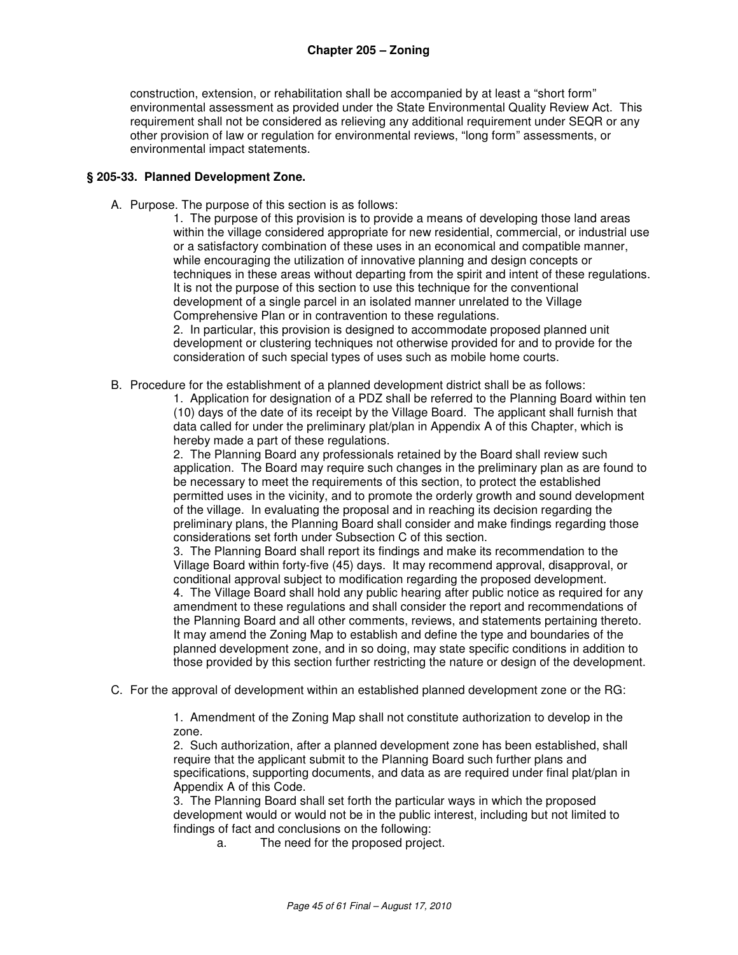construction, extension, or rehabilitation shall be accompanied by at least a "short form" environmental assessment as provided under the State Environmental Quality Review Act. This requirement shall not be considered as relieving any additional requirement under SEQR or any other provision of law or regulation for environmental reviews, "long form" assessments, or environmental impact statements.

#### **§ 205-33. Planned Development Zone.**

A. Purpose. The purpose of this section is as follows:

1. The purpose of this provision is to provide a means of developing those land areas within the village considered appropriate for new residential, commercial, or industrial use or a satisfactory combination of these uses in an economical and compatible manner, while encouraging the utilization of innovative planning and design concepts or techniques in these areas without departing from the spirit and intent of these regulations. It is not the purpose of this section to use this technique for the conventional development of a single parcel in an isolated manner unrelated to the Village Comprehensive Plan or in contravention to these regulations.

2. In particular, this provision is designed to accommodate proposed planned unit development or clustering techniques not otherwise provided for and to provide for the consideration of such special types of uses such as mobile home courts.

B. Procedure for the establishment of a planned development district shall be as follows:

1. Application for designation of a PDZ shall be referred to the Planning Board within ten (10) days of the date of its receipt by the Village Board. The applicant shall furnish that data called for under the preliminary plat/plan in Appendix A of this Chapter, which is hereby made a part of these regulations.

2. The Planning Board any professionals retained by the Board shall review such application. The Board may require such changes in the preliminary plan as are found to be necessary to meet the requirements of this section, to protect the established permitted uses in the vicinity, and to promote the orderly growth and sound development of the village. In evaluating the proposal and in reaching its decision regarding the preliminary plans, the Planning Board shall consider and make findings regarding those considerations set forth under Subsection C of this section.

3. The Planning Board shall report its findings and make its recommendation to the Village Board within forty-five (45) days. It may recommend approval, disapproval, or conditional approval subject to modification regarding the proposed development.

4. The Village Board shall hold any public hearing after public notice as required for any amendment to these regulations and shall consider the report and recommendations of the Planning Board and all other comments, reviews, and statements pertaining thereto. It may amend the Zoning Map to establish and define the type and boundaries of the planned development zone, and in so doing, may state specific conditions in addition to those provided by this section further restricting the nature or design of the development.

C. For the approval of development within an established planned development zone or the RG:

1. Amendment of the Zoning Map shall not constitute authorization to develop in the zone.

2. Such authorization, after a planned development zone has been established, shall require that the applicant submit to the Planning Board such further plans and specifications, supporting documents, and data as are required under final plat/plan in Appendix A of this Code.

3. The Planning Board shall set forth the particular ways in which the proposed development would or would not be in the public interest, including but not limited to findings of fact and conclusions on the following:

a. The need for the proposed project.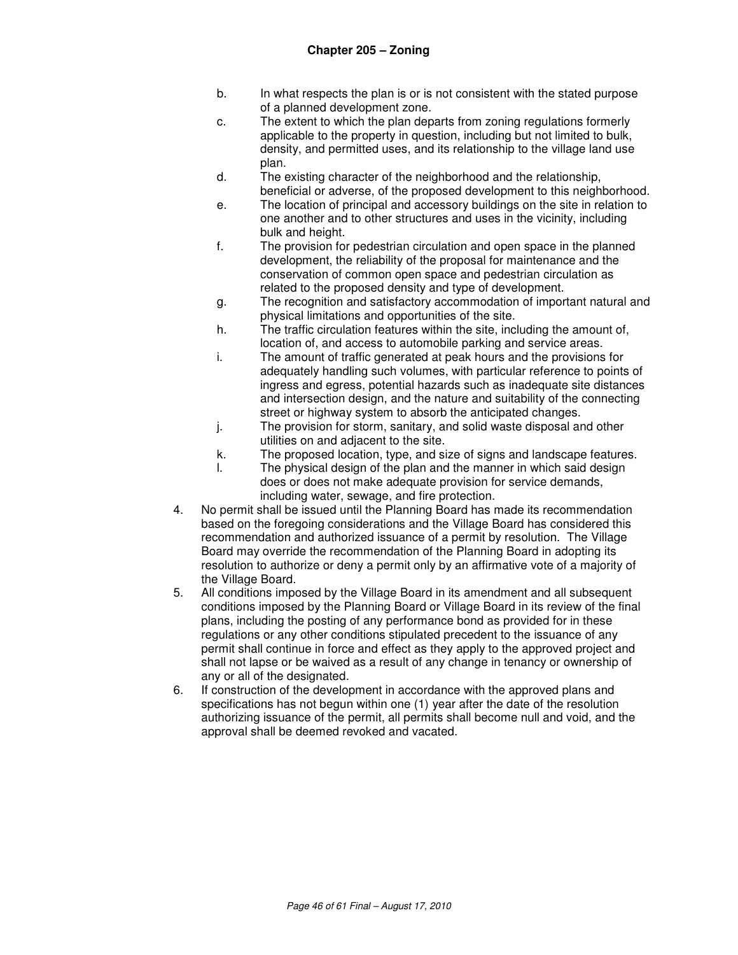- b. In what respects the plan is or is not consistent with the stated purpose of a planned development zone.
- c. The extent to which the plan departs from zoning regulations formerly applicable to the property in question, including but not limited to bulk, density, and permitted uses, and its relationship to the village land use plan.
- d. The existing character of the neighborhood and the relationship, beneficial or adverse, of the proposed development to this neighborhood.
- e. The location of principal and accessory buildings on the site in relation to one another and to other structures and uses in the vicinity, including bulk and height.
- f. The provision for pedestrian circulation and open space in the planned development, the reliability of the proposal for maintenance and the conservation of common open space and pedestrian circulation as related to the proposed density and type of development.
- g. The recognition and satisfactory accommodation of important natural and physical limitations and opportunities of the site.
- h. The traffic circulation features within the site, including the amount of, location of, and access to automobile parking and service areas.
- i. The amount of traffic generated at peak hours and the provisions for adequately handling such volumes, with particular reference to points of ingress and egress, potential hazards such as inadequate site distances and intersection design, and the nature and suitability of the connecting street or highway system to absorb the anticipated changes.
- j. The provision for storm, sanitary, and solid waste disposal and other utilities on and adjacent to the site.
- k. The proposed location, type, and size of signs and landscape features.
- l. The physical design of the plan and the manner in which said design does or does not make adequate provision for service demands, including water, sewage, and fire protection.
- 4. No permit shall be issued until the Planning Board has made its recommendation based on the foregoing considerations and the Village Board has considered this recommendation and authorized issuance of a permit by resolution. The Village Board may override the recommendation of the Planning Board in adopting its resolution to authorize or deny a permit only by an affirmative vote of a majority of the Village Board.
- 5. All conditions imposed by the Village Board in its amendment and all subsequent conditions imposed by the Planning Board or Village Board in its review of the final plans, including the posting of any performance bond as provided for in these regulations or any other conditions stipulated precedent to the issuance of any permit shall continue in force and effect as they apply to the approved project and shall not lapse or be waived as a result of any change in tenancy or ownership of any or all of the designated.
- 6. If construction of the development in accordance with the approved plans and specifications has not begun within one (1) year after the date of the resolution authorizing issuance of the permit, all permits shall become null and void, and the approval shall be deemed revoked and vacated.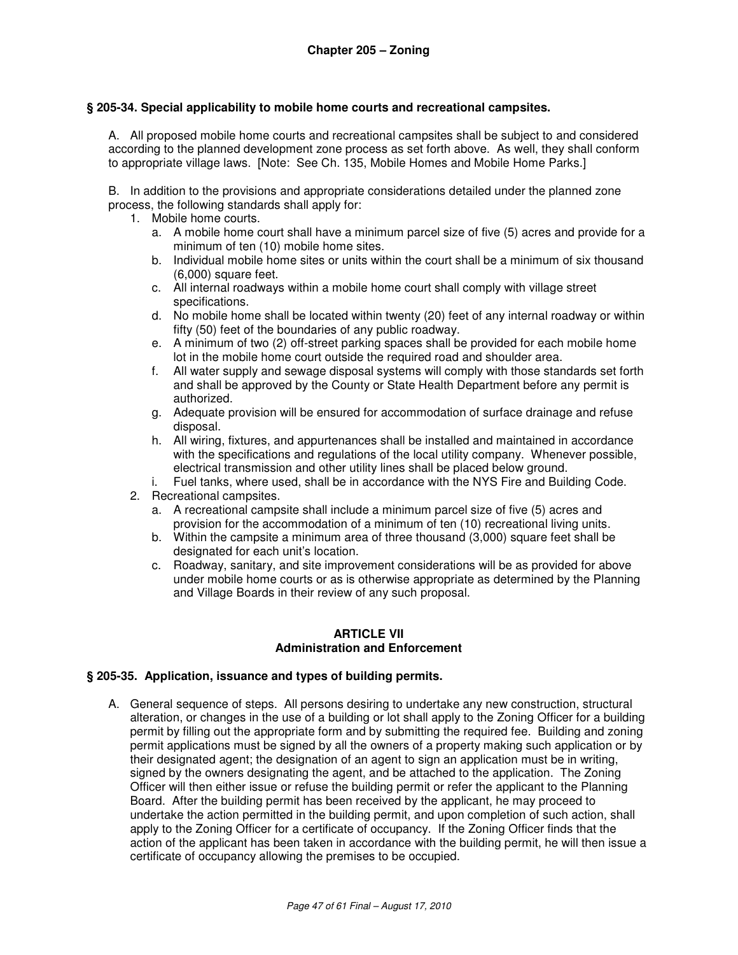#### **§ 205-34. Special applicability to mobile home courts and recreational campsites.**

A. All proposed mobile home courts and recreational campsites shall be subject to and considered according to the planned development zone process as set forth above. As well, they shall conform to appropriate village laws. [Note: See Ch. 135, Mobile Homes and Mobile Home Parks.]

B. In addition to the provisions and appropriate considerations detailed under the planned zone process, the following standards shall apply for:

- 1. Mobile home courts.
	- a. A mobile home court shall have a minimum parcel size of five (5) acres and provide for a minimum of ten (10) mobile home sites.
	- b. Individual mobile home sites or units within the court shall be a minimum of six thousand (6,000) square feet.
	- c. All internal roadways within a mobile home court shall comply with village street specifications.
	- d. No mobile home shall be located within twenty (20) feet of any internal roadway or within fifty (50) feet of the boundaries of any public roadway.
	- e. A minimum of two (2) off-street parking spaces shall be provided for each mobile home lot in the mobile home court outside the required road and shoulder area.
	- f. All water supply and sewage disposal systems will comply with those standards set forth and shall be approved by the County or State Health Department before any permit is authorized.
	- g. Adequate provision will be ensured for accommodation of surface drainage and refuse disposal.
	- h. All wiring, fixtures, and appurtenances shall be installed and maintained in accordance with the specifications and regulations of the local utility company. Whenever possible, electrical transmission and other utility lines shall be placed below ground.
	- i. Fuel tanks, where used, shall be in accordance with the NYS Fire and Building Code.
- 2. Recreational campsites.
	- a. A recreational campsite shall include a minimum parcel size of five (5) acres and provision for the accommodation of a minimum of ten (10) recreational living units.
	- b. Within the campsite a minimum area of three thousand (3,000) square feet shall be designated for each unit's location.
	- c. Roadway, sanitary, and site improvement considerations will be as provided for above under mobile home courts or as is otherwise appropriate as determined by the Planning and Village Boards in their review of any such proposal.

#### **ARTICLE VII Administration and Enforcement**

#### **§ 205-35. Application, issuance and types of building permits.**

A. General sequence of steps. All persons desiring to undertake any new construction, structural alteration, or changes in the use of a building or lot shall apply to the Zoning Officer for a building permit by filling out the appropriate form and by submitting the required fee. Building and zoning permit applications must be signed by all the owners of a property making such application or by their designated agent; the designation of an agent to sign an application must be in writing, signed by the owners designating the agent, and be attached to the application. The Zoning Officer will then either issue or refuse the building permit or refer the applicant to the Planning Board. After the building permit has been received by the applicant, he may proceed to undertake the action permitted in the building permit, and upon completion of such action, shall apply to the Zoning Officer for a certificate of occupancy. If the Zoning Officer finds that the action of the applicant has been taken in accordance with the building permit, he will then issue a certificate of occupancy allowing the premises to be occupied.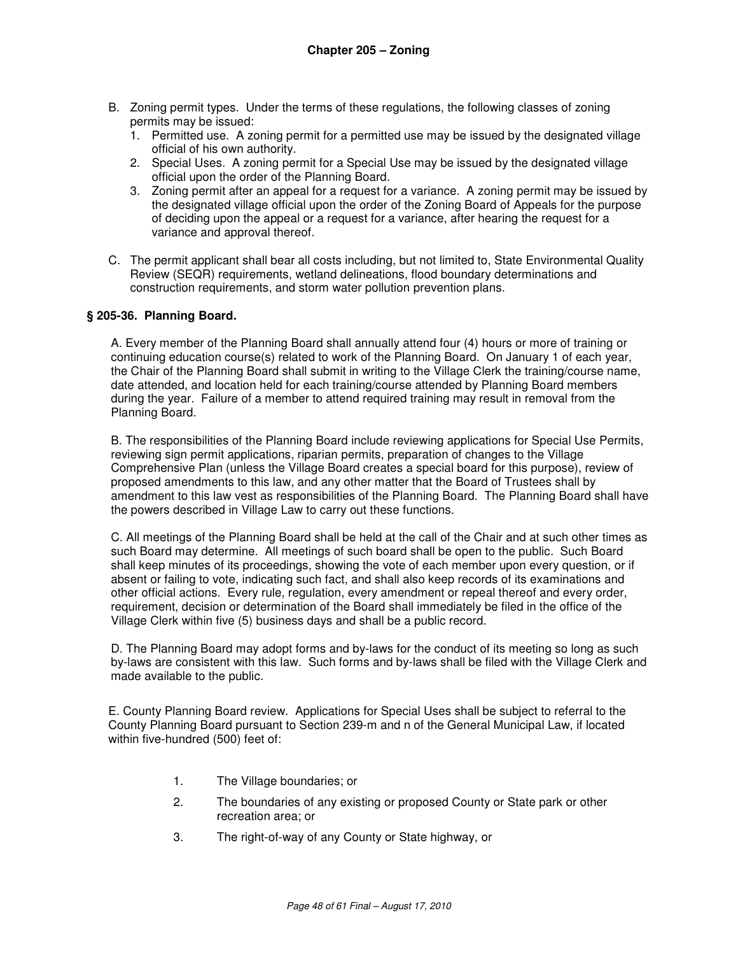- B. Zoning permit types. Under the terms of these regulations, the following classes of zoning permits may be issued:
	- 1. Permitted use. A zoning permit for a permitted use may be issued by the designated village official of his own authority.
	- 2. Special Uses. A zoning permit for a Special Use may be issued by the designated village official upon the order of the Planning Board.
	- 3. Zoning permit after an appeal for a request for a variance. A zoning permit may be issued by the designated village official upon the order of the Zoning Board of Appeals for the purpose of deciding upon the appeal or a request for a variance, after hearing the request for a variance and approval thereof.
- C. The permit applicant shall bear all costs including, but not limited to, State Environmental Quality Review (SEQR) requirements, wetland delineations, flood boundary determinations and construction requirements, and storm water pollution prevention plans.

#### **§ 205-36. Planning Board.**

A. Every member of the Planning Board shall annually attend four (4) hours or more of training or continuing education course(s) related to work of the Planning Board. On January 1 of each year, the Chair of the Planning Board shall submit in writing to the Village Clerk the training/course name, date attended, and location held for each training/course attended by Planning Board members during the year. Failure of a member to attend required training may result in removal from the Planning Board.

B. The responsibilities of the Planning Board include reviewing applications for Special Use Permits, reviewing sign permit applications, riparian permits, preparation of changes to the Village Comprehensive Plan (unless the Village Board creates a special board for this purpose), review of proposed amendments to this law, and any other matter that the Board of Trustees shall by amendment to this law vest as responsibilities of the Planning Board. The Planning Board shall have the powers described in Village Law to carry out these functions.

C. All meetings of the Planning Board shall be held at the call of the Chair and at such other times as such Board may determine. All meetings of such board shall be open to the public. Such Board shall keep minutes of its proceedings, showing the vote of each member upon every question, or if absent or failing to vote, indicating such fact, and shall also keep records of its examinations and other official actions. Every rule, regulation, every amendment or repeal thereof and every order, requirement, decision or determination of the Board shall immediately be filed in the office of the Village Clerk within five (5) business days and shall be a public record.

D. The Planning Board may adopt forms and by-laws for the conduct of its meeting so long as such by-laws are consistent with this law. Such forms and by-laws shall be filed with the Village Clerk and made available to the public.

E. County Planning Board review. Applications for Special Uses shall be subject to referral to the County Planning Board pursuant to Section 239-m and n of the General Municipal Law, if located within five-hundred (500) feet of:

- 1. The Village boundaries; or
- 2. The boundaries of any existing or proposed County or State park or other recreation area; or
- 3. The right-of-way of any County or State highway, or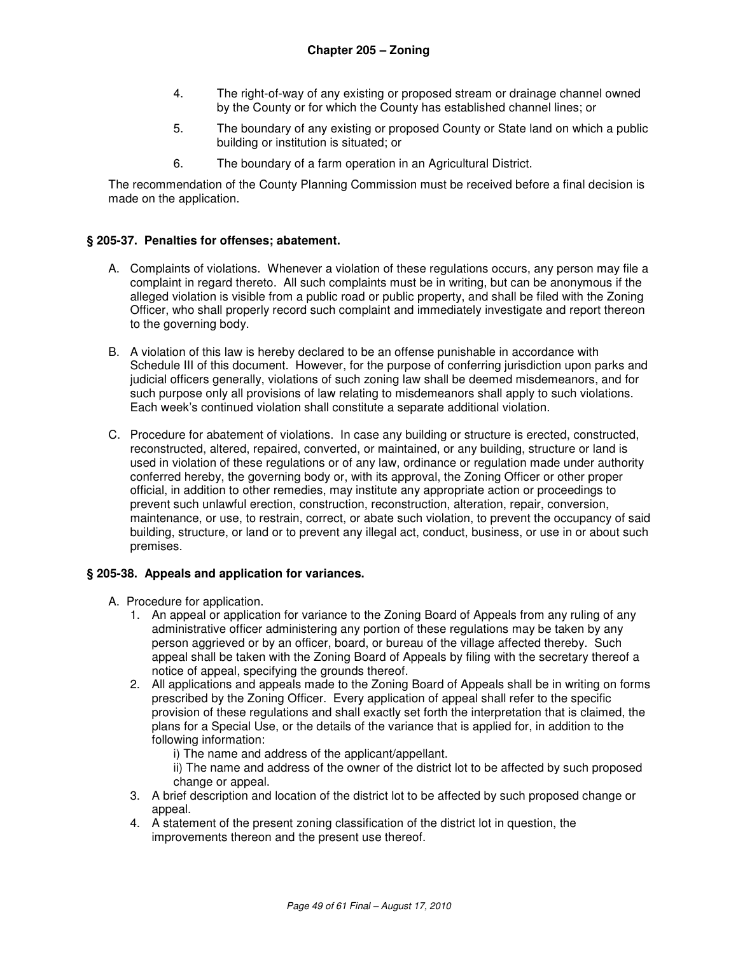- 4. The right-of-way of any existing or proposed stream or drainage channel owned by the County or for which the County has established channel lines; or
- 5. The boundary of any existing or proposed County or State land on which a public building or institution is situated; or
- 6. The boundary of a farm operation in an Agricultural District.

The recommendation of the County Planning Commission must be received before a final decision is made on the application.

## **§ 205-37. Penalties for offenses; abatement.**

- A. Complaints of violations. Whenever a violation of these regulations occurs, any person may file a complaint in regard thereto. All such complaints must be in writing, but can be anonymous if the alleged violation is visible from a public road or public property, and shall be filed with the Zoning Officer, who shall properly record such complaint and immediately investigate and report thereon to the governing body.
- B. A violation of this law is hereby declared to be an offense punishable in accordance with Schedule III of this document. However, for the purpose of conferring jurisdiction upon parks and judicial officers generally, violations of such zoning law shall be deemed misdemeanors, and for such purpose only all provisions of law relating to misdemeanors shall apply to such violations. Each week's continued violation shall constitute a separate additional violation.
- C. Procedure for abatement of violations. In case any building or structure is erected, constructed, reconstructed, altered, repaired, converted, or maintained, or any building, structure or land is used in violation of these regulations or of any law, ordinance or regulation made under authority conferred hereby, the governing body or, with its approval, the Zoning Officer or other proper official, in addition to other remedies, may institute any appropriate action or proceedings to prevent such unlawful erection, construction, reconstruction, alteration, repair, conversion, maintenance, or use, to restrain, correct, or abate such violation, to prevent the occupancy of said building, structure, or land or to prevent any illegal act, conduct, business, or use in or about such premises.

## **§ 205-38. Appeals and application for variances.**

A. Procedure for application.

- 1. An appeal or application for variance to the Zoning Board of Appeals from any ruling of any administrative officer administering any portion of these regulations may be taken by any person aggrieved or by an officer, board, or bureau of the village affected thereby. Such appeal shall be taken with the Zoning Board of Appeals by filing with the secretary thereof a notice of appeal, specifying the grounds thereof.
- 2. All applications and appeals made to the Zoning Board of Appeals shall be in writing on forms prescribed by the Zoning Officer. Every application of appeal shall refer to the specific provision of these regulations and shall exactly set forth the interpretation that is claimed, the plans for a Special Use, or the details of the variance that is applied for, in addition to the following information:
	- i) The name and address of the applicant/appellant.
	- ii) The name and address of the owner of the district lot to be affected by such proposed change or appeal.
- 3. A brief description and location of the district lot to be affected by such proposed change or appeal.
- 4. A statement of the present zoning classification of the district lot in question, the improvements thereon and the present use thereof.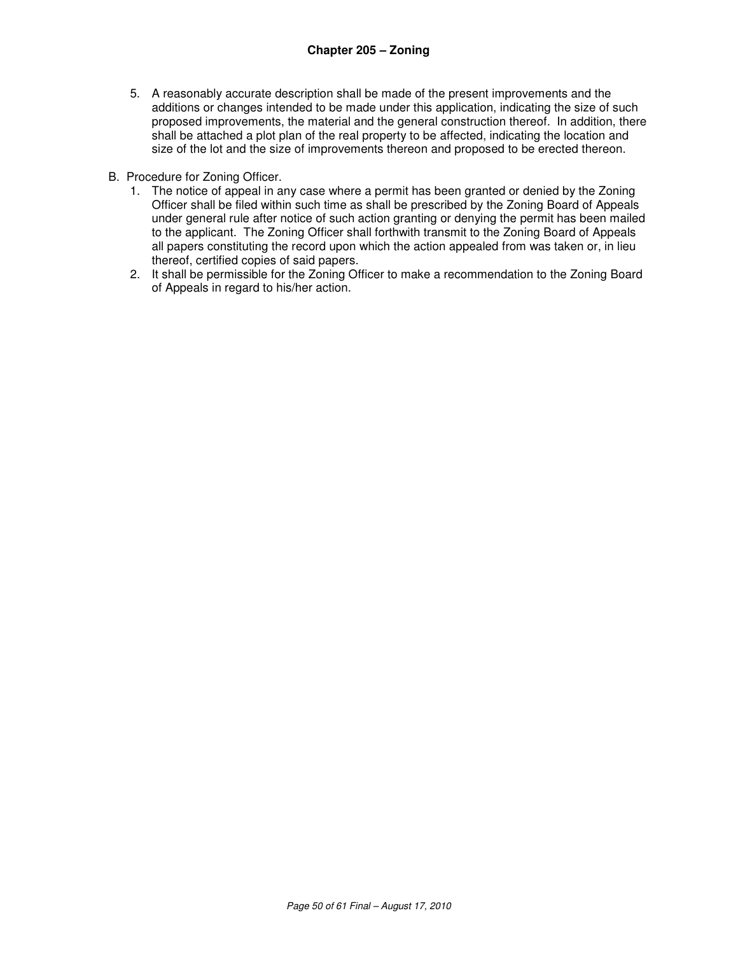- 5. A reasonably accurate description shall be made of the present improvements and the additions or changes intended to be made under this application, indicating the size of such proposed improvements, the material and the general construction thereof. In addition, there shall be attached a plot plan of the real property to be affected, indicating the location and size of the lot and the size of improvements thereon and proposed to be erected thereon.
- B. Procedure for Zoning Officer.
	- 1. The notice of appeal in any case where a permit has been granted or denied by the Zoning Officer shall be filed within such time as shall be prescribed by the Zoning Board of Appeals under general rule after notice of such action granting or denying the permit has been mailed to the applicant. The Zoning Officer shall forthwith transmit to the Zoning Board of Appeals all papers constituting the record upon which the action appealed from was taken or, in lieu thereof, certified copies of said papers.
	- 2. It shall be permissible for the Zoning Officer to make a recommendation to the Zoning Board of Appeals in regard to his/her action.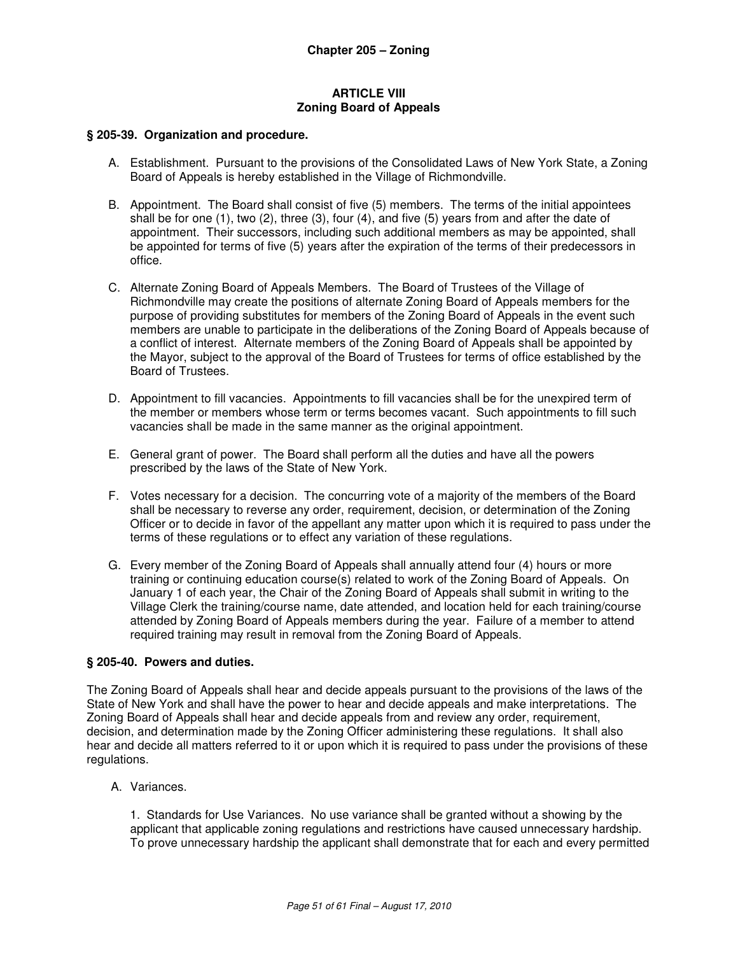#### **ARTICLE VIII Zoning Board of Appeals**

#### **§ 205-39. Organization and procedure.**

- A. Establishment. Pursuant to the provisions of the Consolidated Laws of New York State, a Zoning Board of Appeals is hereby established in the Village of Richmondville.
- B. Appointment. The Board shall consist of five (5) members. The terms of the initial appointees shall be for one (1), two (2), three (3), four (4), and five (5) years from and after the date of appointment. Their successors, including such additional members as may be appointed, shall be appointed for terms of five (5) years after the expiration of the terms of their predecessors in office.
- C. Alternate Zoning Board of Appeals Members. The Board of Trustees of the Village of Richmondville may create the positions of alternate Zoning Board of Appeals members for the purpose of providing substitutes for members of the Zoning Board of Appeals in the event such members are unable to participate in the deliberations of the Zoning Board of Appeals because of a conflict of interest. Alternate members of the Zoning Board of Appeals shall be appointed by the Mayor, subject to the approval of the Board of Trustees for terms of office established by the Board of Trustees.
- D. Appointment to fill vacancies. Appointments to fill vacancies shall be for the unexpired term of the member or members whose term or terms becomes vacant. Such appointments to fill such vacancies shall be made in the same manner as the original appointment.
- E. General grant of power. The Board shall perform all the duties and have all the powers prescribed by the laws of the State of New York.
- F. Votes necessary for a decision. The concurring vote of a majority of the members of the Board shall be necessary to reverse any order, requirement, decision, or determination of the Zoning Officer or to decide in favor of the appellant any matter upon which it is required to pass under the terms of these regulations or to effect any variation of these regulations.
- G. Every member of the Zoning Board of Appeals shall annually attend four (4) hours or more training or continuing education course(s) related to work of the Zoning Board of Appeals. On January 1 of each year, the Chair of the Zoning Board of Appeals shall submit in writing to the Village Clerk the training/course name, date attended, and location held for each training/course attended by Zoning Board of Appeals members during the year. Failure of a member to attend required training may result in removal from the Zoning Board of Appeals.

#### **§ 205-40. Powers and duties.**

The Zoning Board of Appeals shall hear and decide appeals pursuant to the provisions of the laws of the State of New York and shall have the power to hear and decide appeals and make interpretations. The Zoning Board of Appeals shall hear and decide appeals from and review any order, requirement, decision, and determination made by the Zoning Officer administering these regulations. It shall also hear and decide all matters referred to it or upon which it is required to pass under the provisions of these regulations.

A. Variances.

1. Standards for Use Variances. No use variance shall be granted without a showing by the applicant that applicable zoning regulations and restrictions have caused unnecessary hardship. To prove unnecessary hardship the applicant shall demonstrate that for each and every permitted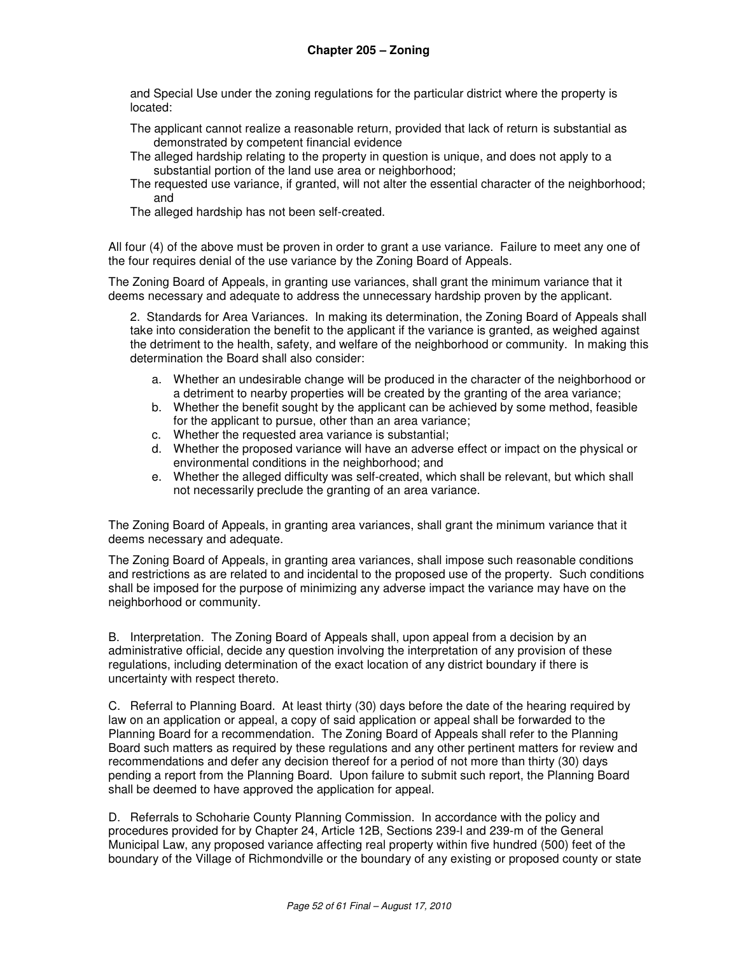and Special Use under the zoning regulations for the particular district where the property is located:

- The applicant cannot realize a reasonable return, provided that lack of return is substantial as demonstrated by competent financial evidence
- The alleged hardship relating to the property in question is unique, and does not apply to a substantial portion of the land use area or neighborhood;
- The requested use variance, if granted, will not alter the essential character of the neighborhood; and
- The alleged hardship has not been self-created.

All four (4) of the above must be proven in order to grant a use variance. Failure to meet any one of the four requires denial of the use variance by the Zoning Board of Appeals.

The Zoning Board of Appeals, in granting use variances, shall grant the minimum variance that it deems necessary and adequate to address the unnecessary hardship proven by the applicant.

2. Standards for Area Variances. In making its determination, the Zoning Board of Appeals shall take into consideration the benefit to the applicant if the variance is granted, as weighed against the detriment to the health, safety, and welfare of the neighborhood or community. In making this determination the Board shall also consider:

- a. Whether an undesirable change will be produced in the character of the neighborhood or a detriment to nearby properties will be created by the granting of the area variance;
- b. Whether the benefit sought by the applicant can be achieved by some method, feasible for the applicant to pursue, other than an area variance;
- c. Whether the requested area variance is substantial;
- d. Whether the proposed variance will have an adverse effect or impact on the physical or environmental conditions in the neighborhood; and
- e. Whether the alleged difficulty was self-created, which shall be relevant, but which shall not necessarily preclude the granting of an area variance.

The Zoning Board of Appeals, in granting area variances, shall grant the minimum variance that it deems necessary and adequate.

The Zoning Board of Appeals, in granting area variances, shall impose such reasonable conditions and restrictions as are related to and incidental to the proposed use of the property. Such conditions shall be imposed for the purpose of minimizing any adverse impact the variance may have on the neighborhood or community.

B. Interpretation. The Zoning Board of Appeals shall, upon appeal from a decision by an administrative official, decide any question involving the interpretation of any provision of these regulations, including determination of the exact location of any district boundary if there is uncertainty with respect thereto.

C. Referral to Planning Board. At least thirty (30) days before the date of the hearing required by law on an application or appeal, a copy of said application or appeal shall be forwarded to the Planning Board for a recommendation. The Zoning Board of Appeals shall refer to the Planning Board such matters as required by these regulations and any other pertinent matters for review and recommendations and defer any decision thereof for a period of not more than thirty (30) days pending a report from the Planning Board. Upon failure to submit such report, the Planning Board shall be deemed to have approved the application for appeal.

D. Referrals to Schoharie County Planning Commission. In accordance with the policy and procedures provided for by Chapter 24, Article 12B, Sections 239-l and 239-m of the General Municipal Law, any proposed variance affecting real property within five hundred (500) feet of the boundary of the Village of Richmondville or the boundary of any existing or proposed county or state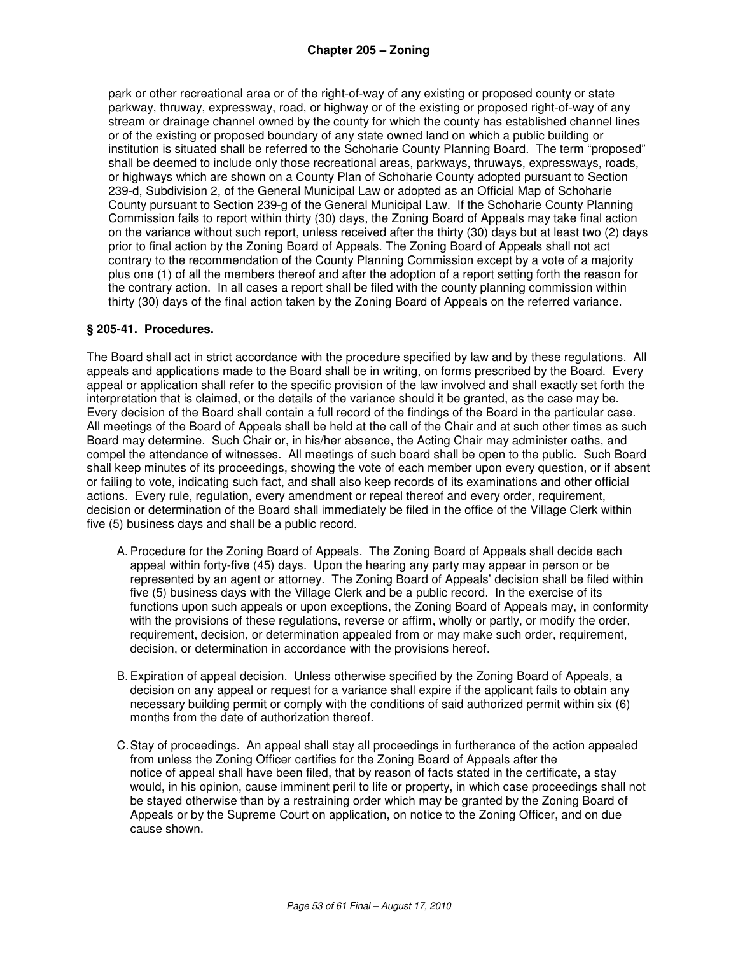park or other recreational area or of the right-of-way of any existing or proposed county or state parkway, thruway, expressway, road, or highway or of the existing or proposed right-of-way of any stream or drainage channel owned by the county for which the county has established channel lines or of the existing or proposed boundary of any state owned land on which a public building or institution is situated shall be referred to the Schoharie County Planning Board. The term "proposed" shall be deemed to include only those recreational areas, parkways, thruways, expressways, roads, or highways which are shown on a County Plan of Schoharie County adopted pursuant to Section 239-d, Subdivision 2, of the General Municipal Law or adopted as an Official Map of Schoharie County pursuant to Section 239-g of the General Municipal Law. If the Schoharie County Planning Commission fails to report within thirty (30) days, the Zoning Board of Appeals may take final action on the variance without such report, unless received after the thirty (30) days but at least two (2) days prior to final action by the Zoning Board of Appeals. The Zoning Board of Appeals shall not act contrary to the recommendation of the County Planning Commission except by a vote of a majority plus one (1) of all the members thereof and after the adoption of a report setting forth the reason for the contrary action. In all cases a report shall be filed with the county planning commission within thirty (30) days of the final action taken by the Zoning Board of Appeals on the referred variance.

#### **§ 205-41. Procedures.**

The Board shall act in strict accordance with the procedure specified by law and by these regulations. All appeals and applications made to the Board shall be in writing, on forms prescribed by the Board. Every appeal or application shall refer to the specific provision of the law involved and shall exactly set forth the interpretation that is claimed, or the details of the variance should it be granted, as the case may be. Every decision of the Board shall contain a full record of the findings of the Board in the particular case. All meetings of the Board of Appeals shall be held at the call of the Chair and at such other times as such Board may determine. Such Chair or, in his/her absence, the Acting Chair may administer oaths, and compel the attendance of witnesses. All meetings of such board shall be open to the public. Such Board shall keep minutes of its proceedings, showing the vote of each member upon every question, or if absent or failing to vote, indicating such fact, and shall also keep records of its examinations and other official actions. Every rule, regulation, every amendment or repeal thereof and every order, requirement, decision or determination of the Board shall immediately be filed in the office of the Village Clerk within five (5) business days and shall be a public record.

- A. Procedure for the Zoning Board of Appeals. The Zoning Board of Appeals shall decide each appeal within forty-five (45) days. Upon the hearing any party may appear in person or be represented by an agent or attorney. The Zoning Board of Appeals' decision shall be filed within five (5) business days with the Village Clerk and be a public record. In the exercise of its functions upon such appeals or upon exceptions, the Zoning Board of Appeals may, in conformity with the provisions of these regulations, reverse or affirm, wholly or partly, or modify the order, requirement, decision, or determination appealed from or may make such order, requirement, decision, or determination in accordance with the provisions hereof.
- B. Expiration of appeal decision. Unless otherwise specified by the Zoning Board of Appeals, a decision on any appeal or request for a variance shall expire if the applicant fails to obtain any necessary building permit or comply with the conditions of said authorized permit within six (6) months from the date of authorization thereof.
- C. Stay of proceedings. An appeal shall stay all proceedings in furtherance of the action appealed from unless the Zoning Officer certifies for the Zoning Board of Appeals after the notice of appeal shall have been filed, that by reason of facts stated in the certificate, a stay would, in his opinion, cause imminent peril to life or property, in which case proceedings shall not be stayed otherwise than by a restraining order which may be granted by the Zoning Board of Appeals or by the Supreme Court on application, on notice to the Zoning Officer, and on due cause shown.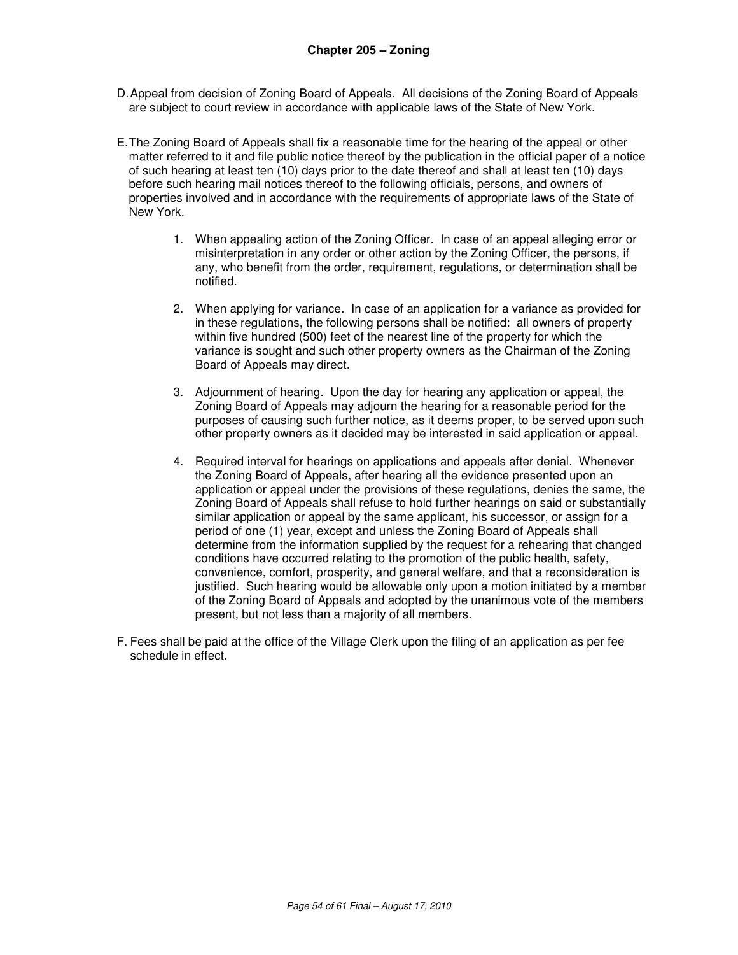- D. Appeal from decision of Zoning Board of Appeals. All decisions of the Zoning Board of Appeals are subject to court review in accordance with applicable laws of the State of New York.
- E. The Zoning Board of Appeals shall fix a reasonable time for the hearing of the appeal or other matter referred to it and file public notice thereof by the publication in the official paper of a notice of such hearing at least ten (10) days prior to the date thereof and shall at least ten (10) days before such hearing mail notices thereof to the following officials, persons, and owners of properties involved and in accordance with the requirements of appropriate laws of the State of New York.
	- 1. When appealing action of the Zoning Officer. In case of an appeal alleging error or misinterpretation in any order or other action by the Zoning Officer, the persons, if any, who benefit from the order, requirement, regulations, or determination shall be notified.
	- 2. When applying for variance. In case of an application for a variance as provided for in these regulations, the following persons shall be notified: all owners of property within five hundred (500) feet of the nearest line of the property for which the variance is sought and such other property owners as the Chairman of the Zoning Board of Appeals may direct.
	- 3. Adjournment of hearing. Upon the day for hearing any application or appeal, the Zoning Board of Appeals may adjourn the hearing for a reasonable period for the purposes of causing such further notice, as it deems proper, to be served upon such other property owners as it decided may be interested in said application or appeal.
	- 4. Required interval for hearings on applications and appeals after denial. Whenever the Zoning Board of Appeals, after hearing all the evidence presented upon an application or appeal under the provisions of these regulations, denies the same, the Zoning Board of Appeals shall refuse to hold further hearings on said or substantially similar application or appeal by the same applicant, his successor, or assign for a period of one (1) year, except and unless the Zoning Board of Appeals shall determine from the information supplied by the request for a rehearing that changed conditions have occurred relating to the promotion of the public health, safety, convenience, comfort, prosperity, and general welfare, and that a reconsideration is justified. Such hearing would be allowable only upon a motion initiated by a member of the Zoning Board of Appeals and adopted by the unanimous vote of the members present, but not less than a majority of all members.
- F. Fees shall be paid at the office of the Village Clerk upon the filing of an application as per fee schedule in effect.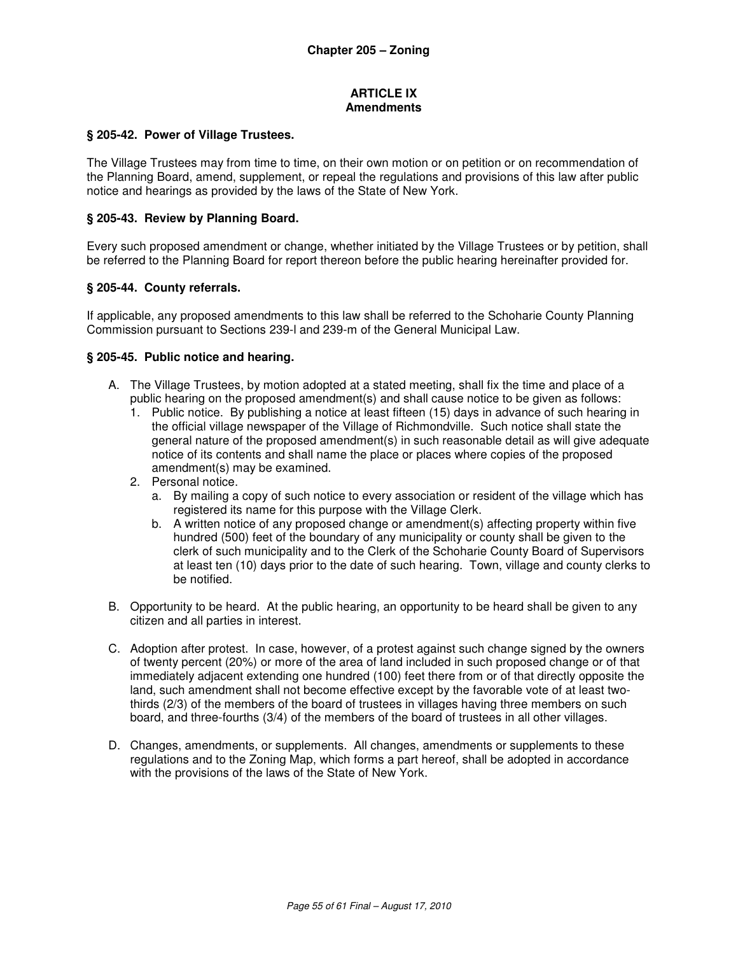#### **ARTICLE IX Amendments**

#### **§ 205-42. Power of Village Trustees.**

The Village Trustees may from time to time, on their own motion or on petition or on recommendation of the Planning Board, amend, supplement, or repeal the regulations and provisions of this law after public notice and hearings as provided by the laws of the State of New York.

#### **§ 205-43. Review by Planning Board.**

Every such proposed amendment or change, whether initiated by the Village Trustees or by petition, shall be referred to the Planning Board for report thereon before the public hearing hereinafter provided for.

#### **§ 205-44. County referrals.**

If applicable, any proposed amendments to this law shall be referred to the Schoharie County Planning Commission pursuant to Sections 239-l and 239-m of the General Municipal Law.

#### **§ 205-45. Public notice and hearing.**

- A. The Village Trustees, by motion adopted at a stated meeting, shall fix the time and place of a public hearing on the proposed amendment(s) and shall cause notice to be given as follows:
	- 1. Public notice. By publishing a notice at least fifteen (15) days in advance of such hearing in the official village newspaper of the Village of Richmondville. Such notice shall state the general nature of the proposed amendment(s) in such reasonable detail as will give adequate notice of its contents and shall name the place or places where copies of the proposed amendment(s) may be examined.
	- 2. Personal notice.
		- a. By mailing a copy of such notice to every association or resident of the village which has registered its name for this purpose with the Village Clerk.
		- b. A written notice of any proposed change or amendment(s) affecting property within five hundred (500) feet of the boundary of any municipality or county shall be given to the clerk of such municipality and to the Clerk of the Schoharie County Board of Supervisors at least ten (10) days prior to the date of such hearing. Town, village and county clerks to be notified.
- B. Opportunity to be heard. At the public hearing, an opportunity to be heard shall be given to any citizen and all parties in interest.
- C. Adoption after protest. In case, however, of a protest against such change signed by the owners of twenty percent (20%) or more of the area of land included in such proposed change or of that immediately adjacent extending one hundred (100) feet there from or of that directly opposite the land, such amendment shall not become effective except by the favorable vote of at least twothirds (2/3) of the members of the board of trustees in villages having three members on such board, and three-fourths (3/4) of the members of the board of trustees in all other villages.
- D. Changes, amendments, or supplements. All changes, amendments or supplements to these regulations and to the Zoning Map, which forms a part hereof, shall be adopted in accordance with the provisions of the laws of the State of New York.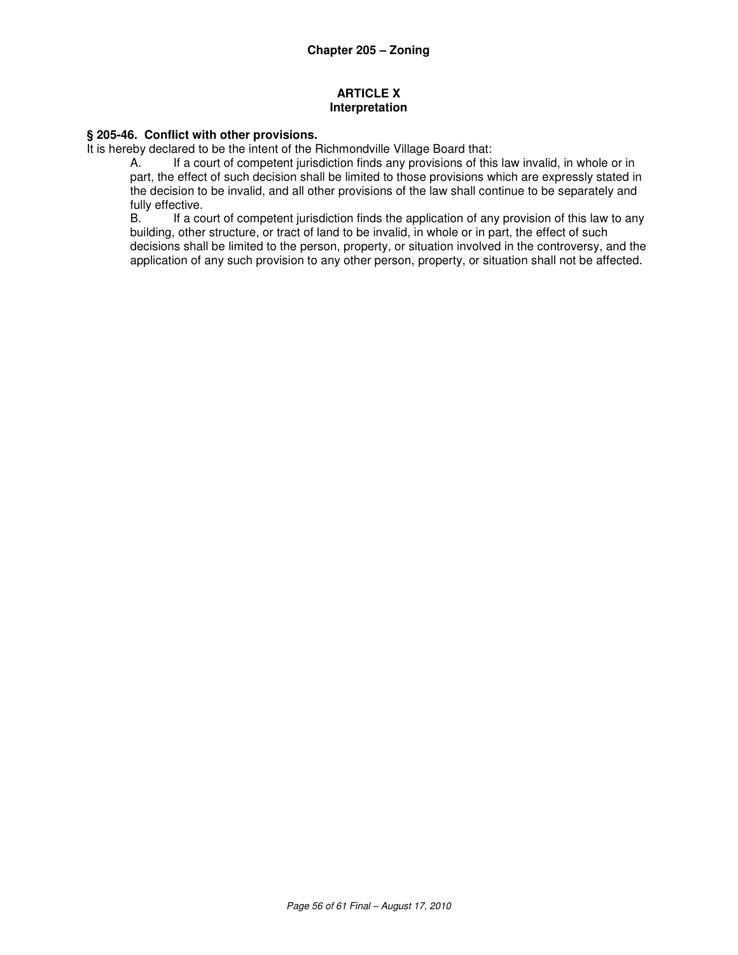## **ARTICLE X Interpretation**

## **§ 205-46. Conflict with other provisions.**

It is hereby declared to be the intent of the Richmondville Village Board that:

A. If a court of competent jurisdiction finds any provisions of this law invalid, in whole or in part, the effect of such decision shall be limited to those provisions which are expressly stated in the decision to be invalid, and all other provisions of the law shall continue to be separately and fully effective.<br>B. If a co

If a court of competent jurisdiction finds the application of any provision of this law to any building, other structure, or tract of land to be invalid, in whole or in part, the effect of such decisions shall be limited to the person, property, or situation involved in the controversy, and the application of any such provision to any other person, property, or situation shall not be affected.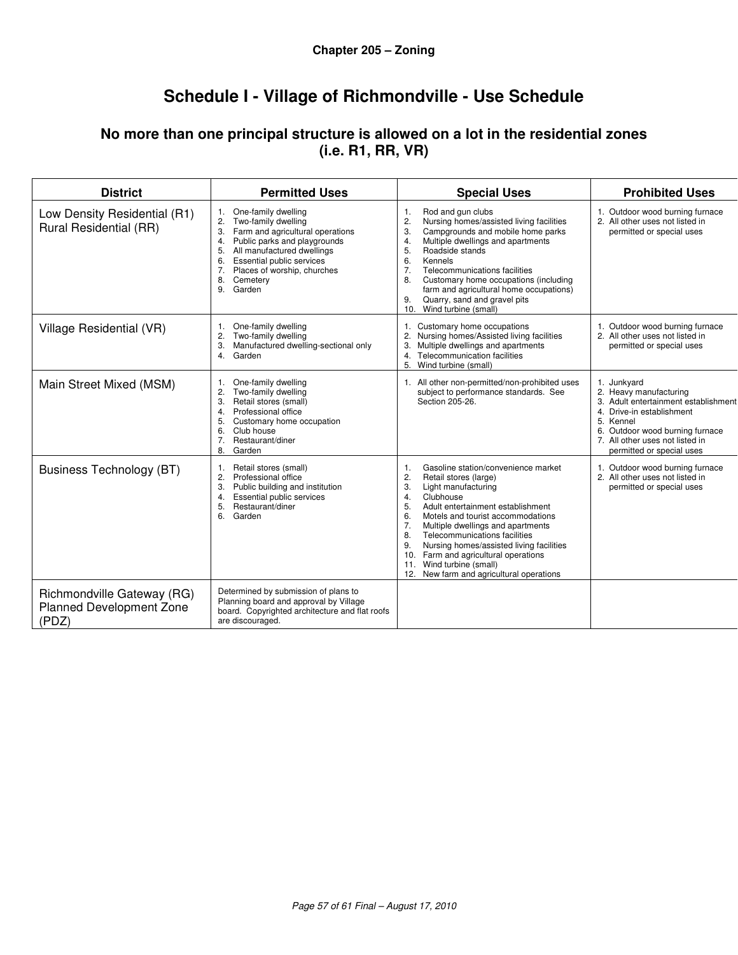# **Schedule I - Village of Richmondville - Use Schedule**

## **No more than one principal structure is allowed on a lot in the residential zones (i.e. R1, RR, VR)**

| <b>District</b>                                                        | <b>Permitted Uses</b>                                                                                                                                                                                                                                                                | <b>Special Uses</b>                                                                                                                                                                                                                                                                                                                                                                                                                                                         | <b>Prohibited Uses</b>                                                                                                                                                                                                       |
|------------------------------------------------------------------------|--------------------------------------------------------------------------------------------------------------------------------------------------------------------------------------------------------------------------------------------------------------------------------------|-----------------------------------------------------------------------------------------------------------------------------------------------------------------------------------------------------------------------------------------------------------------------------------------------------------------------------------------------------------------------------------------------------------------------------------------------------------------------------|------------------------------------------------------------------------------------------------------------------------------------------------------------------------------------------------------------------------------|
| Low Density Residential (R1)<br>Rural Residential (RR)                 | One-family dwelling<br>1.<br>2.<br>Two-family dwelling<br>Farm and agricultural operations<br>3.<br>Public parks and playgrounds<br>4.<br>All manufactured dwellings<br>5.<br>Essential public services<br>6.<br>Places of worship, churches<br>7.<br>8.<br>Cemetery<br>9.<br>Garden | Rod and gun clubs<br>1.<br>2.<br>Nursing homes/assisted living facilities<br>Campgrounds and mobile home parks<br>3.<br>Multiple dwellings and apartments<br>4.<br>5.<br>Roadside stands<br>6.<br>Kennels<br>7.<br>Telecommunications facilities<br>Customary home occupations (including<br>8.<br>farm and agricultural home occupations)<br>Quarry, sand and gravel pits<br>9.<br>Wind turbine (small)<br>10.                                                             | 1. Outdoor wood burning furnace<br>2. All other uses not listed in<br>permitted or special uses                                                                                                                              |
| Village Residential (VR)                                               | One-family dwelling<br>1.<br>Two-family dwelling<br>2.<br>Manufactured dwelling-sectional only<br>3.<br>Garden<br>4.                                                                                                                                                                 | Customary home occupations<br>1.<br>2.<br>Nursing homes/Assisted living facilities<br>Multiple dwellings and apartments<br>3.<br>4. Telecommunication facilities<br>5.<br>Wind turbine (small)                                                                                                                                                                                                                                                                              | 1. Outdoor wood burning furnace<br>2. All other uses not listed in<br>permitted or special uses                                                                                                                              |
| Main Street Mixed (MSM)                                                | One-family dwelling<br>1.<br>Two-family dwelling<br>2.<br>Retail stores (small)<br>3.<br>Professional office<br>4.<br>5.<br>Customary home occupation<br>Club house<br>6.<br>7.<br>Restaurant/diner<br>8.<br>Garden                                                                  | 1. All other non-permitted/non-prohibited uses<br>subject to performance standards. See<br>Section 205-26.                                                                                                                                                                                                                                                                                                                                                                  | 1. Junkyard<br>2. Heavy manufacturing<br>3. Adult entertainment establishment<br>4<br>Drive-in establishment<br>5. Kennel<br>6. Outdoor wood burning furnace<br>7. All other uses not listed in<br>permitted or special uses |
| <b>Business Technology (BT)</b>                                        | Retail stores (small)<br>1.<br>2.<br>Professional office<br>Public building and institution<br>3.<br>Essential public services<br>4.<br>Restaurant/diner<br>5.<br>6.<br>Garden                                                                                                       | Gasoline station/convenience market<br>1.<br>2.<br>Retail stores (large)<br>3.<br>Light manufacturing<br>Clubhouse<br>4.<br>5.<br>Adult entertainment establishment<br>6.<br>Motels and tourist accommodations<br>7.<br>Multiple dwellings and apartments<br>8.<br>Telecommunications facilities<br>Nursing homes/assisted living facilities<br>9.<br>Farm and agricultural operations<br>10.<br>Wind turbine (small)<br>11.<br>New farm and agricultural operations<br>12. | 1. Outdoor wood burning furnace<br>2. All other uses not listed in<br>permitted or special uses                                                                                                                              |
| Richmondville Gateway (RG)<br><b>Planned Development Zone</b><br>(PDZ) | Determined by submission of plans to<br>Planning board and approval by Village<br>board. Copyrighted architecture and flat roofs<br>are discouraged.                                                                                                                                 |                                                                                                                                                                                                                                                                                                                                                                                                                                                                             |                                                                                                                                                                                                                              |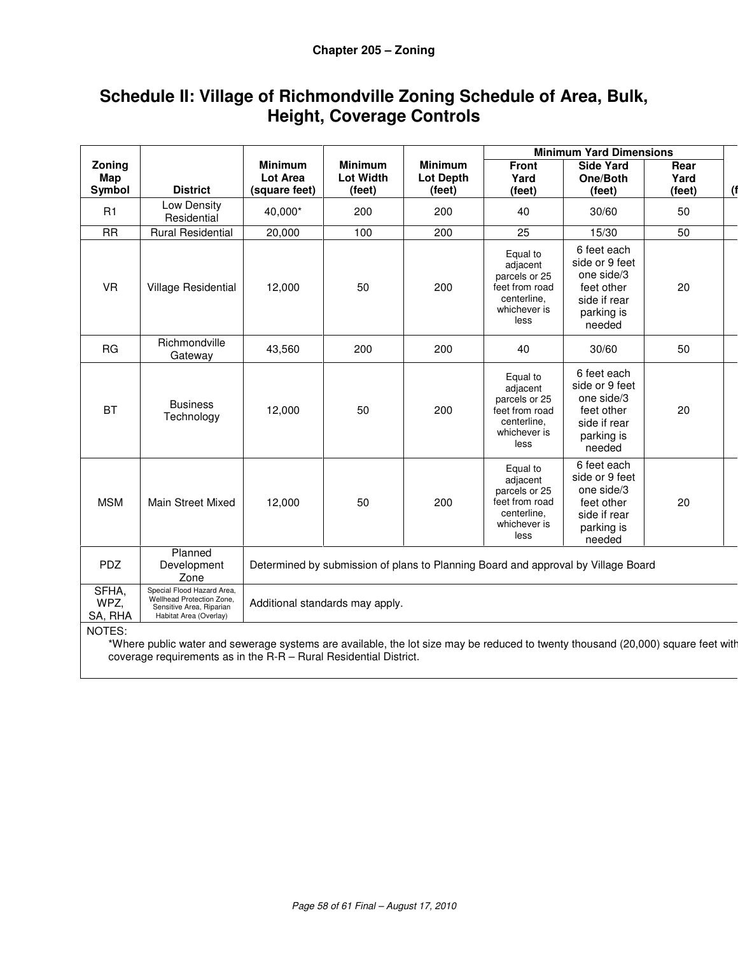# **Schedule II: Village of Richmondville Zoning Schedule of Area, Bulk, Height, Coverage Controls**

|                          |                                                                                                                                                                                                                                |                                                                                   |                                              |                                              | <b>Minimum Yard Dimensions</b>                                                                 |                                                                                                   |                        |     |
|--------------------------|--------------------------------------------------------------------------------------------------------------------------------------------------------------------------------------------------------------------------------|-----------------------------------------------------------------------------------|----------------------------------------------|----------------------------------------------|------------------------------------------------------------------------------------------------|---------------------------------------------------------------------------------------------------|------------------------|-----|
| Zoning<br>Map<br>Symbol  | <b>District</b>                                                                                                                                                                                                                | <b>Minimum</b><br><b>Lot Area</b><br>(square feet)                                | <b>Minimum</b><br><b>Lot Width</b><br>(feet) | <b>Minimum</b><br><b>Lot Depth</b><br>(feet) | <b>Front</b><br>Yard<br>(feet)                                                                 | <b>Side Yard</b><br>One/Both<br>(feet)                                                            | Rear<br>Yard<br>(feet) | (1) |
| R1                       | Low Density<br>Residential                                                                                                                                                                                                     | 40,000*                                                                           | 200                                          | 200                                          | 40                                                                                             | 30/60                                                                                             | 50                     |     |
| <b>RR</b>                | <b>Rural Residential</b>                                                                                                                                                                                                       | 20,000                                                                            | 100                                          | 200                                          | 25                                                                                             | 15/30                                                                                             | 50                     |     |
| <b>VR</b>                | Village Residential                                                                                                                                                                                                            | 12,000                                                                            | 50                                           | 200                                          | Equal to<br>adjacent<br>parcels or 25<br>feet from road<br>centerline.<br>whichever is<br>less | 6 feet each<br>side or 9 feet<br>one side/3<br>feet other<br>side if rear<br>parking is<br>needed | 20                     |     |
| <b>RG</b>                | Richmondville<br>Gateway                                                                                                                                                                                                       | 43,560                                                                            | 200                                          | 200                                          | 40                                                                                             | 30/60                                                                                             | 50                     |     |
| <b>BT</b>                | <b>Business</b><br>Technology                                                                                                                                                                                                  | 12,000                                                                            | 50                                           | 200                                          | Equal to<br>adjacent<br>parcels or 25<br>feet from road<br>centerline,<br>whichever is<br>less | 6 feet each<br>side or 9 feet<br>one side/3<br>feet other<br>side if rear<br>parking is<br>needed | 20                     |     |
| <b>MSM</b>               | Main Street Mixed                                                                                                                                                                                                              | 12.000                                                                            | 50                                           | 200                                          | Equal to<br>adjacent<br>parcels or 25<br>feet from road<br>centerline.<br>whichever is<br>less | 6 feet each<br>side or 9 feet<br>one side/3<br>feet other<br>side if rear<br>parking is<br>needed | 20                     |     |
| <b>PDZ</b>               | Planned<br>Development<br>Zone                                                                                                                                                                                                 | Determined by submission of plans to Planning Board and approval by Village Board |                                              |                                              |                                                                                                |                                                                                                   |                        |     |
| SFHA,<br>WPZ,<br>SA, RHA | Special Flood Hazard Area,<br>Wellhead Protection Zone,<br>Additional standards may apply.<br>Sensitive Area, Riparian<br>Habitat Area (Overlay)                                                                               |                                                                                   |                                              |                                              |                                                                                                |                                                                                                   |                        |     |
| NOTES:                   | the result of the result of the result of the Marine of the Ward to the Marine of the result of the result of the result of the result of the result that the result of the result of the result of the result of the result o |                                                                                   |                                              |                                              |                                                                                                |                                                                                                   |                        |     |

Where public water and sewerage systems are available, the lot size may be reduced to twenty thousand (20,00 coverage requirements as in the R-R – Rural Residential District.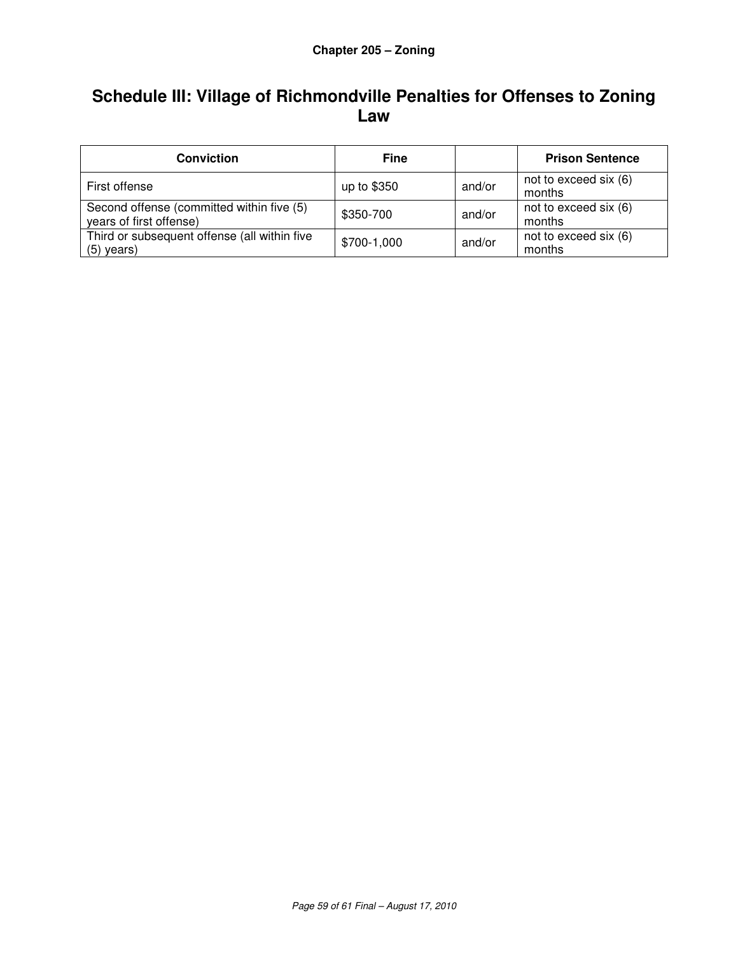# **Schedule III: Village of Richmondville Penalties for Offenses to Zoning Law**

| <b>Conviction</b>                                                    | <b>Fine</b> |        | <b>Prison Sentence</b>          |
|----------------------------------------------------------------------|-------------|--------|---------------------------------|
| First offense                                                        | up to \$350 | and/or | not to exceed six (6)<br>months |
| Second offense (committed within five (5)<br>years of first offense) | \$350-700   | and/or | not to exceed six (6)<br>months |
| Third or subsequent offense (all within five<br>$(5)$ years)         | \$700-1,000 | and/or | not to exceed six (6)<br>months |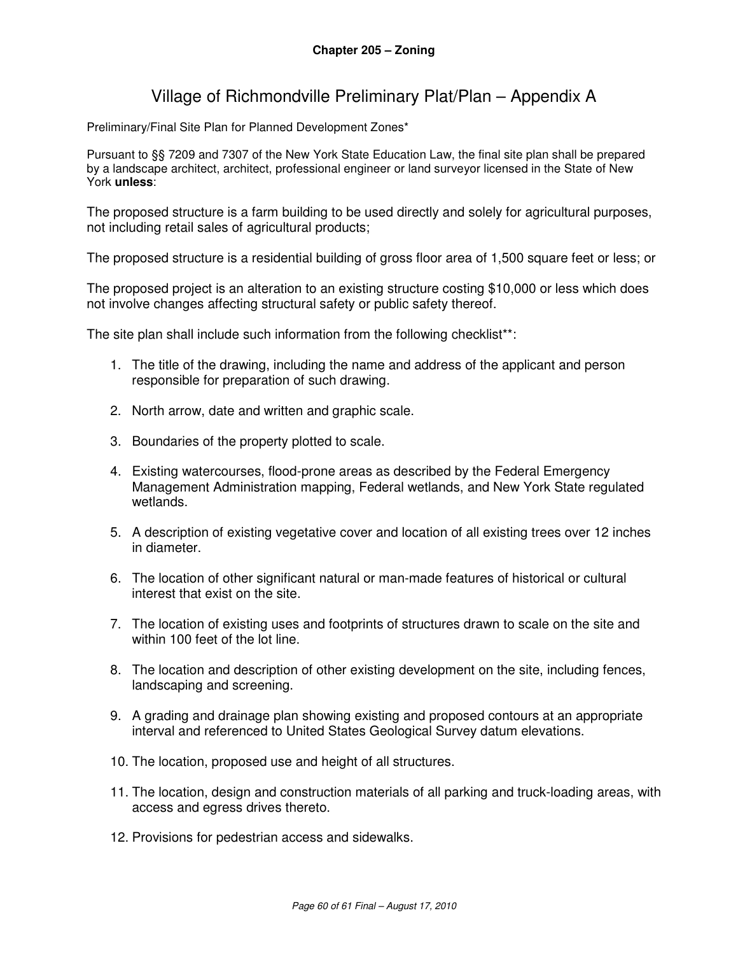## Village of Richmondville Preliminary Plat/Plan – Appendix A

Preliminary/Final Site Plan for Planned Development Zones\*

Pursuant to §§ 7209 and 7307 of the New York State Education Law, the final site plan shall be prepared by a landscape architect, architect, professional engineer or land surveyor licensed in the State of New York **unless**:

The proposed structure is a farm building to be used directly and solely for agricultural purposes, not including retail sales of agricultural products;

The proposed structure is a residential building of gross floor area of 1,500 square feet or less; or

The proposed project is an alteration to an existing structure costing \$10,000 or less which does not involve changes affecting structural safety or public safety thereof.

The site plan shall include such information from the following checklist<sup>\*\*</sup>:

- 1. The title of the drawing, including the name and address of the applicant and person responsible for preparation of such drawing.
- 2. North arrow, date and written and graphic scale.
- 3. Boundaries of the property plotted to scale.
- 4. Existing watercourses, flood-prone areas as described by the Federal Emergency Management Administration mapping, Federal wetlands, and New York State regulated wetlands.
- 5. A description of existing vegetative cover and location of all existing trees over 12 inches in diameter.
- 6. The location of other significant natural or man-made features of historical or cultural interest that exist on the site.
- 7. The location of existing uses and footprints of structures drawn to scale on the site and within 100 feet of the lot line.
- 8. The location and description of other existing development on the site, including fences, landscaping and screening.
- 9. A grading and drainage plan showing existing and proposed contours at an appropriate interval and referenced to United States Geological Survey datum elevations.
- 10. The location, proposed use and height of all structures.
- 11. The location, design and construction materials of all parking and truck-loading areas, with access and egress drives thereto.
- 12. Provisions for pedestrian access and sidewalks.